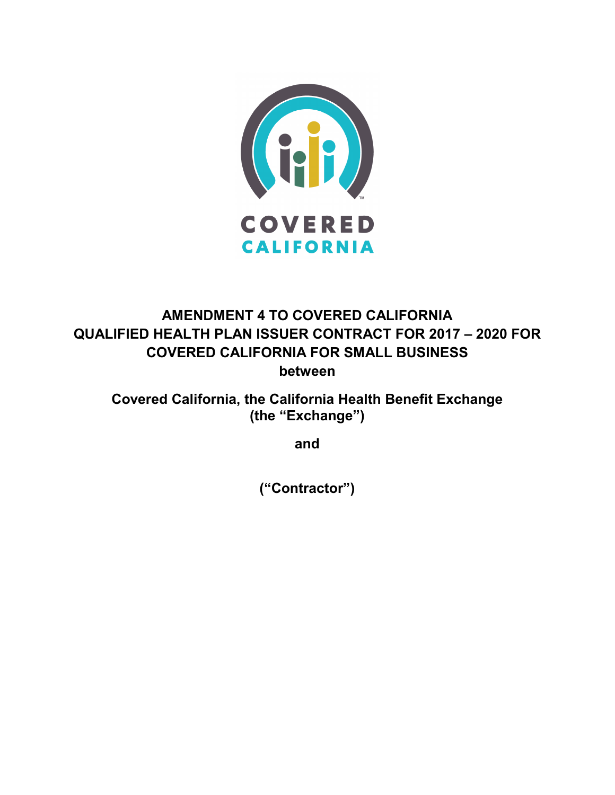

# **AMENDMENT 4 TO COVERED CALIFORNIA QUALIFIED HEALTH PLAN ISSUER CONTRACT FOR 2017 – 2020 FOR COVERED CALIFORNIA FOR SMALL BUSINESS between**

**Covered California, the California Health Benefit Exchange (the "Exchange")**

**and**

**("Contractor")**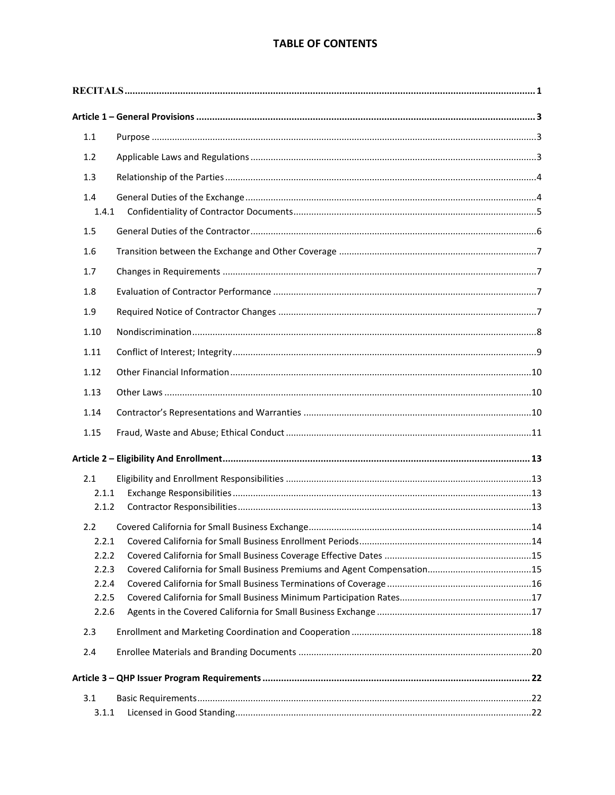## **TABLE OF CONTENTS**

| $1.1$<br>1.2<br>1.3<br>1.4<br>1.4.1<br>1.5<br>1.6<br>1.7<br>1.8<br>1.9<br>1.10<br>1.11<br>1.12<br>1.13<br>1.14<br>1.15<br>2.1<br>2.1.1<br>2.1.2<br>2.2<br>2.2.1<br>2.2.2<br>2.2.3<br>2.2.4<br>2.2.5<br>2.2.6<br>2.3<br>2.4<br>3.1<br>3.1.1 |  |  |  |
|--------------------------------------------------------------------------------------------------------------------------------------------------------------------------------------------------------------------------------------------|--|--|--|
|                                                                                                                                                                                                                                            |  |  |  |
|                                                                                                                                                                                                                                            |  |  |  |
|                                                                                                                                                                                                                                            |  |  |  |
|                                                                                                                                                                                                                                            |  |  |  |
|                                                                                                                                                                                                                                            |  |  |  |
|                                                                                                                                                                                                                                            |  |  |  |
|                                                                                                                                                                                                                                            |  |  |  |
|                                                                                                                                                                                                                                            |  |  |  |
|                                                                                                                                                                                                                                            |  |  |  |
|                                                                                                                                                                                                                                            |  |  |  |
|                                                                                                                                                                                                                                            |  |  |  |
|                                                                                                                                                                                                                                            |  |  |  |
|                                                                                                                                                                                                                                            |  |  |  |
|                                                                                                                                                                                                                                            |  |  |  |
|                                                                                                                                                                                                                                            |  |  |  |
|                                                                                                                                                                                                                                            |  |  |  |
|                                                                                                                                                                                                                                            |  |  |  |
|                                                                                                                                                                                                                                            |  |  |  |
|                                                                                                                                                                                                                                            |  |  |  |
|                                                                                                                                                                                                                                            |  |  |  |
|                                                                                                                                                                                                                                            |  |  |  |
|                                                                                                                                                                                                                                            |  |  |  |
|                                                                                                                                                                                                                                            |  |  |  |
|                                                                                                                                                                                                                                            |  |  |  |
|                                                                                                                                                                                                                                            |  |  |  |
|                                                                                                                                                                                                                                            |  |  |  |
|                                                                                                                                                                                                                                            |  |  |  |
|                                                                                                                                                                                                                                            |  |  |  |
|                                                                                                                                                                                                                                            |  |  |  |
|                                                                                                                                                                                                                                            |  |  |  |
|                                                                                                                                                                                                                                            |  |  |  |
|                                                                                                                                                                                                                                            |  |  |  |
|                                                                                                                                                                                                                                            |  |  |  |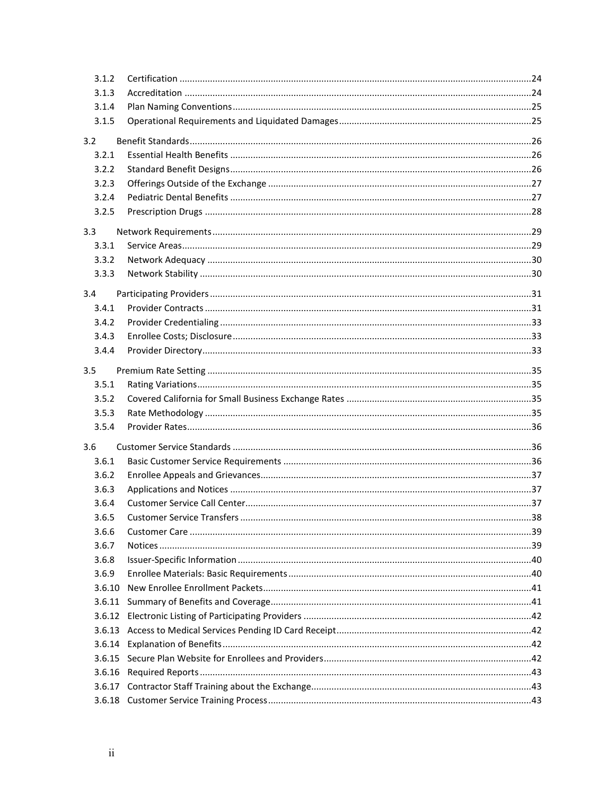| 3.1.2  |  |
|--------|--|
| 3.1.3  |  |
| 3.1.4  |  |
| 3.1.5  |  |
| 3.2    |  |
| 3.2.1  |  |
| 3.2.2  |  |
| 3.2.3  |  |
| 3.2.4  |  |
| 3.2.5  |  |
| 3.3    |  |
| 3.3.1  |  |
| 3.3.2  |  |
| 3.3.3  |  |
| 3.4    |  |
| 3.4.1  |  |
| 3.4.2  |  |
| 3.4.3  |  |
| 3.4.4  |  |
| 3.5    |  |
| 3.5.1  |  |
| 3.5.2  |  |
| 3.5.3  |  |
| 3.5.4  |  |
| 3.6    |  |
| 3.6.1  |  |
| 3.6.2  |  |
| 3.6.3  |  |
| 3.6.4  |  |
| 3.6.5  |  |
| 3.6.6  |  |
| 3.6.7  |  |
| 3.6.8  |  |
| 3.6.9  |  |
| 3.6.10 |  |
| 3.6.11 |  |
| 3.6.12 |  |
|        |  |
|        |  |
|        |  |
|        |  |
| 3.6.17 |  |
|        |  |
|        |  |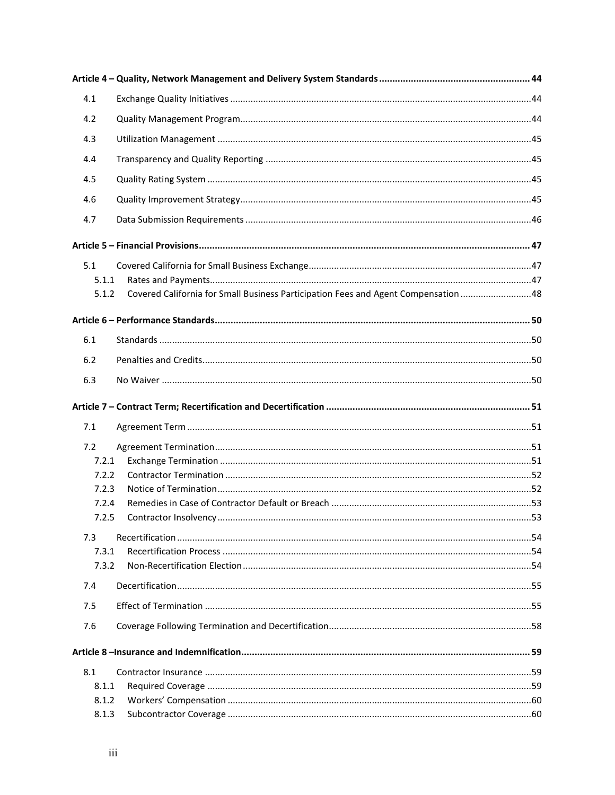| 4.1   |                                                                                    |  |
|-------|------------------------------------------------------------------------------------|--|
| 4.2   |                                                                                    |  |
| 4.3   |                                                                                    |  |
| 4.4   |                                                                                    |  |
| 4.5   |                                                                                    |  |
| 4.6   |                                                                                    |  |
|       |                                                                                    |  |
| 4.7   |                                                                                    |  |
|       |                                                                                    |  |
| 5.1   |                                                                                    |  |
| 5.1.1 |                                                                                    |  |
| 5.1.2 | Covered California for Small Business Participation Fees and Agent Compensation 48 |  |
|       |                                                                                    |  |
| 6.1   |                                                                                    |  |
| 6.2   |                                                                                    |  |
|       |                                                                                    |  |
| 6.3   |                                                                                    |  |
|       |                                                                                    |  |
| 7.1   |                                                                                    |  |
| 7.2   |                                                                                    |  |
| 7.2.1 |                                                                                    |  |
| 7.2.2 |                                                                                    |  |
| 7.2.3 |                                                                                    |  |
| 7.2.4 |                                                                                    |  |
| 7.2.5 |                                                                                    |  |
| 7.3   |                                                                                    |  |
| 7.3.1 |                                                                                    |  |
| 7.3.2 |                                                                                    |  |
| 7.4   |                                                                                    |  |
| 7.5   |                                                                                    |  |
| 7.6   |                                                                                    |  |
|       |                                                                                    |  |
| 8.1   |                                                                                    |  |
| 8.1.1 |                                                                                    |  |
| 8.1.2 |                                                                                    |  |
| 8.1.3 |                                                                                    |  |
|       |                                                                                    |  |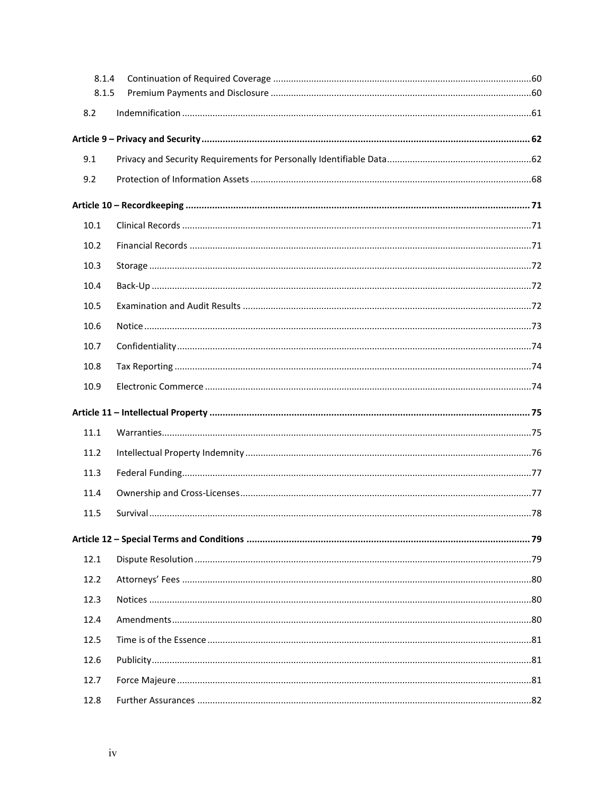| 8.1.4 |  |
|-------|--|
| 8.1.5 |  |
| 8.2   |  |
|       |  |
| 9.1   |  |
| 9.2   |  |
|       |  |
| 10.1  |  |
| 10.2  |  |
| 10.3  |  |
| 10.4  |  |
| 10.5  |  |
| 10.6  |  |
| 10.7  |  |
| 10.8  |  |
| 10.9  |  |
|       |  |
| 11.1  |  |
| 11.2  |  |
| 11.3  |  |
| 11.4  |  |
| 11.5  |  |
|       |  |
| 12.1  |  |
| 12.2  |  |
| 12.3  |  |
| 12.4  |  |
| 12.5  |  |
| 12.6  |  |
| 12.7  |  |
| 12.8  |  |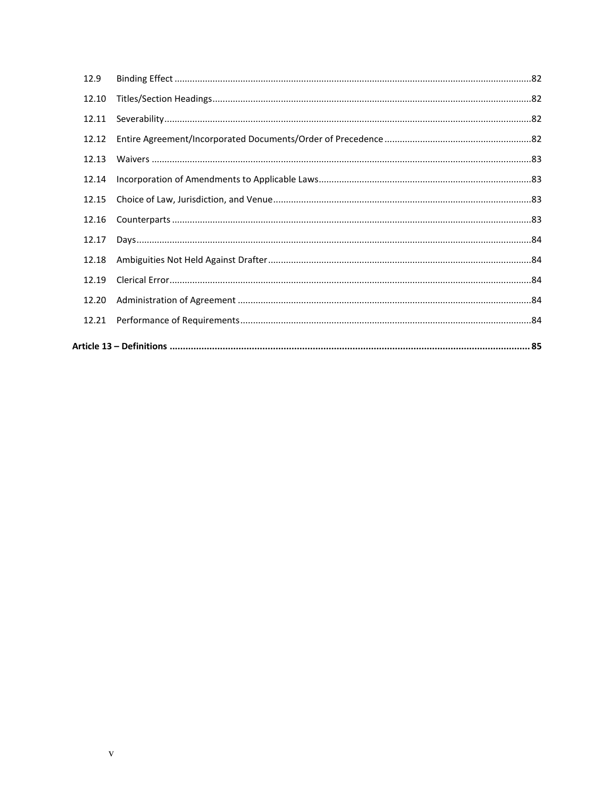| 12.21 |  |
|-------|--|
| 12.20 |  |
| 12.19 |  |
| 12.18 |  |
| 12.17 |  |
| 12.16 |  |
| 12.15 |  |
| 12.14 |  |
| 12.13 |  |
| 12.12 |  |
| 12.11 |  |
| 12.10 |  |
| 12.9  |  |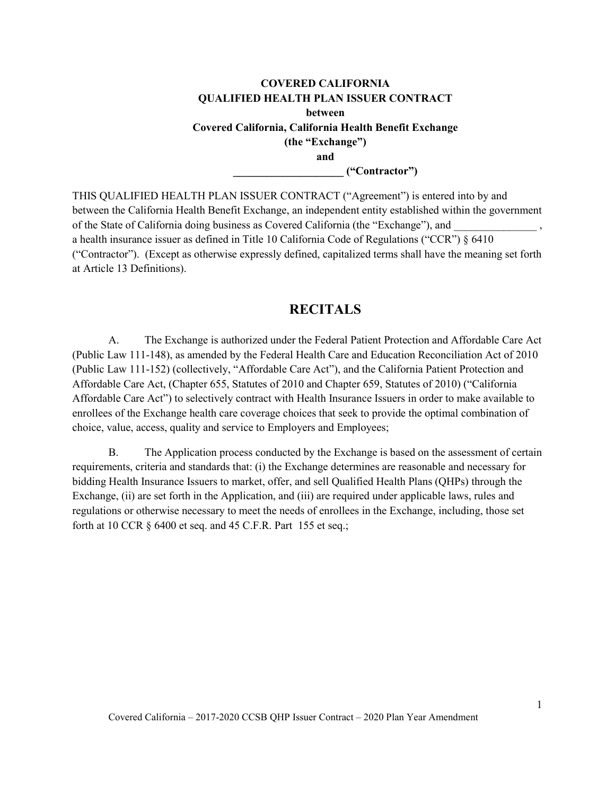### **COVERED CALIFORNIA QUALIFIED HEALTH PLAN ISSUER CONTRACT between Covered California, California Health Benefit Exchange (the "Exchange") and \_\_\_\_\_\_\_\_\_\_\_\_\_\_\_\_\_\_\_\_ ("Contractor")**

THIS QUALIFIED HEALTH PLAN ISSUER CONTRACT ("Agreement") is entered into by and between the California Health Benefit Exchange, an independent entity established within the government of the State of California doing business as Covered California (the "Exchange"), and a health insurance issuer as defined in Title 10 California Code of Regulations ("CCR") § 6410 ("Contractor"). (Except as otherwise expressly defined, capitalized terms shall have the meaning set forth at Article 13 Definitions).

### **RECITALS**

<span id="page-6-0"></span>A. The Exchange is authorized under the Federal Patient Protection and Affordable Care Act (Public Law 111-148), as amended by the Federal Health Care and Education Reconciliation Act of 2010 (Public Law 111-152) (collectively, "Affordable Care Act"), and the California Patient Protection and Affordable Care Act, (Chapter 655, Statutes of 2010 and Chapter 659, Statutes of 2010) ("California Affordable Care Act") to selectively contract with Health Insurance Issuers in order to make available to enrollees of the Exchange health care coverage choices that seek to provide the optimal combination of choice, value, access, quality and service to Employers and Employees;

B. The Application process conducted by the Exchange is based on the assessment of certain requirements, criteria and standards that: (i) the Exchange determines are reasonable and necessary for bidding Health Insurance Issuers to market, offer, and sell Qualified Health Plans (QHPs) through the Exchange, (ii) are set forth in the Application, and (iii) are required under applicable laws, rules and regulations or otherwise necessary to meet the needs of enrollees in the Exchange, including, those set forth at 10 CCR § 6400 et seq. and 45 C.F.R. Part 155 et seq.;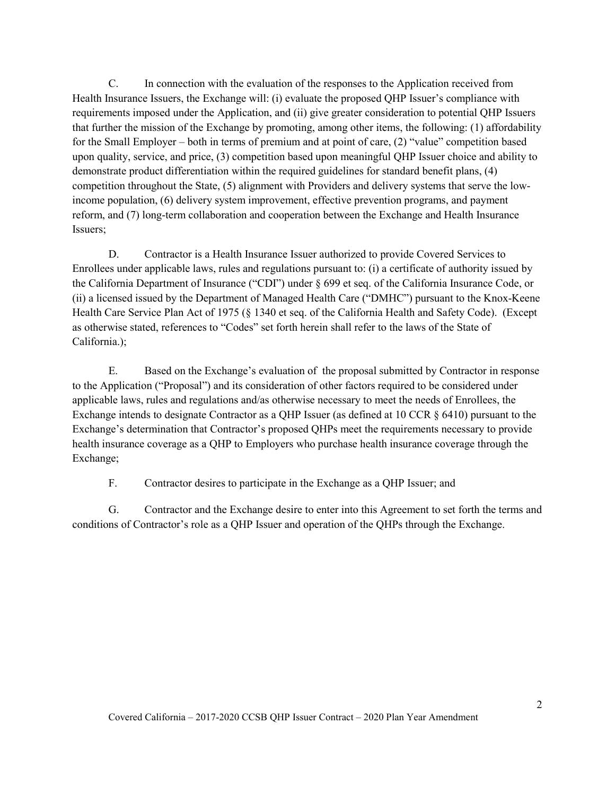C. In connection with the evaluation of the responses to the Application received from Health Insurance Issuers, the Exchange will: (i) evaluate the proposed QHP Issuer's compliance with requirements imposed under the Application, and (ii) give greater consideration to potential QHP Issuers that further the mission of the Exchange by promoting, among other items, the following: (1) affordability for the Small Employer – both in terms of premium and at point of care, (2) "value" competition based upon quality, service, and price, (3) competition based upon meaningful QHP Issuer choice and ability to demonstrate product differentiation within the required guidelines for standard benefit plans, (4) competition throughout the State, (5) alignment with Providers and delivery systems that serve the lowincome population, (6) delivery system improvement, effective prevention programs, and payment reform, and (7) long-term collaboration and cooperation between the Exchange and Health Insurance Issuers;

D. Contractor is a Health Insurance Issuer authorized to provide Covered Services to Enrollees under applicable laws, rules and regulations pursuant to: (i) a certificate of authority issued by the California Department of Insurance ("CDI") under § 699 et seq. of the California Insurance Code, or (ii) a licensed issued by the Department of Managed Health Care ("DMHC") pursuant to the Knox-Keene Health Care Service Plan Act of 1975 (§ 1340 et seq. of the California Health and Safety Code). (Except as otherwise stated, references to "Codes" set forth herein shall refer to the laws of the State of California.);

E. Based on the Exchange's evaluation of the proposal submitted by Contractor in response to the Application ("Proposal") and its consideration of other factors required to be considered under applicable laws, rules and regulations and/as otherwise necessary to meet the needs of Enrollees, the Exchange intends to designate Contractor as a QHP Issuer (as defined at 10 CCR § 6410) pursuant to the Exchange's determination that Contractor's proposed QHPs meet the requirements necessary to provide health insurance coverage as a QHP to Employers who purchase health insurance coverage through the Exchange;

F. Contractor desires to participate in the Exchange as a QHP Issuer; and

G. Contractor and the Exchange desire to enter into this Agreement to set forth the terms and conditions of Contractor's role as a QHP Issuer and operation of the QHPs through the Exchange.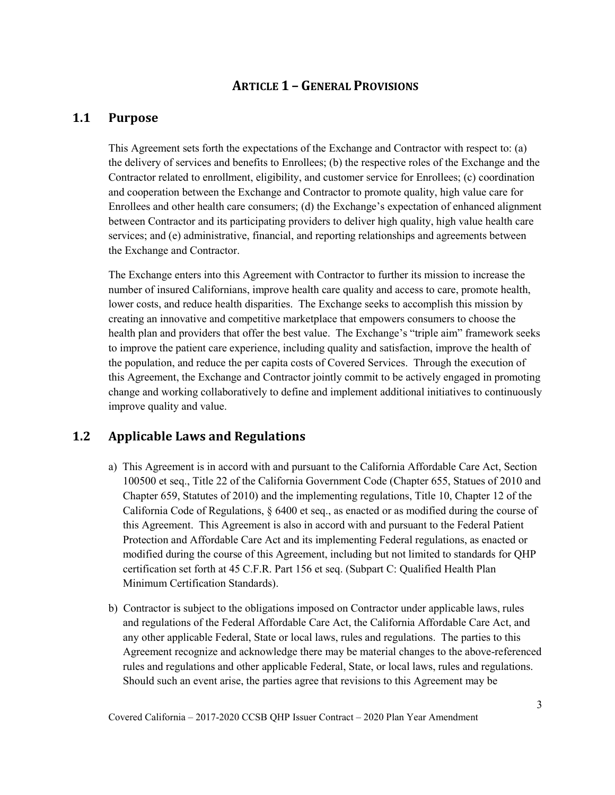## **ARTICLE 1 – GENERAL PROVISIONS**

### <span id="page-8-1"></span><span id="page-8-0"></span>**1.1 Purpose**

This Agreement sets forth the expectations of the Exchange and Contractor with respect to: (a) the delivery of services and benefits to Enrollees; (b) the respective roles of the Exchange and the Contractor related to enrollment, eligibility, and customer service for Enrollees; (c) coordination and cooperation between the Exchange and Contractor to promote quality, high value care for Enrollees and other health care consumers; (d) the Exchange's expectation of enhanced alignment between Contractor and its participating providers to deliver high quality, high value health care services; and (e) administrative, financial, and reporting relationships and agreements between the Exchange and Contractor.

The Exchange enters into this Agreement with Contractor to further its mission to increase the number of insured Californians, improve health care quality and access to care, promote health, lower costs, and reduce health disparities. The Exchange seeks to accomplish this mission by creating an innovative and competitive marketplace that empowers consumers to choose the health plan and providers that offer the best value. The Exchange's "triple aim" framework seeks to improve the patient care experience, including quality and satisfaction, improve the health of the population, and reduce the per capita costs of Covered Services. Through the execution of this Agreement, the Exchange and Contractor jointly commit to be actively engaged in promoting change and working collaboratively to define and implement additional initiatives to continuously improve quality and value.

### <span id="page-8-2"></span>**1.2 Applicable Laws and Regulations**

- a) This Agreement is in accord with and pursuant to the California Affordable Care Act, Section 100500 et seq., Title 22 of the California Government Code (Chapter 655, Statues of 2010 and Chapter 659, Statutes of 2010) and the implementing regulations, Title 10, Chapter 12 of the California Code of Regulations, § 6400 et seq., as enacted or as modified during the course of this Agreement. This Agreement is also in accord with and pursuant to the Federal Patient Protection and Affordable Care Act and its implementing Federal regulations, as enacted or modified during the course of this Agreement, including but not limited to standards for QHP certification set forth at 45 C.F.R. Part 156 et seq. (Subpart C: Qualified Health Plan Minimum Certification Standards).
- b) Contractor is subject to the obligations imposed on Contractor under applicable laws, rules and regulations of the Federal Affordable Care Act, the California Affordable Care Act, and any other applicable Federal, State or local laws, rules and regulations. The parties to this Agreement recognize and acknowledge there may be material changes to the above-referenced rules and regulations and other applicable Federal, State, or local laws, rules and regulations. Should such an event arise, the parties agree that revisions to this Agreement may be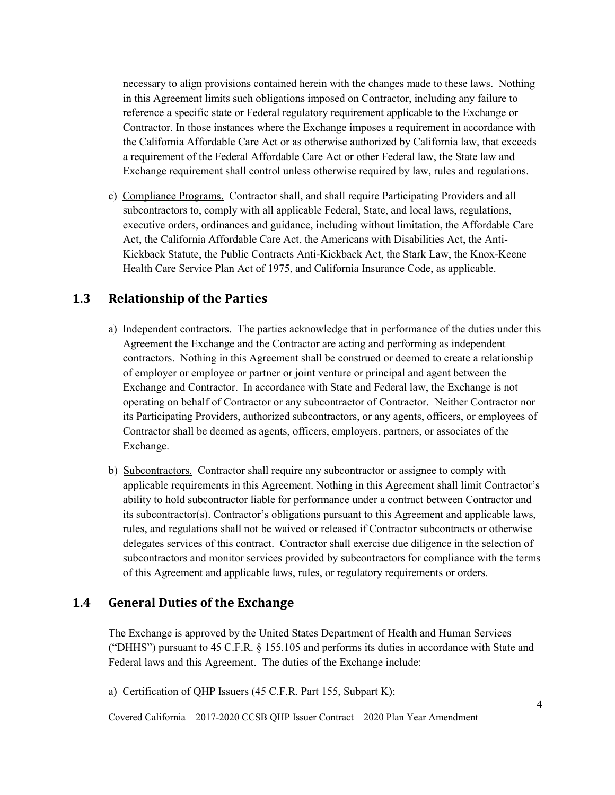necessary to align provisions contained herein with the changes made to these laws. Nothing in this Agreement limits such obligations imposed on Contractor, including any failure to reference a specific state or Federal regulatory requirement applicable to the Exchange or Contractor. In those instances where the Exchange imposes a requirement in accordance with the California Affordable Care Act or as otherwise authorized by California law, that exceeds a requirement of the Federal Affordable Care Act or other Federal law, the State law and Exchange requirement shall control unless otherwise required by law, rules and regulations.

c) Compliance Programs. Contractor shall, and shall require Participating Providers and all subcontractors to, comply with all applicable Federal, State, and local laws, regulations, executive orders, ordinances and guidance, including without limitation, the Affordable Care Act, the California Affordable Care Act, the Americans with Disabilities Act, the Anti-Kickback Statute, the Public Contracts Anti-Kickback Act, the Stark Law, the Knox-Keene Health Care Service Plan Act of 1975, and California Insurance Code, as applicable.

### <span id="page-9-0"></span>**1.3 Relationship of the Parties**

- a) Independent contractors. The parties acknowledge that in performance of the duties under this Agreement the Exchange and the Contractor are acting and performing as independent contractors. Nothing in this Agreement shall be construed or deemed to create a relationship of employer or employee or partner or joint venture or principal and agent between the Exchange and Contractor. In accordance with State and Federal law, the Exchange is not operating on behalf of Contractor or any subcontractor of Contractor. Neither Contractor nor its Participating Providers, authorized subcontractors, or any agents, officers, or employees of Contractor shall be deemed as agents, officers, employers, partners, or associates of the Exchange.
- b) Subcontractors. Contractor shall require any subcontractor or assignee to comply with applicable requirements in this Agreement. Nothing in this Agreement shall limit Contractor's ability to hold subcontractor liable for performance under a contract between Contractor and its subcontractor(s). Contractor's obligations pursuant to this Agreement and applicable laws, rules, and regulations shall not be waived or released if Contractor subcontracts or otherwise delegates services of this contract. Contractor shall exercise due diligence in the selection of subcontractors and monitor services provided by subcontractors for compliance with the terms of this Agreement and applicable laws, rules, or regulatory requirements or orders.

### <span id="page-9-1"></span>**1.4 General Duties of the Exchange**

The Exchange is approved by the United States Department of Health and Human Services ("DHHS") pursuant to 45 C.F.R. § 155.105 and performs its duties in accordance with State and Federal laws and this Agreement. The duties of the Exchange include:

a) Certification of QHP Issuers (45 C.F.R. Part 155, Subpart K);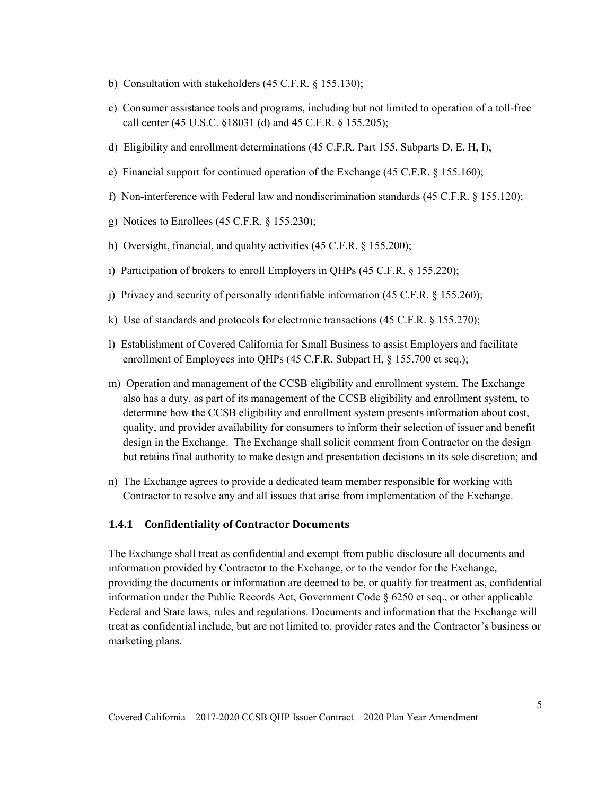- b) Consultation with stakeholders (45 C.F.R. § 155.130);
- c) Consumer assistance tools and programs, including but not limited to operation of a toll-free call center (45 U.S.C. §18031 (d) and 45 C.F.R. § 155.205);
- d) Eligibility and enrollment determinations (45 C.F.R. Part 155, Subparts D, E, H, I);
- e) Financial support for continued operation of the Exchange (45 C.F.R. § 155.160);
- f) Non-interference with Federal law and nondiscrimination standards (45 C.F.R. § 155.120);
- g) Notices to Enrollees (45 C.F.R. § 155.230);
- h) Oversight, financial, and quality activities (45 C.F.R. § 155.200);
- i) Participation of brokers to enroll Employers in QHPs (45 C.F.R. § 155.220);
- j) Privacy and security of personally identifiable information (45 C.F.R. § 155.260);
- k) Use of standards and protocols for electronic transactions (45 C.F.R. § 155.270);
- l) Establishment of Covered California for Small Business to assist Employers and facilitate enrollment of Employees into QHPs (45 C.F.R. Subpart H, § 155.700 et seq.);
- m) Operation and management of the CCSB eligibility and enrollment system. The Exchange also has a duty, as part of its management of the CCSB eligibility and enrollment system, to determine how the CCSB eligibility and enrollment system presents information about cost, quality, and provider availability for consumers to inform their selection of issuer and benefit design in the Exchange. The Exchange shall solicit comment from Contractor on the design but retains final authority to make design and presentation decisions in its sole discretion; and
- n) The Exchange agrees to provide a dedicated team member responsible for working with Contractor to resolve any and all issues that arise from implementation of the Exchange.

#### <span id="page-10-0"></span>**1.4.1 Confidentiality of Contractor Documents**

The Exchange shall treat as confidential and exempt from public disclosure all documents and information provided by Contractor to the Exchange, or to the vendor for the Exchange, providing the documents or information are deemed to be, or qualify for treatment as, confidential information under the Public Records Act, Government Code § 6250 et seq., or other applicable Federal and State laws, rules and regulations. Documents and information that the Exchange will treat as confidential include, but are not limited to, provider rates and the Contractor's business or marketing plans.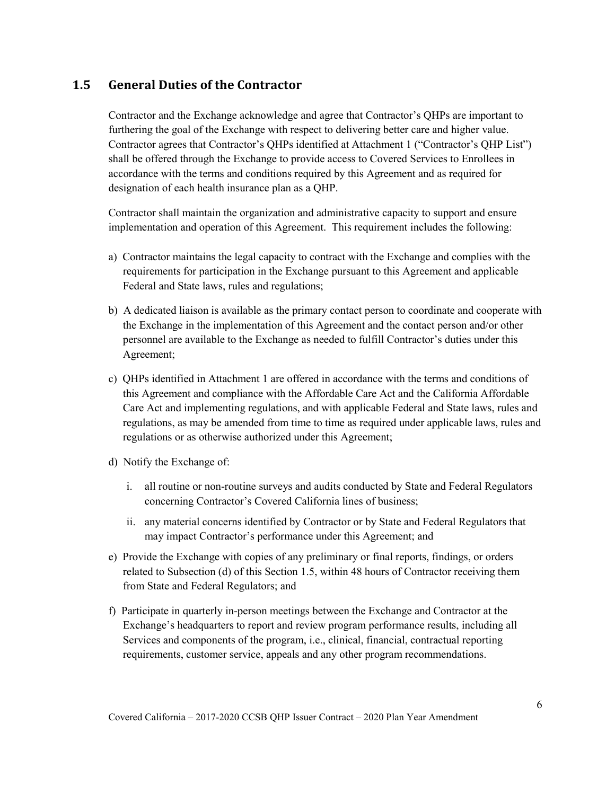### <span id="page-11-0"></span>**1.5 General Duties of the Contractor**

Contractor and the Exchange acknowledge and agree that Contractor's QHPs are important to furthering the goal of the Exchange with respect to delivering better care and higher value. Contractor agrees that Contractor's QHPs identified at Attachment 1 ("Contractor's QHP List") shall be offered through the Exchange to provide access to Covered Services to Enrollees in accordance with the terms and conditions required by this Agreement and as required for designation of each health insurance plan as a QHP.

Contractor shall maintain the organization and administrative capacity to support and ensure implementation and operation of this Agreement. This requirement includes the following:

- a) Contractor maintains the legal capacity to contract with the Exchange and complies with the requirements for participation in the Exchange pursuant to this Agreement and applicable Federal and State laws, rules and regulations;
- b) A dedicated liaison is available as the primary contact person to coordinate and cooperate with the Exchange in the implementation of this Agreement and the contact person and/or other personnel are available to the Exchange as needed to fulfill Contractor's duties under this Agreement;
- c) QHPs identified in Attachment 1 are offered in accordance with the terms and conditions of this Agreement and compliance with the Affordable Care Act and the California Affordable Care Act and implementing regulations, and with applicable Federal and State laws, rules and regulations, as may be amended from time to time as required under applicable laws, rules and regulations or as otherwise authorized under this Agreement;
- d) Notify the Exchange of:
	- i. all routine or non-routine surveys and audits conducted by State and Federal Regulators concerning Contractor's Covered California lines of business;
	- ii. any material concerns identified by Contractor or by State and Federal Regulators that may impact Contractor's performance under this Agreement; and
- e) Provide the Exchange with copies of any preliminary or final reports, findings, or orders related to Subsection (d) of this Section 1.5, within 48 hours of Contractor receiving them from State and Federal Regulators; and
- f) Participate in quarterly in-person meetings between the Exchange and Contractor at the Exchange's headquarters to report and review program performance results, including all Services and components of the program, i.e., clinical, financial, contractual reporting requirements, customer service, appeals and any other program recommendations.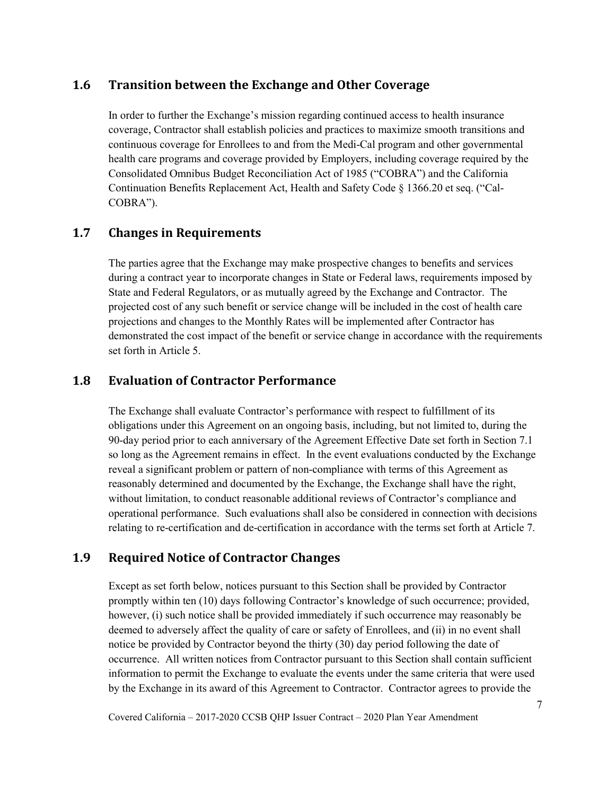### <span id="page-12-0"></span>**1.6 Transition between the Exchange and Other Coverage**

In order to further the Exchange's mission regarding continued access to health insurance coverage, Contractor shall establish policies and practices to maximize smooth transitions and continuous coverage for Enrollees to and from the Medi-Cal program and other governmental health care programs and coverage provided by Employers, including coverage required by the Consolidated Omnibus Budget Reconciliation Act of 1985 ("COBRA") and the California Continuation Benefits Replacement Act, Health and Safety Code § 1366.20 et seq. ("Cal-COBRA").

## <span id="page-12-1"></span>**1.7 Changes in Requirements**

The parties agree that the Exchange may make prospective changes to benefits and services during a contract year to incorporate changes in State or Federal laws, requirements imposed by State and Federal Regulators, or as mutually agreed by the Exchange and Contractor. The projected cost of any such benefit or service change will be included in the cost of health care projections and changes to the Monthly Rates will be implemented after Contractor has demonstrated the cost impact of the benefit or service change in accordance with the requirements set forth in Article 5.

### <span id="page-12-2"></span>**1.8 Evaluation of Contractor Performance**

The Exchange shall evaluate Contractor's performance with respect to fulfillment of its obligations under this Agreement on an ongoing basis, including, but not limited to, during the 90-day period prior to each anniversary of the Agreement Effective Date set forth in Section 7.1 so long as the Agreement remains in effect. In the event evaluations conducted by the Exchange reveal a significant problem or pattern of non-compliance with terms of this Agreement as reasonably determined and documented by the Exchange, the Exchange shall have the right, without limitation, to conduct reasonable additional reviews of Contractor's compliance and operational performance. Such evaluations shall also be considered in connection with decisions relating to re-certification and de-certification in accordance with the terms set forth at Article 7.

## <span id="page-12-3"></span>**1.9 Required Notice of Contractor Changes**

Except as set forth below, notices pursuant to this Section shall be provided by Contractor promptly within ten (10) days following Contractor's knowledge of such occurrence; provided, however, (i) such notice shall be provided immediately if such occurrence may reasonably be deemed to adversely affect the quality of care or safety of Enrollees, and (ii) in no event shall notice be provided by Contractor beyond the thirty (30) day period following the date of occurrence. All written notices from Contractor pursuant to this Section shall contain sufficient information to permit the Exchange to evaluate the events under the same criteria that were used by the Exchange in its award of this Agreement to Contractor. Contractor agrees to provide the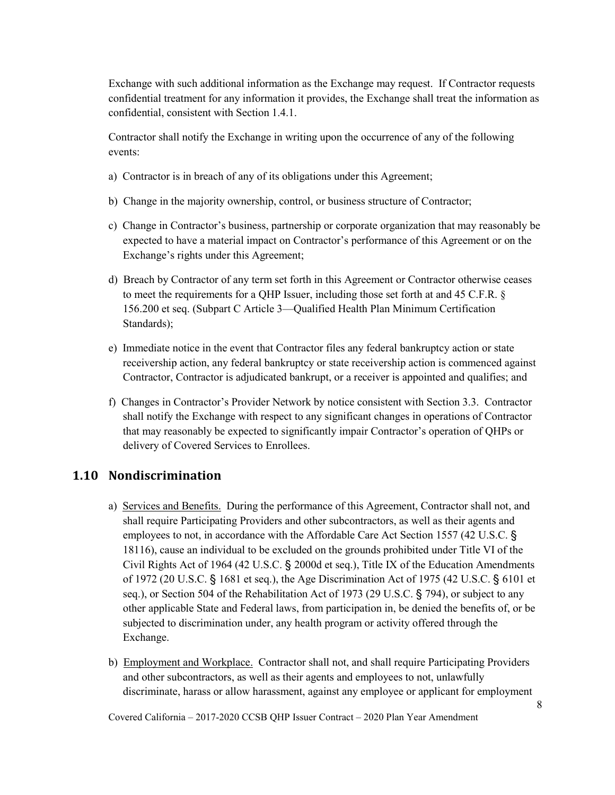Exchange with such additional information as the Exchange may request. If Contractor requests confidential treatment for any information it provides, the Exchange shall treat the information as confidential, consistent with Section 1.4.1.

Contractor shall notify the Exchange in writing upon the occurrence of any of the following events:

- a) Contractor is in breach of any of its obligations under this Agreement;
- b) Change in the majority ownership, control, or business structure of Contractor;
- c) Change in Contractor's business, partnership or corporate organization that may reasonably be expected to have a material impact on Contractor's performance of this Agreement or on the Exchange's rights under this Agreement;
- d) Breach by Contractor of any term set forth in this Agreement or Contractor otherwise ceases to meet the requirements for a QHP Issuer, including those set forth at and 45 C.F.R. § 156.200 et seq. (Subpart C Article 3—Qualified Health Plan Minimum Certification Standards);
- e) Immediate notice in the event that Contractor files any federal bankruptcy action or state receivership action, any federal bankruptcy or state receivership action is commenced against Contractor, Contractor is adjudicated bankrupt, or a receiver is appointed and qualifies; and
- f) Changes in Contractor's Provider Network by notice consistent with Section 3.3. Contractor shall notify the Exchange with respect to any significant changes in operations of Contractor that may reasonably be expected to significantly impair Contractor's operation of QHPs or delivery of Covered Services to Enrollees.

### <span id="page-13-0"></span>**1.10 Nondiscrimination**

- a) Services and Benefits. During the performance of this Agreement, Contractor shall not, and shall require Participating Providers and other subcontractors, as well as their agents and employees to not, in accordance with the Affordable Care Act Section 1557 (42 U.S.C. § 18116), cause an individual to be excluded on the grounds prohibited under Title VI of the Civil Rights Act of 1964 (42 U.S.C. § 2000d et seq.), Title IX of the Education Amendments of 1972 (20 U.S.C. § 1681 et seq.), the Age Discrimination Act of 1975 (42 U.S.C. § 6101 et seq.), or Section 504 of the Rehabilitation Act of 1973 (29 U.S.C. § 794), or subject to any other applicable State and Federal laws, from participation in, be denied the benefits of, or be subjected to discrimination under, any health program or activity offered through the Exchange.
- b) Employment and Workplace. Contractor shall not, and shall require Participating Providers and other subcontractors, as well as their agents and employees to not, unlawfully discriminate, harass or allow harassment, against any employee or applicant for employment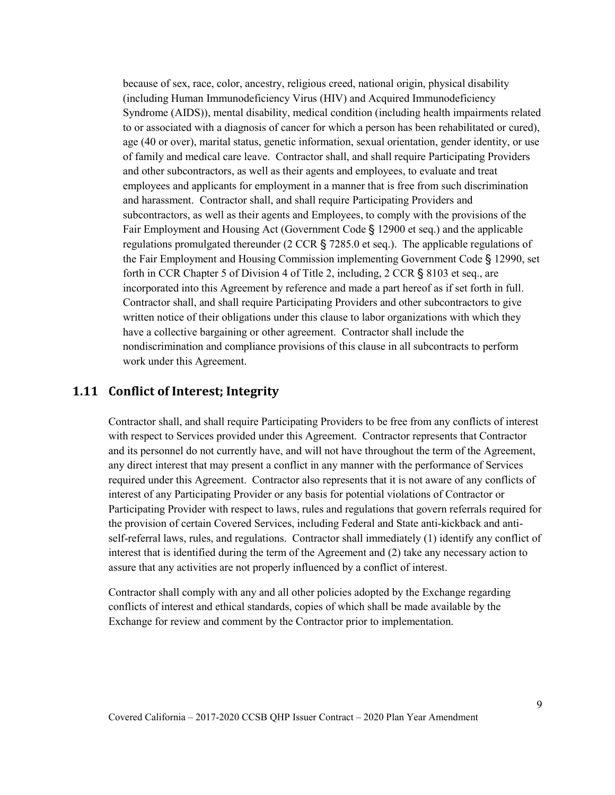because of sex, race, color, ancestry, religious creed, national origin, physical disability (including Human Immunodeficiency Virus (HIV) and Acquired Immunodeficiency Syndrome (AIDS)), mental disability, medical condition (including health impairments related to or associated with a diagnosis of cancer for which a person has been rehabilitated or cured), age (40 or over), marital status, genetic information, sexual orientation, gender identity, or use of family and medical care leave. Contractor shall, and shall require Participating Providers and other subcontractors, as well as their agents and employees, to evaluate and treat employees and applicants for employment in a manner that is free from such discrimination and harassment. Contractor shall, and shall require Participating Providers and subcontractors, as well as their agents and Employees, to comply with the provisions of the Fair Employment and Housing Act (Government Code § 12900 et seq.) and the applicable regulations promulgated thereunder (2 CCR § 7285.0 et seq.). The applicable regulations of the Fair Employment and Housing Commission implementing Government Code § 12990, set forth in CCR Chapter 5 of Division 4 of Title 2, including, 2 CCR § 8103 et seq., are incorporated into this Agreement by reference and made a part hereof as if set forth in full. Contractor shall, and shall require Participating Providers and other subcontractors to give written notice of their obligations under this clause to labor organizations with which they have a collective bargaining or other agreement. Contractor shall include the nondiscrimination and compliance provisions of this clause in all subcontracts to perform work under this Agreement.

### <span id="page-14-0"></span>**1.11 Conflict of Interest; Integrity**

Contractor shall, and shall require Participating Providers to be free from any conflicts of interest with respect to Services provided under this Agreement. Contractor represents that Contractor and its personnel do not currently have, and will not have throughout the term of the Agreement, any direct interest that may present a conflict in any manner with the performance of Services required under this Agreement. Contractor also represents that it is not aware of any conflicts of interest of any Participating Provider or any basis for potential violations of Contractor or Participating Provider with respect to laws, rules and regulations that govern referrals required for the provision of certain Covered Services, including Federal and State anti-kickback and antiself-referral laws, rules, and regulations. Contractor shall immediately (1) identify any conflict of interest that is identified during the term of the Agreement and (2) take any necessary action to assure that any activities are not properly influenced by a conflict of interest.

Contractor shall comply with any and all other policies adopted by the Exchange regarding conflicts of interest and ethical standards, copies of which shall be made available by the Exchange for review and comment by the Contractor prior to implementation.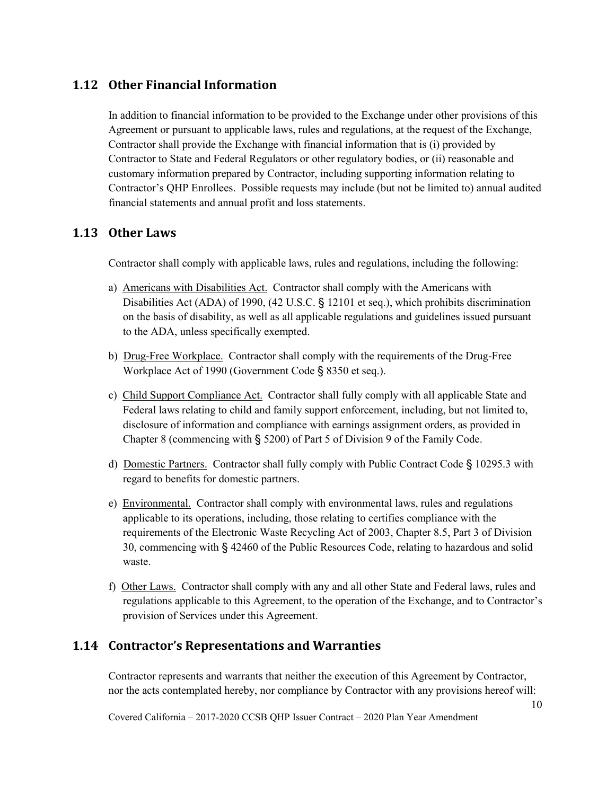## <span id="page-15-0"></span>**1.12 Other Financial Information**

In addition to financial information to be provided to the Exchange under other provisions of this Agreement or pursuant to applicable laws, rules and regulations, at the request of the Exchange, Contractor shall provide the Exchange with financial information that is (i) provided by Contractor to State and Federal Regulators or other regulatory bodies, or (ii) reasonable and customary information prepared by Contractor, including supporting information relating to Contractor's QHP Enrollees. Possible requests may include (but not be limited to) annual audited financial statements and annual profit and loss statements.

### <span id="page-15-1"></span>**1.13 Other Laws**

Contractor shall comply with applicable laws, rules and regulations, including the following:

- a) Americans with Disabilities Act. Contractor shall comply with the Americans with Disabilities Act (ADA) of 1990, (42 U.S.C. § 12101 et seq.), which prohibits discrimination on the basis of disability, as well as all applicable regulations and guidelines issued pursuant to the ADA, unless specifically exempted.
- b) Drug-Free Workplace. Contractor shall comply with the requirements of the Drug-Free Workplace Act of 1990 (Government Code § 8350 et seq.).
- c) Child Support Compliance Act. Contractor shall fully comply with all applicable State and Federal laws relating to child and family support enforcement, including, but not limited to, disclosure of information and compliance with earnings assignment orders, as provided in Chapter 8 (commencing with § 5200) of Part 5 of Division 9 of the Family Code.
- d) Domestic Partners. Contractor shall fully comply with Public Contract Code § 10295.3 with regard to benefits for domestic partners.
- e) Environmental. Contractor shall comply with environmental laws, rules and regulations applicable to its operations, including, those relating to certifies compliance with the requirements of the Electronic Waste Recycling Act of 2003, Chapter 8.5, Part 3 of Division 30, commencing with § 42460 of the Public Resources Code, relating to hazardous and solid waste.
- f) Other Laws. Contractor shall comply with any and all other State and Federal laws, rules and regulations applicable to this Agreement, to the operation of the Exchange, and to Contractor's provision of Services under this Agreement.

### <span id="page-15-2"></span>**1.14 Contractor's Representations and Warranties**

Contractor represents and warrants that neither the execution of this Agreement by Contractor, nor the acts contemplated hereby, nor compliance by Contractor with any provisions hereof will: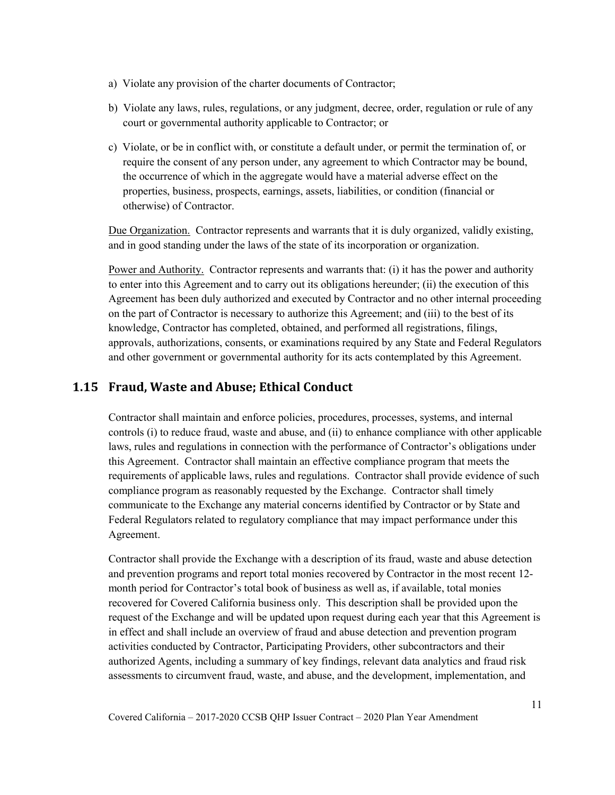- a) Violate any provision of the charter documents of Contractor;
- b) Violate any laws, rules, regulations, or any judgment, decree, order, regulation or rule of any court or governmental authority applicable to Contractor; or
- c) Violate, or be in conflict with, or constitute a default under, or permit the termination of, or require the consent of any person under, any agreement to which Contractor may be bound, the occurrence of which in the aggregate would have a material adverse effect on the properties, business, prospects, earnings, assets, liabilities, or condition (financial or otherwise) of Contractor.

Due Organization. Contractor represents and warrants that it is duly organized, validly existing, and in good standing under the laws of the state of its incorporation or organization.

Power and Authority. Contractor represents and warrants that: (i) it has the power and authority to enter into this Agreement and to carry out its obligations hereunder; (ii) the execution of this Agreement has been duly authorized and executed by Contractor and no other internal proceeding on the part of Contractor is necessary to authorize this Agreement; and (iii) to the best of its knowledge, Contractor has completed, obtained, and performed all registrations, filings, approvals, authorizations, consents, or examinations required by any State and Federal Regulators and other government or governmental authority for its acts contemplated by this Agreement.

## <span id="page-16-0"></span>**1.15 Fraud, Waste and Abuse; Ethical Conduct**

Contractor shall maintain and enforce policies, procedures, processes, systems, and internal controls (i) to reduce fraud, waste and abuse, and (ii) to enhance compliance with other applicable laws, rules and regulations in connection with the performance of Contractor's obligations under this Agreement. Contractor shall maintain an effective compliance program that meets the requirements of applicable laws, rules and regulations. Contractor shall provide evidence of such compliance program as reasonably requested by the Exchange. Contractor shall timely communicate to the Exchange any material concerns identified by Contractor or by State and Federal Regulators related to regulatory compliance that may impact performance under this Agreement.

Contractor shall provide the Exchange with a description of its fraud, waste and abuse detection and prevention programs and report total monies recovered by Contractor in the most recent 12 month period for Contractor's total book of business as well as, if available, total monies recovered for Covered California business only. This description shall be provided upon the request of the Exchange and will be updated upon request during each year that this Agreement is in effect and shall include an overview of fraud and abuse detection and prevention program activities conducted by Contractor, Participating Providers, other subcontractors and their authorized Agents, including a summary of key findings, relevant data analytics and fraud risk assessments to circumvent fraud, waste, and abuse, and the development, implementation, and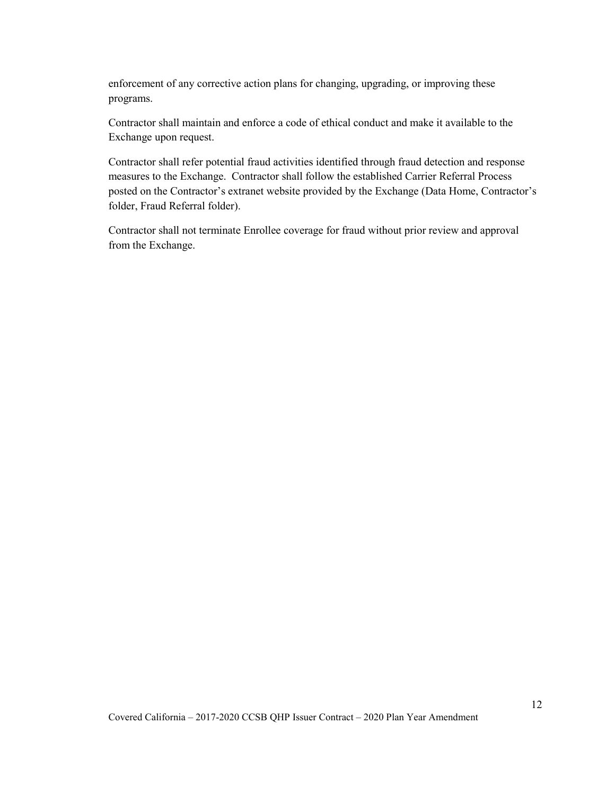enforcement of any corrective action plans for changing, upgrading, or improving these programs.

Contractor shall maintain and enforce a code of ethical conduct and make it available to the Exchange upon request.

Contractor shall refer potential fraud activities identified through fraud detection and response measures to the Exchange. Contractor shall follow the established Carrier Referral Process posted on the Contractor's extranet website provided by the Exchange (Data Home, Contractor's folder, Fraud Referral folder).

Contractor shall not terminate Enrollee coverage for fraud without prior review and approval from the Exchange.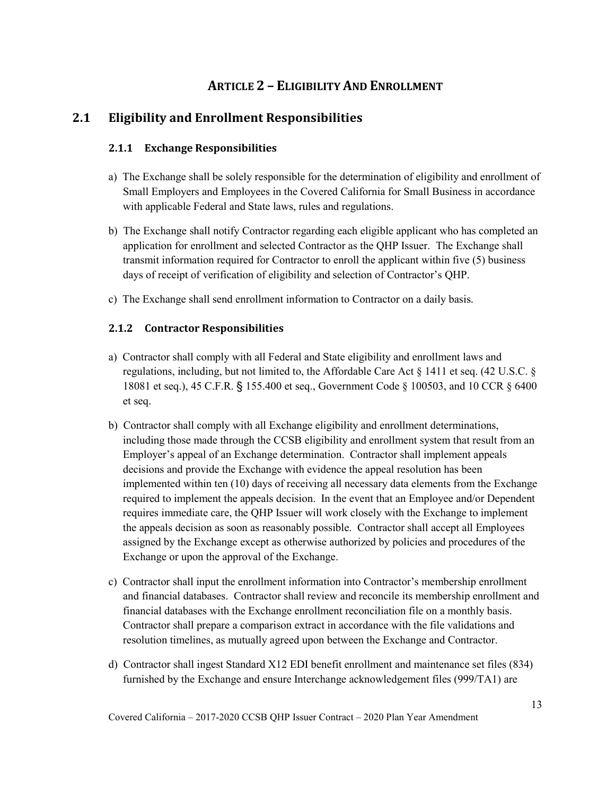## **ARTICLE 2 – ELIGIBILITY AND ENROLLMENT**

## <span id="page-18-2"></span><span id="page-18-1"></span><span id="page-18-0"></span>**2.1 Eligibility and Enrollment Responsibilities**

### **2.1.1 Exchange Responsibilities**

- a) The Exchange shall be solely responsible for the determination of eligibility and enrollment of Small Employers and Employees in the Covered California for Small Business in accordance with applicable Federal and State laws, rules and regulations.
- b) The Exchange shall notify Contractor regarding each eligible applicant who has completed an application for enrollment and selected Contractor as the QHP Issuer. The Exchange shall transmit information required for Contractor to enroll the applicant within five (5) business days of receipt of verification of eligibility and selection of Contractor's QHP.
- c) The Exchange shall send enrollment information to Contractor on a daily basis.

### <span id="page-18-3"></span>**2.1.2 Contractor Responsibilities**

- a) Contractor shall comply with all Federal and State eligibility and enrollment laws and regulations, including, but not limited to, the Affordable Care Act § 1411 et seq. (42 U.S.C. § 18081 et seq.), 45 C.F.R. § 155.400 et seq., Government Code § 100503, and 10 CCR § 6400 et seq.
- b) Contractor shall comply with all Exchange eligibility and enrollment determinations, including those made through the CCSB eligibility and enrollment system that result from an Employer's appeal of an Exchange determination. Contractor shall implement appeals decisions and provide the Exchange with evidence the appeal resolution has been implemented within ten (10) days of receiving all necessary data elements from the Exchange required to implement the appeals decision. In the event that an Employee and/or Dependent requires immediate care, the QHP Issuer will work closely with the Exchange to implement the appeals decision as soon as reasonably possible. Contractor shall accept all Employees assigned by the Exchange except as otherwise authorized by policies and procedures of the Exchange or upon the approval of the Exchange.
- c) Contractor shall input the enrollment information into Contractor's membership enrollment and financial databases. Contractor shall review and reconcile its membership enrollment and financial databases with the Exchange enrollment reconciliation file on a monthly basis. Contractor shall prepare a comparison extract in accordance with the file validations and resolution timelines, as mutually agreed upon between the Exchange and Contractor.
- d) Contractor shall ingest Standard X12 EDI benefit enrollment and maintenance set files (834) furnished by the Exchange and ensure Interchange acknowledgement files (999/TA1) are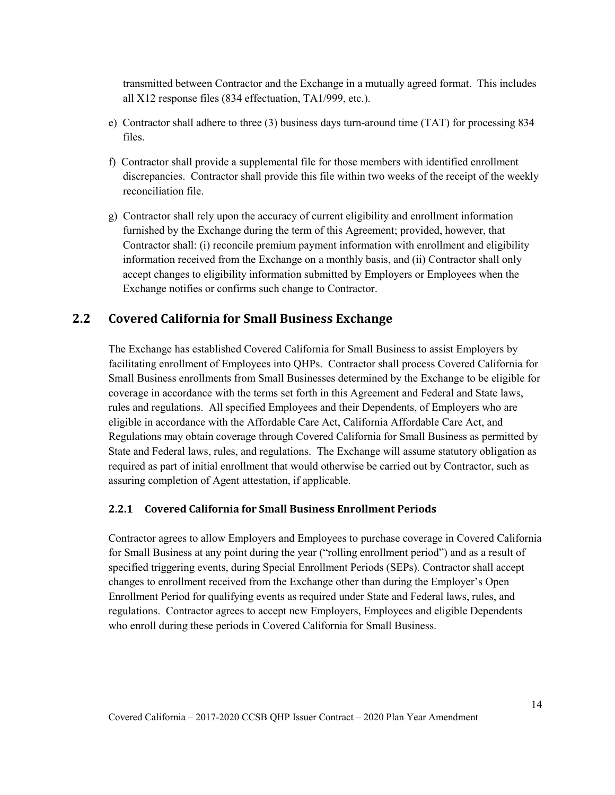transmitted between Contractor and the Exchange in a mutually agreed format. This includes all X12 response files (834 effectuation, TA1/999, etc.).

- e) Contractor shall adhere to three (3) business days turn-around time (TAT) for processing 834 files.
- f) Contractor shall provide a supplemental file for those members with identified enrollment discrepancies. Contractor shall provide this file within two weeks of the receipt of the weekly reconciliation file.
- g) Contractor shall rely upon the accuracy of current eligibility and enrollment information furnished by the Exchange during the term of this Agreement; provided, however, that Contractor shall: (i) reconcile premium payment information with enrollment and eligibility information received from the Exchange on a monthly basis, and (ii) Contractor shall only accept changes to eligibility information submitted by Employers or Employees when the Exchange notifies or confirms such change to Contractor.

### <span id="page-19-0"></span>**2.2 Covered California for Small Business Exchange**

The Exchange has established Covered California for Small Business to assist Employers by facilitating enrollment of Employees into QHPs. Contractor shall process Covered California for Small Business enrollments from Small Businesses determined by the Exchange to be eligible for coverage in accordance with the terms set forth in this Agreement and Federal and State laws, rules and regulations. All specified Employees and their Dependents, of Employers who are eligible in accordance with the Affordable Care Act, California Affordable Care Act, and Regulations may obtain coverage through Covered California for Small Business as permitted by State and Federal laws, rules, and regulations. The Exchange will assume statutory obligation as required as part of initial enrollment that would otherwise be carried out by Contractor, such as assuring completion of Agent attestation, if applicable.

#### <span id="page-19-1"></span>**2.2.1 Covered California for Small Business Enrollment Periods**

Contractor agrees to allow Employers and Employees to purchase coverage in Covered California for Small Business at any point during the year ("rolling enrollment period") and as a result of specified triggering events, during Special Enrollment Periods (SEPs). Contractor shall accept changes to enrollment received from the Exchange other than during the Employer's Open Enrollment Period for qualifying events as required under State and Federal laws, rules, and regulations. Contractor agrees to accept new Employers, Employees and eligible Dependents who enroll during these periods in Covered California for Small Business.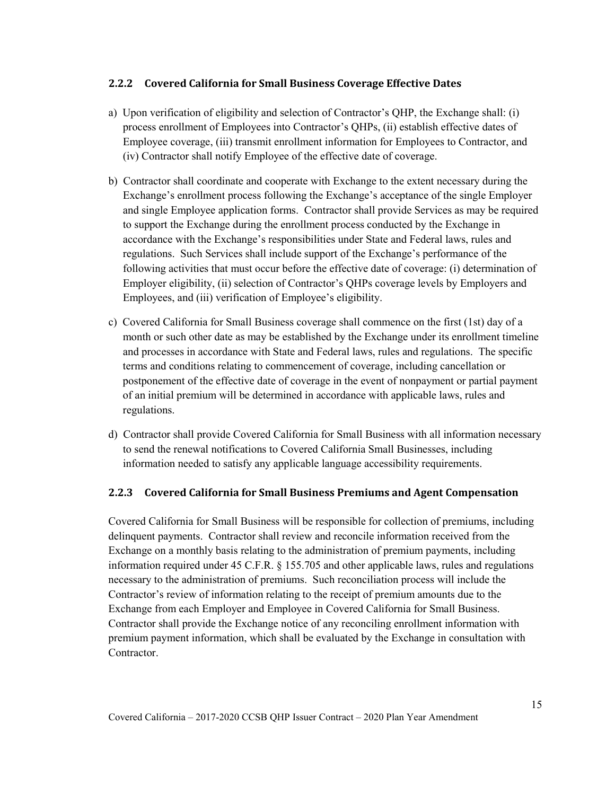#### <span id="page-20-0"></span>**2.2.2 Covered California for Small Business Coverage Effective Dates**

- a) Upon verification of eligibility and selection of Contractor's QHP, the Exchange shall: (i) process enrollment of Employees into Contractor's QHPs, (ii) establish effective dates of Employee coverage, (iii) transmit enrollment information for Employees to Contractor, and (iv) Contractor shall notify Employee of the effective date of coverage.
- b) Contractor shall coordinate and cooperate with Exchange to the extent necessary during the Exchange's enrollment process following the Exchange's acceptance of the single Employer and single Employee application forms. Contractor shall provide Services as may be required to support the Exchange during the enrollment process conducted by the Exchange in accordance with the Exchange's responsibilities under State and Federal laws, rules and regulations. Such Services shall include support of the Exchange's performance of the following activities that must occur before the effective date of coverage: (i) determination of Employer eligibility, (ii) selection of Contractor's QHPs coverage levels by Employers and Employees, and (iii) verification of Employee's eligibility.
- c) Covered California for Small Business coverage shall commence on the first (1st) day of a month or such other date as may be established by the Exchange under its enrollment timeline and processes in accordance with State and Federal laws, rules and regulations. The specific terms and conditions relating to commencement of coverage, including cancellation or postponement of the effective date of coverage in the event of nonpayment or partial payment of an initial premium will be determined in accordance with applicable laws, rules and regulations.
- d) Contractor shall provide Covered California for Small Business with all information necessary to send the renewal notifications to Covered California Small Businesses, including information needed to satisfy any applicable language accessibility requirements.

### <span id="page-20-1"></span>**2.2.3 Covered California for Small Business Premiums and Agent Compensation**

Covered California for Small Business will be responsible for collection of premiums, including delinquent payments. Contractor shall review and reconcile information received from the Exchange on a monthly basis relating to the administration of premium payments, including information required under 45 C.F.R. § 155.705 and other applicable laws, rules and regulations necessary to the administration of premiums. Such reconciliation process will include the Contractor's review of information relating to the receipt of premium amounts due to the Exchange from each Employer and Employee in Covered California for Small Business. Contractor shall provide the Exchange notice of any reconciling enrollment information with premium payment information, which shall be evaluated by the Exchange in consultation with Contractor.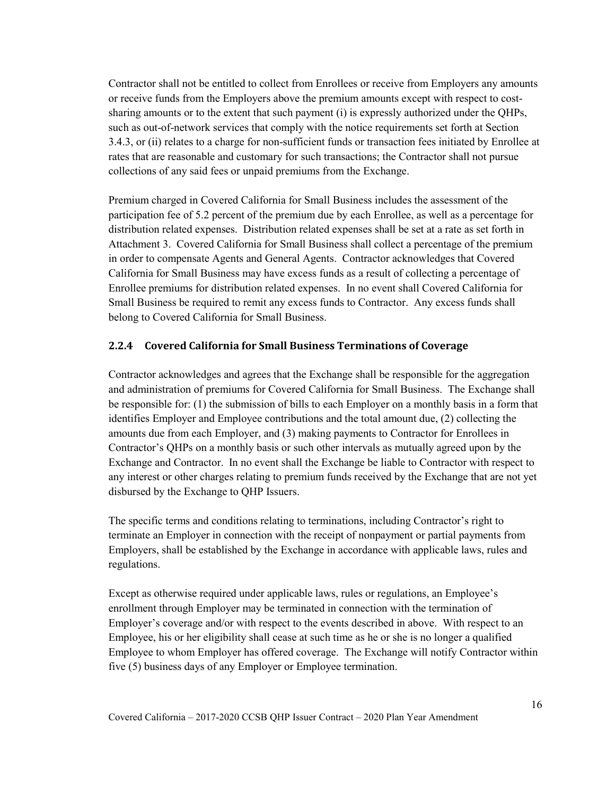Contractor shall not be entitled to collect from Enrollees or receive from Employers any amounts or receive funds from the Employers above the premium amounts except with respect to costsharing amounts or to the extent that such payment (i) is expressly authorized under the QHPs, such as out-of-network services that comply with the notice requirements set forth at Section 3.4.3, or (ii) relates to a charge for non-sufficient funds or transaction fees initiated by Enrollee at rates that are reasonable and customary for such transactions; the Contractor shall not pursue collections of any said fees or unpaid premiums from the Exchange.

Premium charged in Covered California for Small Business includes the assessment of the participation fee of 5.2 percent of the premium due by each Enrollee, as well as a percentage for distribution related expenses. Distribution related expenses shall be set at a rate as set forth in Attachment 3. Covered California for Small Business shall collect a percentage of the premium in order to compensate Agents and General Agents. Contractor acknowledges that Covered California for Small Business may have excess funds as a result of collecting a percentage of Enrollee premiums for distribution related expenses. In no event shall Covered California for Small Business be required to remit any excess funds to Contractor. Any excess funds shall belong to Covered California for Small Business.

#### <span id="page-21-0"></span>**2.2.4 Covered California for Small Business Terminations of Coverage**

Contractor acknowledges and agrees that the Exchange shall be responsible for the aggregation and administration of premiums for Covered California for Small Business. The Exchange shall be responsible for: (1) the submission of bills to each Employer on a monthly basis in a form that identifies Employer and Employee contributions and the total amount due, (2) collecting the amounts due from each Employer, and (3) making payments to Contractor for Enrollees in Contractor's QHPs on a monthly basis or such other intervals as mutually agreed upon by the Exchange and Contractor. In no event shall the Exchange be liable to Contractor with respect to any interest or other charges relating to premium funds received by the Exchange that are not yet disbursed by the Exchange to QHP Issuers.

The specific terms and conditions relating to terminations, including Contractor's right to terminate an Employer in connection with the receipt of nonpayment or partial payments from Employers, shall be established by the Exchange in accordance with applicable laws, rules and regulations.

Except as otherwise required under applicable laws, rules or regulations, an Employee's enrollment through Employer may be terminated in connection with the termination of Employer's coverage and/or with respect to the events described in above. With respect to an Employee, his or her eligibility shall cease at such time as he or she is no longer a qualified Employee to whom Employer has offered coverage. The Exchange will notify Contractor within five (5) business days of any Employer or Employee termination.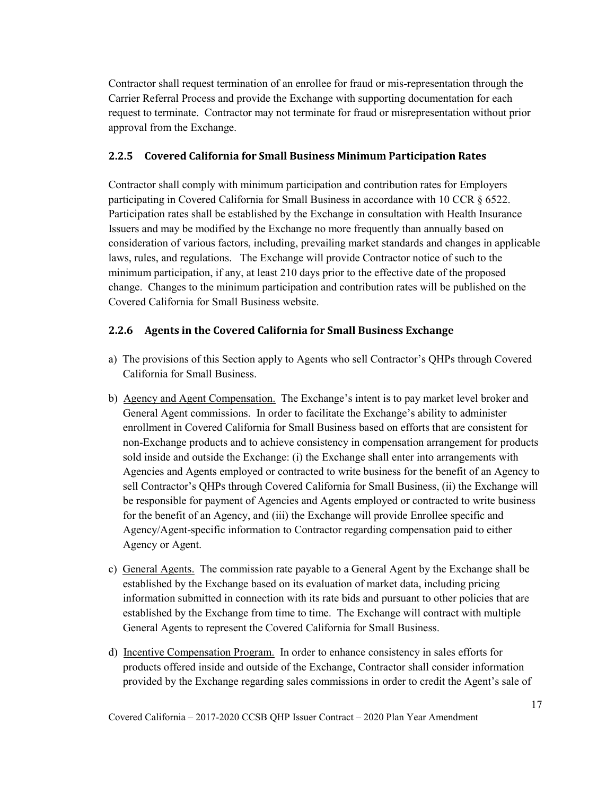Contractor shall request termination of an enrollee for fraud or mis-representation through the Carrier Referral Process and provide the Exchange with supporting documentation for each request to terminate. Contractor may not terminate for fraud or misrepresentation without prior approval from the Exchange.

#### <span id="page-22-0"></span>**2.2.5 Covered California for Small Business Minimum Participation Rates**

Contractor shall comply with minimum participation and contribution rates for Employers participating in Covered California for Small Business in accordance with 10 CCR § 6522. Participation rates shall be established by the Exchange in consultation with Health Insurance Issuers and may be modified by the Exchange no more frequently than annually based on consideration of various factors, including, prevailing market standards and changes in applicable laws, rules, and regulations. The Exchange will provide Contractor notice of such to the minimum participation, if any, at least 210 days prior to the effective date of the proposed change. Changes to the minimum participation and contribution rates will be published on the Covered California for Small Business website.

#### <span id="page-22-1"></span>**2.2.6 Agents in the Covered California for Small Business Exchange**

- a) The provisions of this Section apply to Agents who sell Contractor's QHPs through Covered California for Small Business.
- b) Agency and Agent Compensation. The Exchange's intent is to pay market level broker and General Agent commissions. In order to facilitate the Exchange's ability to administer enrollment in Covered California for Small Business based on efforts that are consistent for non-Exchange products and to achieve consistency in compensation arrangement for products sold inside and outside the Exchange: (i) the Exchange shall enter into arrangements with Agencies and Agents employed or contracted to write business for the benefit of an Agency to sell Contractor's QHPs through Covered California for Small Business, (ii) the Exchange will be responsible for payment of Agencies and Agents employed or contracted to write business for the benefit of an Agency, and (iii) the Exchange will provide Enrollee specific and Agency/Agent-specific information to Contractor regarding compensation paid to either Agency or Agent.
- c) General Agents. The commission rate payable to a General Agent by the Exchange shall be established by the Exchange based on its evaluation of market data, including pricing information submitted in connection with its rate bids and pursuant to other policies that are established by the Exchange from time to time. The Exchange will contract with multiple General Agents to represent the Covered California for Small Business.
- d) Incentive Compensation Program. In order to enhance consistency in sales efforts for products offered inside and outside of the Exchange, Contractor shall consider information provided by the Exchange regarding sales commissions in order to credit the Agent's sale of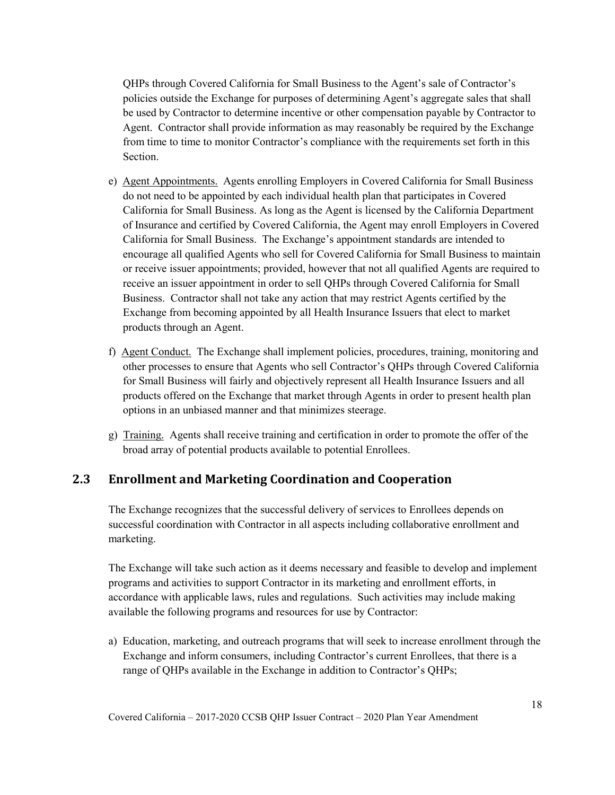QHPs through Covered California for Small Business to the Agent's sale of Contractor's policies outside the Exchange for purposes of determining Agent's aggregate sales that shall be used by Contractor to determine incentive or other compensation payable by Contractor to Agent. Contractor shall provide information as may reasonably be required by the Exchange from time to time to monitor Contractor's compliance with the requirements set forth in this Section.

- e) Agent Appointments. Agents enrolling Employers in Covered California for Small Business do not need to be appointed by each individual health plan that participates in Covered California for Small Business. As long as the Agent is licensed by the California Department of Insurance and certified by Covered California, the Agent may enroll Employers in Covered California for Small Business. The Exchange's appointment standards are intended to encourage all qualified Agents who sell for Covered California for Small Business to maintain or receive issuer appointments; provided, however that not all qualified Agents are required to receive an issuer appointment in order to sell QHPs through Covered California for Small Business. Contractor shall not take any action that may restrict Agents certified by the Exchange from becoming appointed by all Health Insurance Issuers that elect to market products through an Agent.
- f) Agent Conduct. The Exchange shall implement policies, procedures, training, monitoring and other processes to ensure that Agents who sell Contractor's QHPs through Covered California for Small Business will fairly and objectively represent all Health Insurance Issuers and all products offered on the Exchange that market through Agents in order to present health plan options in an unbiased manner and that minimizes steerage.
- g) Training. Agents shall receive training and certification in order to promote the offer of the broad array of potential products available to potential Enrollees.

## <span id="page-23-0"></span>**2.3 Enrollment and Marketing Coordination and Cooperation**

The Exchange recognizes that the successful delivery of services to Enrollees depends on successful coordination with Contractor in all aspects including collaborative enrollment and marketing.

The Exchange will take such action as it deems necessary and feasible to develop and implement programs and activities to support Contractor in its marketing and enrollment efforts, in accordance with applicable laws, rules and regulations. Such activities may include making available the following programs and resources for use by Contractor:

a) Education, marketing, and outreach programs that will seek to increase enrollment through the Exchange and inform consumers, including Contractor's current Enrollees, that there is a range of QHPs available in the Exchange in addition to Contractor's QHPs;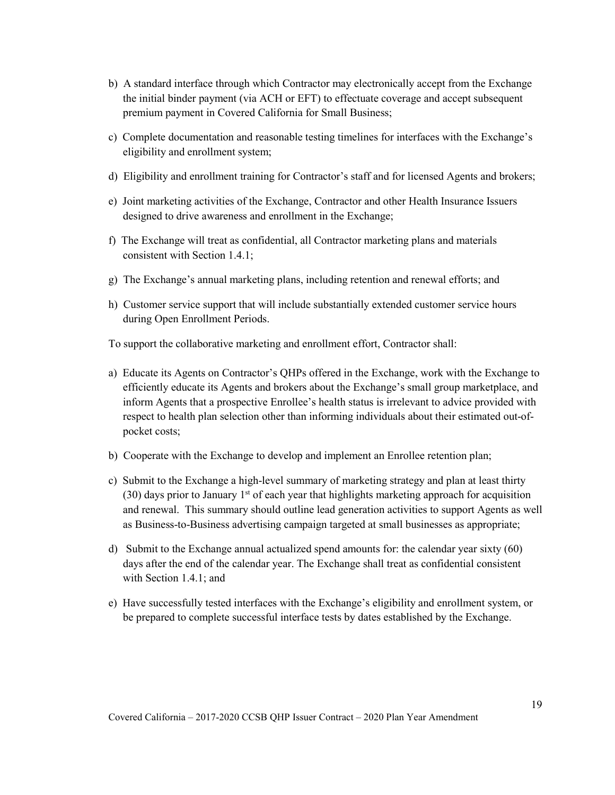- b) A standard interface through which Contractor may electronically accept from the Exchange the initial binder payment (via ACH or EFT) to effectuate coverage and accept subsequent premium payment in Covered California for Small Business;
- c) Complete documentation and reasonable testing timelines for interfaces with the Exchange's eligibility and enrollment system;
- d) Eligibility and enrollment training for Contractor's staff and for licensed Agents and brokers;
- e) Joint marketing activities of the Exchange, Contractor and other Health Insurance Issuers designed to drive awareness and enrollment in the Exchange;
- f) The Exchange will treat as confidential, all Contractor marketing plans and materials consistent with Section 1.4.1;
- g) The Exchange's annual marketing plans, including retention and renewal efforts; and
- h) Customer service support that will include substantially extended customer service hours during Open Enrollment Periods.

To support the collaborative marketing and enrollment effort, Contractor shall:

- a) Educate its Agents on Contractor's QHPs offered in the Exchange, work with the Exchange to efficiently educate its Agents and brokers about the Exchange's small group marketplace, and inform Agents that a prospective Enrollee's health status is irrelevant to advice provided with respect to health plan selection other than informing individuals about their estimated out-ofpocket costs;
- b) Cooperate with the Exchange to develop and implement an Enrollee retention plan;
- c) Submit to the Exchange a high-level summary of marketing strategy and plan at least thirty  $(30)$  days prior to January 1<sup>st</sup> of each year that highlights marketing approach for acquisition and renewal. This summary should outline lead generation activities to support Agents as well as Business-to-Business advertising campaign targeted at small businesses as appropriate;
- d) Submit to the Exchange annual actualized spend amounts for: the calendar year sixty (60) days after the end of the calendar year. The Exchange shall treat as confidential consistent with Section 1.4.1; and
- e) Have successfully tested interfaces with the Exchange's eligibility and enrollment system, or be prepared to complete successful interface tests by dates established by the Exchange.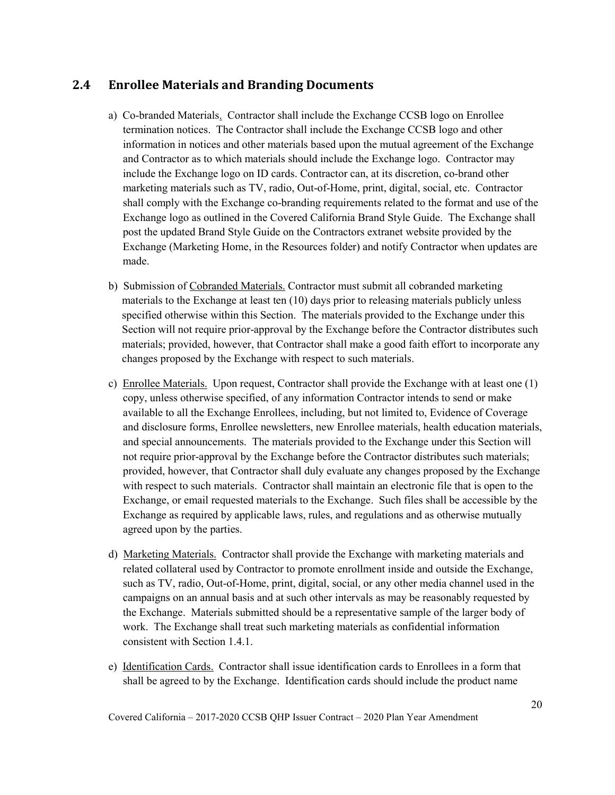## <span id="page-25-0"></span>**2.4 Enrollee Materials and Branding Documents**

- a) Co-branded Materials. Contractor shall include the Exchange CCSB logo on Enrollee termination notices. The Contractor shall include the Exchange CCSB logo and other information in notices and other materials based upon the mutual agreement of the Exchange and Contractor as to which materials should include the Exchange logo. Contractor may include the Exchange logo on ID cards. Contractor can, at its discretion, co-brand other marketing materials such as TV, radio, Out-of-Home, print, digital, social, etc. Contractor shall comply with the Exchange co-branding requirements related to the format and use of the Exchange logo as outlined in the Covered California Brand Style Guide. The Exchange shall post the updated Brand Style Guide on the Contractors extranet website provided by the Exchange (Marketing Home, in the Resources folder) and notify Contractor when updates are made.
- b) Submission of Cobranded Materials. Contractor must submit all cobranded marketing materials to the Exchange at least ten (10) days prior to releasing materials publicly unless specified otherwise within this Section. The materials provided to the Exchange under this Section will not require prior-approval by the Exchange before the Contractor distributes such materials; provided, however, that Contractor shall make a good faith effort to incorporate any changes proposed by the Exchange with respect to such materials.
- c) Enrollee Materials. Upon request, Contractor shall provide the Exchange with at least one (1) copy, unless otherwise specified, of any information Contractor intends to send or make available to all the Exchange Enrollees, including, but not limited to, Evidence of Coverage and disclosure forms, Enrollee newsletters, new Enrollee materials, health education materials, and special announcements. The materials provided to the Exchange under this Section will not require prior-approval by the Exchange before the Contractor distributes such materials; provided, however, that Contractor shall duly evaluate any changes proposed by the Exchange with respect to such materials. Contractor shall maintain an electronic file that is open to the Exchange, or email requested materials to the Exchange. Such files shall be accessible by the Exchange as required by applicable laws, rules, and regulations and as otherwise mutually agreed upon by the parties.
- d) Marketing Materials. Contractor shall provide the Exchange with marketing materials and related collateral used by Contractor to promote enrollment inside and outside the Exchange, such as TV, radio, Out-of-Home, print, digital, social, or any other media channel used in the campaigns on an annual basis and at such other intervals as may be reasonably requested by the Exchange. Materials submitted should be a representative sample of the larger body of work. The Exchange shall treat such marketing materials as confidential information consistent with Section 1.4.1.
- e) Identification Cards. Contractor shall issue identification cards to Enrollees in a form that shall be agreed to by the Exchange. Identification cards should include the product name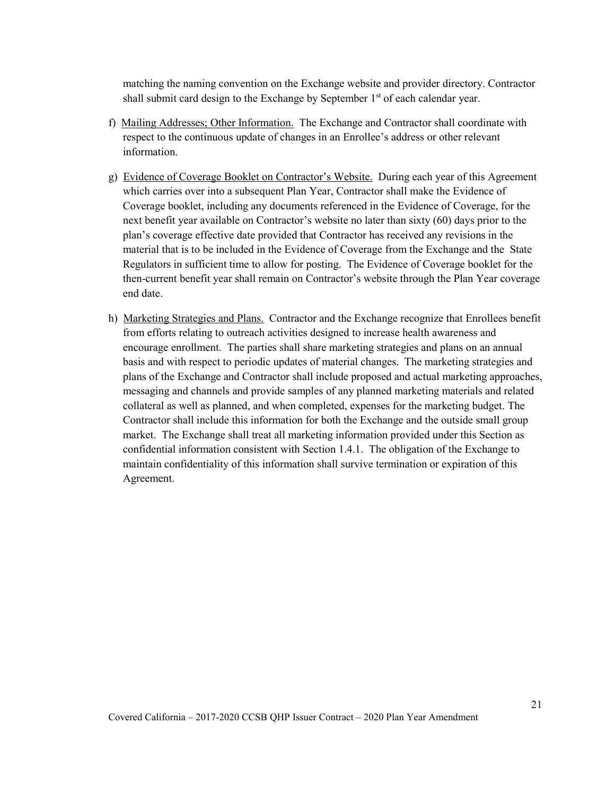matching the naming convention on the Exchange website and provider directory. Contractor shall submit card design to the Exchange by September  $1<sup>st</sup>$  of each calendar year.

- f) Mailing Addresses; Other Information. The Exchange and Contractor shall coordinate with respect to the continuous update of changes in an Enrollee's address or other relevant information.
- g) Evidence of Coverage Booklet on Contractor's Website. During each year of this Agreement which carries over into a subsequent Plan Year, Contractor shall make the Evidence of Coverage booklet, including any documents referenced in the Evidence of Coverage, for the next benefit year available on Contractor's website no later than sixty (60) days prior to the plan's coverage effective date provided that Contractor has received any revisions in the material that is to be included in the Evidence of Coverage from the Exchange and the State Regulators in sufficient time to allow for posting. The Evidence of Coverage booklet for the then-current benefit year shall remain on Contractor's website through the Plan Year coverage end date.
- h) Marketing Strategies and Plans. Contractor and the Exchange recognize that Enrollees benefit from efforts relating to outreach activities designed to increase health awareness and encourage enrollment. The parties shall share marketing strategies and plans on an annual basis and with respect to periodic updates of material changes. The marketing strategies and plans of the Exchange and Contractor shall include proposed and actual marketing approaches, messaging and channels and provide samples of any planned marketing materials and related collateral as well as planned, and when completed, expenses for the marketing budget. The Contractor shall include this information for both the Exchange and the outside small group market. The Exchange shall treat all marketing information provided under this Section as confidential information consistent with Section 1.4.1. The obligation of the Exchange to maintain confidentiality of this information shall survive termination or expiration of this Agreement.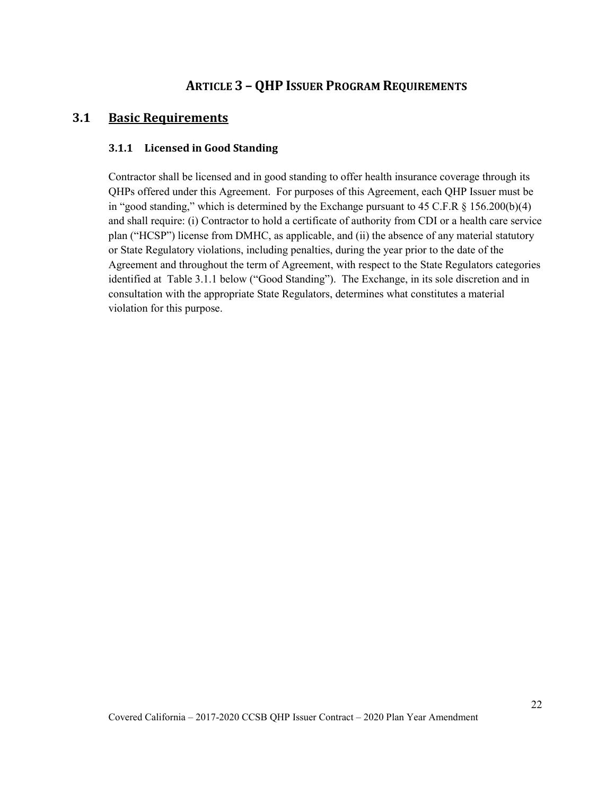## <span id="page-27-0"></span>**ARTICLE 3 – QHP ISSUER PROGRAM REQUIREMENTS**

### <span id="page-27-2"></span><span id="page-27-1"></span>**3.1 Basic Requirements**

#### **3.1.1 Licensed in Good Standing**

Contractor shall be licensed and in good standing to offer health insurance coverage through its QHPs offered under this Agreement. For purposes of this Agreement, each QHP Issuer must be in "good standing," which is determined by the Exchange pursuant to 45 C.F.R  $\S$  156.200(b)(4) and shall require: (i) Contractor to hold a certificate of authority from CDI or a health care service plan ("HCSP") license from DMHC, as applicable, and (ii) the absence of any material statutory or State Regulatory violations, including penalties, during the year prior to the date of the Agreement and throughout the term of Agreement, with respect to the State Regulators categories identified at Table 3.1.1 below ("Good Standing"). The Exchange, in its sole discretion and in consultation with the appropriate State Regulators, determines what constitutes a material violation for this purpose.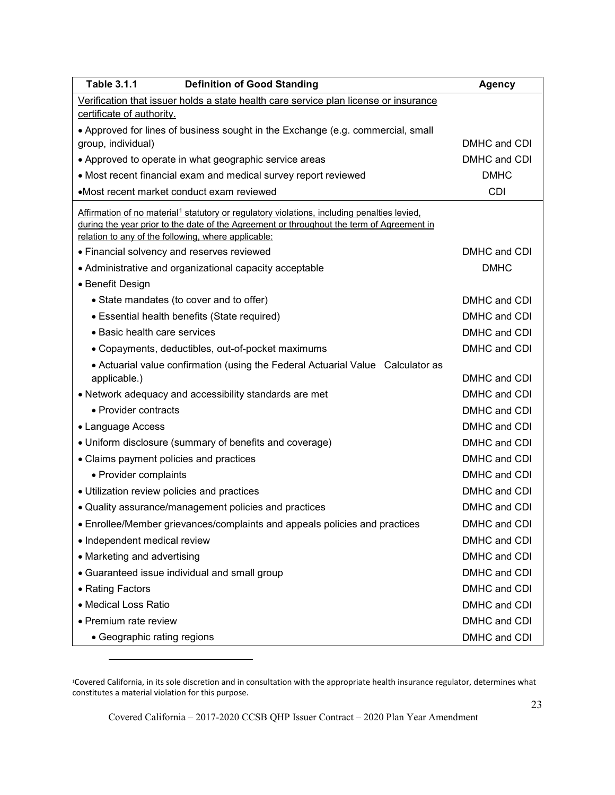| <b>Table 3.1.1</b><br><b>Definition of Good Standing</b>                                                                                                                                             | <b>Agency</b> |
|------------------------------------------------------------------------------------------------------------------------------------------------------------------------------------------------------|---------------|
| Verification that issuer holds a state health care service plan license or insurance                                                                                                                 |               |
| certificate of authority.                                                                                                                                                                            |               |
| • Approved for lines of business sought in the Exchange (e.g. commercial, small                                                                                                                      | DMHC and CDI  |
| group, individual)<br>• Approved to operate in what geographic service areas                                                                                                                         | DMHC and CDI  |
| • Most recent financial exam and medical survey report reviewed                                                                                                                                      | <b>DMHC</b>   |
| •Most recent market conduct exam reviewed                                                                                                                                                            | <b>CDI</b>    |
|                                                                                                                                                                                                      |               |
| Affirmation of no material <sup>1</sup> statutory or regulatory violations, including penalties levied,<br>during the year prior to the date of the Agreement or throughout the term of Agreement in |               |
| relation to any of the following, where applicable:                                                                                                                                                  |               |
| • Financial solvency and reserves reviewed                                                                                                                                                           | DMHC and CDI  |
| • Administrative and organizational capacity acceptable                                                                                                                                              | <b>DMHC</b>   |
| • Benefit Design                                                                                                                                                                                     |               |
| • State mandates (to cover and to offer)                                                                                                                                                             | DMHC and CDI  |
| • Essential health benefits (State required)                                                                                                                                                         | DMHC and CDI  |
| • Basic health care services                                                                                                                                                                         | DMHC and CDI  |
| • Copayments, deductibles, out-of-pocket maximums                                                                                                                                                    | DMHC and CDI  |
| • Actuarial value confirmation (using the Federal Actuarial Value Calculator as                                                                                                                      |               |
| applicable.)                                                                                                                                                                                         | DMHC and CDI  |
| • Network adequacy and accessibility standards are met                                                                                                                                               | DMHC and CDI  |
| • Provider contracts                                                                                                                                                                                 | DMHC and CDI  |
| • Language Access                                                                                                                                                                                    | DMHC and CDI  |
| • Uniform disclosure (summary of benefits and coverage)                                                                                                                                              | DMHC and CDI  |
| • Claims payment policies and practices                                                                                                                                                              | DMHC and CDI  |
| • Provider complaints                                                                                                                                                                                | DMHC and CDI  |
| • Utilization review policies and practices                                                                                                                                                          | DMHC and CDI  |
| • Quality assurance/management policies and practices                                                                                                                                                | DMHC and CDI  |
| • Enrollee/Member grievances/complaints and appeals policies and practices                                                                                                                           | DMHC and CDI  |
| • Independent medical review                                                                                                                                                                         | DMHC and CDI  |
| • Marketing and advertising                                                                                                                                                                          | DMHC and CDI  |
| • Guaranteed issue individual and small group                                                                                                                                                        | DMHC and CDI  |
| • Rating Factors                                                                                                                                                                                     | DMHC and CDI  |
| • Medical Loss Ratio                                                                                                                                                                                 | DMHC and CDI  |
| • Premium rate review                                                                                                                                                                                | DMHC and CDI  |
| • Geographic rating regions                                                                                                                                                                          | DMHC and CDI  |

<span id="page-28-0"></span><sup>1</sup>Covered California, in its sole discretion and in consultation with the appropriate health insurance regulator, determines what constitutes a material violation for this purpose.

Covered California – 2017-2020 CCSB QHP Issuer Contract – 2020 Plan Year Amendment

 $\overline{a}$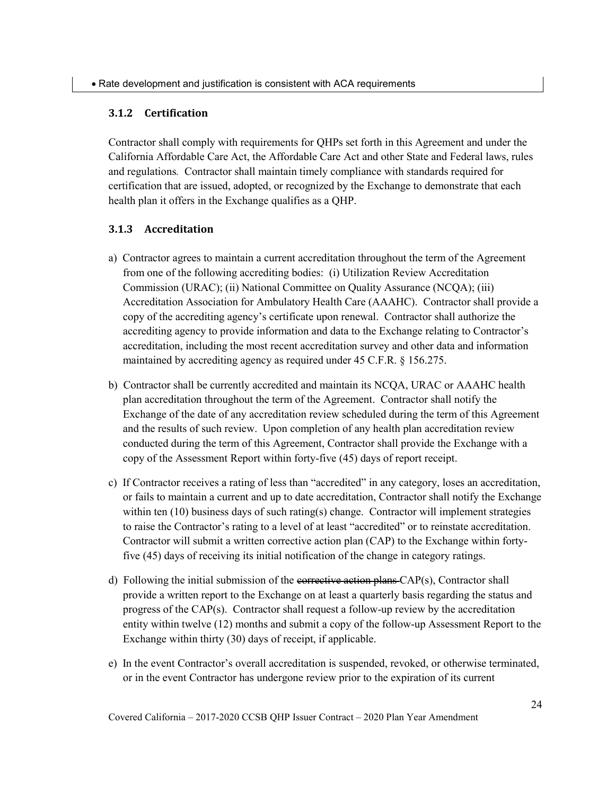#### <span id="page-29-0"></span>**3.1.2 Certification**

Contractor shall comply with requirements for QHPs set forth in this Agreement and under the California Affordable Care Act, the Affordable Care Act and other State and Federal laws, rules and regulations*.* Contractor shall maintain timely compliance with standards required for certification that are issued, adopted, or recognized by the Exchange to demonstrate that each health plan it offers in the Exchange qualifies as a QHP.

#### <span id="page-29-1"></span>**3.1.3 Accreditation**

- a) Contractor agrees to maintain a current accreditation throughout the term of the Agreement from one of the following accrediting bodies: (i) Utilization Review Accreditation Commission (URAC); (ii) National Committee on Quality Assurance (NCQA); (iii) Accreditation Association for Ambulatory Health Care (AAAHC). Contractor shall provide a copy of the accrediting agency's certificate upon renewal. Contractor shall authorize the accrediting agency to provide information and data to the Exchange relating to Contractor's accreditation, including the most recent accreditation survey and other data and information maintained by accrediting agency as required under 45 C.F.R. § 156.275.
- b) Contractor shall be currently accredited and maintain its NCQA, URAC or AAAHC health plan accreditation throughout the term of the Agreement. Contractor shall notify the Exchange of the date of any accreditation review scheduled during the term of this Agreement and the results of such review. Upon completion of any health plan accreditation review conducted during the term of this Agreement, Contractor shall provide the Exchange with a copy of the Assessment Report within forty-five (45) days of report receipt.
- c) If Contractor receives a rating of less than "accredited" in any category, loses an accreditation, or fails to maintain a current and up to date accreditation, Contractor shall notify the Exchange within ten  $(10)$  business days of such rating(s) change. Contractor will implement strategies to raise the Contractor's rating to a level of at least "accredited" or to reinstate accreditation. Contractor will submit a written corrective action plan (CAP) to the Exchange within fortyfive (45) days of receiving its initial notification of the change in category ratings.
- d) Following the initial submission of the corrective action plans  $CAP(s)$ , Contractor shall provide a written report to the Exchange on at least a quarterly basis regarding the status and progress of the CAP(s). Contractor shall request a follow-up review by the accreditation entity within twelve (12) months and submit a copy of the follow-up Assessment Report to the Exchange within thirty (30) days of receipt, if applicable.
- e) In the event Contractor's overall accreditation is suspended, revoked, or otherwise terminated, or in the event Contractor has undergone review prior to the expiration of its current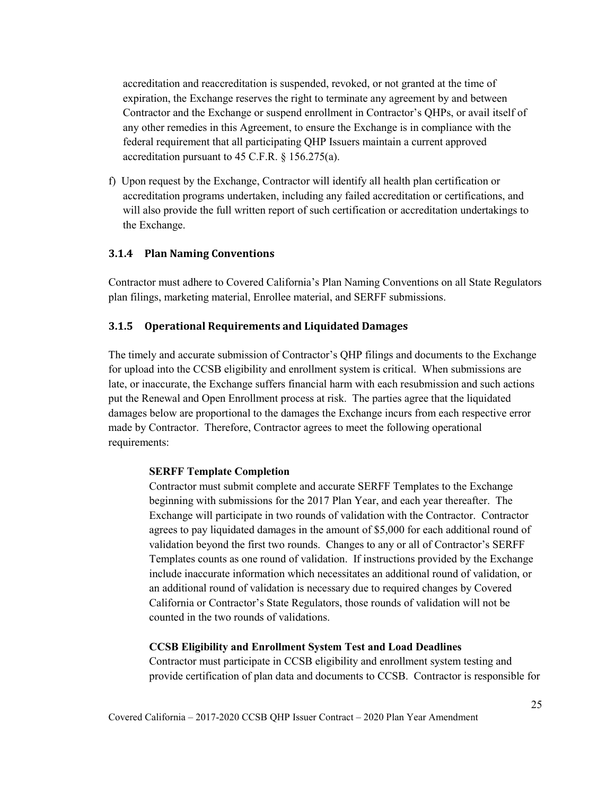accreditation and reaccreditation is suspended, revoked, or not granted at the time of expiration, the Exchange reserves the right to terminate any agreement by and between Contractor and the Exchange or suspend enrollment in Contractor's QHPs, or avail itself of any other remedies in this Agreement, to ensure the Exchange is in compliance with the federal requirement that all participating QHP Issuers maintain a current approved accreditation pursuant to 45 C.F.R. § 156.275(a).

f) Upon request by the Exchange, Contractor will identify all health plan certification or accreditation programs undertaken, including any failed accreditation or certifications, and will also provide the full written report of such certification or accreditation undertakings to the Exchange.

#### <span id="page-30-0"></span>**3.1.4 Plan Naming Conventions**

Contractor must adhere to Covered California's Plan Naming Conventions on all State Regulators plan filings, marketing material, Enrollee material, and SERFF submissions.

#### <span id="page-30-1"></span>**3.1.5 Operational Requirements and Liquidated Damages**

The timely and accurate submission of Contractor's QHP filings and documents to the Exchange for upload into the CCSB eligibility and enrollment system is critical. When submissions are late, or inaccurate, the Exchange suffers financial harm with each resubmission and such actions put the Renewal and Open Enrollment process at risk. The parties agree that the liquidated damages below are proportional to the damages the Exchange incurs from each respective error made by Contractor. Therefore, Contractor agrees to meet the following operational requirements:

#### **SERFF Template Completion**

Contractor must submit complete and accurate SERFF Templates to the Exchange beginning with submissions for the 2017 Plan Year, and each year thereafter. The Exchange will participate in two rounds of validation with the Contractor. Contractor agrees to pay liquidated damages in the amount of \$5,000 for each additional round of validation beyond the first two rounds. Changes to any or all of Contractor's SERFF Templates counts as one round of validation. If instructions provided by the Exchange include inaccurate information which necessitates an additional round of validation, or an additional round of validation is necessary due to required changes by Covered California or Contractor's State Regulators, those rounds of validation will not be counted in the two rounds of validations.

#### **CCSB Eligibility and Enrollment System Test and Load Deadlines**

Contractor must participate in CCSB eligibility and enrollment system testing and provide certification of plan data and documents to CCSB. Contractor is responsible for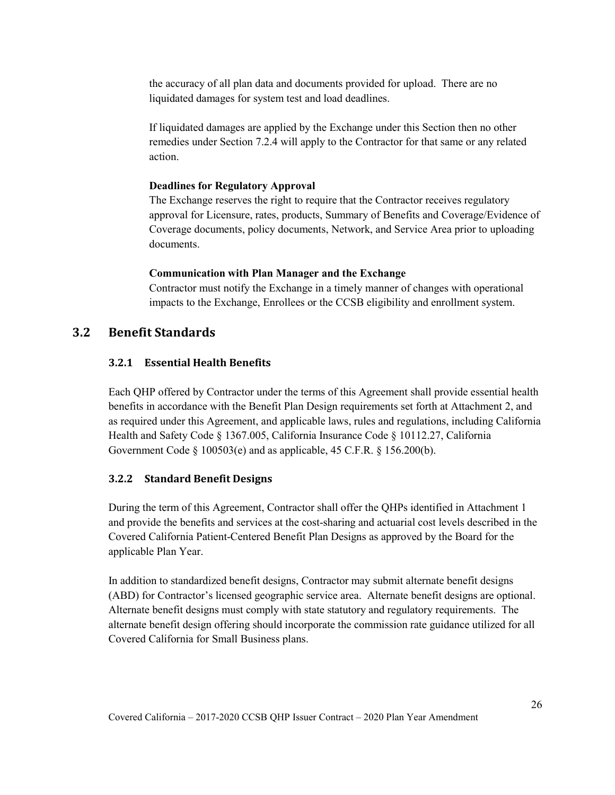the accuracy of all plan data and documents provided for upload. There are no liquidated damages for system test and load deadlines.

If liquidated damages are applied by the Exchange under this Section then no other remedies under Section 7.2.4 will apply to the Contractor for that same or any related action.

#### **Deadlines for Regulatory Approval**

The Exchange reserves the right to require that the Contractor receives regulatory approval for Licensure, rates, products, Summary of Benefits and Coverage/Evidence of Coverage documents, policy documents, Network, and Service Area prior to uploading documents.

#### **Communication with Plan Manager and the Exchange**

Contractor must notify the Exchange in a timely manner of changes with operational impacts to the Exchange, Enrollees or the CCSB eligibility and enrollment system.

### <span id="page-31-1"></span><span id="page-31-0"></span>**3.2 Benefit Standards**

#### **3.2.1 Essential Health Benefits**

Each QHP offered by Contractor under the terms of this Agreement shall provide essential health benefits in accordance with the Benefit Plan Design requirements set forth at Attachment 2, and as required under this Agreement, and applicable laws, rules and regulations, including California Health and Safety Code § 1367.005, California Insurance Code § 10112.27, California Government Code § 100503(e) and as applicable, 45 C.F.R. § 156.200(b).

#### <span id="page-31-2"></span>**3.2.2 Standard Benefit Designs**

During the term of this Agreement, Contractor shall offer the QHPs identified in Attachment 1 and provide the benefits and services at the cost-sharing and actuarial cost levels described in the Covered California Patient-Centered Benefit Plan Designs as approved by the Board for the applicable Plan Year.

In addition to standardized benefit designs, Contractor may submit alternate benefit designs (ABD) for Contractor's licensed geographic service area. Alternate benefit designs are optional. Alternate benefit designs must comply with state statutory and regulatory requirements. The alternate benefit design offering should incorporate the commission rate guidance utilized for all Covered California for Small Business plans.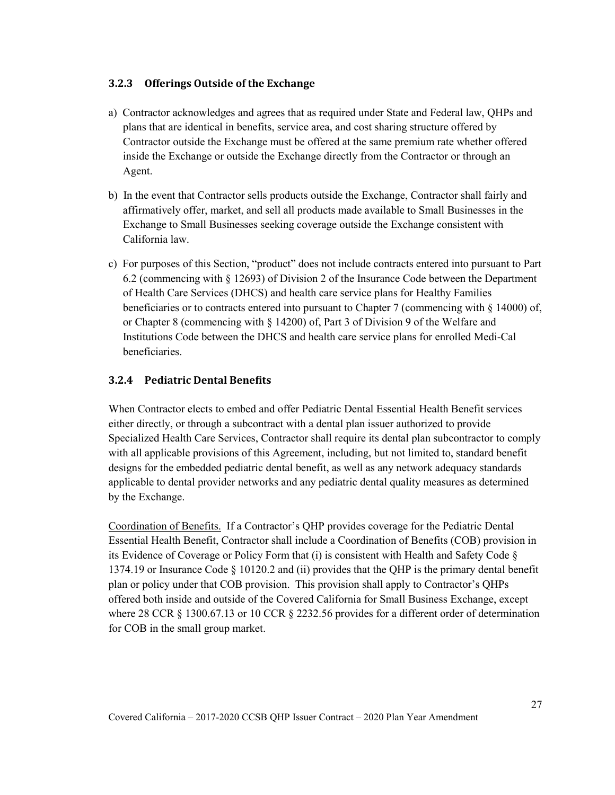### <span id="page-32-0"></span>**3.2.3 Offerings Outside of the Exchange**

- a) Contractor acknowledges and agrees that as required under State and Federal law, QHPs and plans that are identical in benefits, service area, and cost sharing structure offered by Contractor outside the Exchange must be offered at the same premium rate whether offered inside the Exchange or outside the Exchange directly from the Contractor or through an Agent.
- b) In the event that Contractor sells products outside the Exchange, Contractor shall fairly and affirmatively offer, market, and sell all products made available to Small Businesses in the Exchange to Small Businesses seeking coverage outside the Exchange consistent with California law.
- c) For purposes of this Section, "product" does not include contracts entered into pursuant to Part 6.2 (commencing with § 12693) of Division 2 of the Insurance Code between the Department of Health Care Services (DHCS) and health care service plans for Healthy Families beneficiaries or to contracts entered into pursuant to Chapter 7 (commencing with § 14000) of, or Chapter 8 (commencing with § 14200) of, Part 3 of Division 9 of the Welfare and Institutions Code between the DHCS and health care service plans for enrolled Medi-Cal beneficiaries.

### <span id="page-32-1"></span>**3.2.4 Pediatric Dental Benefits**

When Contractor elects to embed and offer Pediatric Dental Essential Health Benefit services either directly, or through a subcontract with a dental plan issuer authorized to provide Specialized Health Care Services, Contractor shall require its dental plan subcontractor to comply with all applicable provisions of this Agreement, including, but not limited to, standard benefit designs for the embedded pediatric dental benefit, as well as any network adequacy standards applicable to dental provider networks and any pediatric dental quality measures as determined by the Exchange.

Coordination of Benefits. If a Contractor's QHP provides coverage for the Pediatric Dental Essential Health Benefit, Contractor shall include a Coordination of Benefits (COB) provision in its Evidence of Coverage or Policy Form that (i) is consistent with Health and Safety Code  $\S$ 1374.19 or Insurance Code § 10120.2 and (ii) provides that the QHP is the primary dental benefit plan or policy under that COB provision. This provision shall apply to Contractor's QHPs offered both inside and outside of the Covered California for Small Business Exchange, except where 28 CCR § 1300.67.13 or 10 CCR § 2232.56 provides for a different order of determination for COB in the small group market.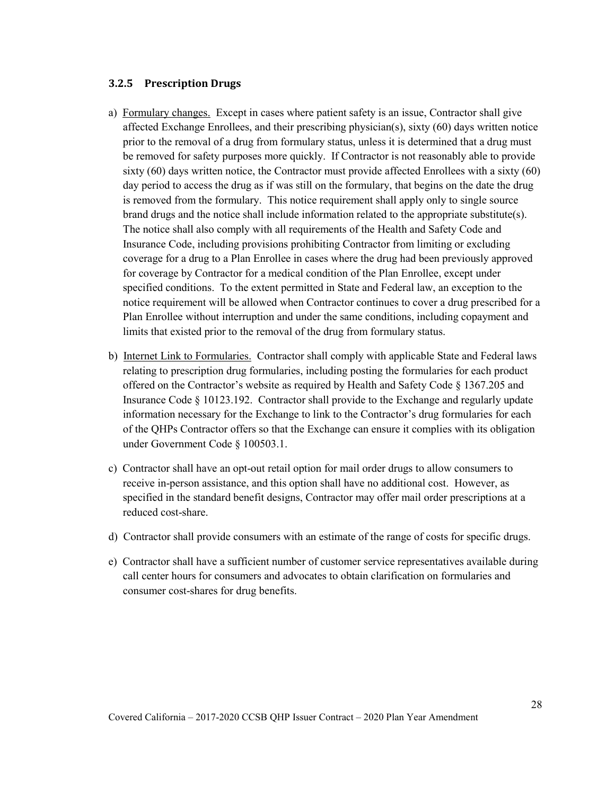#### <span id="page-33-0"></span>**3.2.5 Prescription Drugs**

- a) Formulary changes. Except in cases where patient safety is an issue, Contractor shall give affected Exchange Enrollees, and their prescribing physician(s), sixty (60) days written notice prior to the removal of a drug from formulary status, unless it is determined that a drug must be removed for safety purposes more quickly. If Contractor is not reasonably able to provide sixty (60) days written notice, the Contractor must provide affected Enrollees with a sixty (60) day period to access the drug as if was still on the formulary, that begins on the date the drug is removed from the formulary. This notice requirement shall apply only to single source brand drugs and the notice shall include information related to the appropriate substitute(s). The notice shall also comply with all requirements of the Health and Safety Code and Insurance Code, including provisions prohibiting Contractor from limiting or excluding coverage for a drug to a Plan Enrollee in cases where the drug had been previously approved for coverage by Contractor for a medical condition of the Plan Enrollee, except under specified conditions. To the extent permitted in State and Federal law, an exception to the notice requirement will be allowed when Contractor continues to cover a drug prescribed for a Plan Enrollee without interruption and under the same conditions, including copayment and limits that existed prior to the removal of the drug from formulary status.
- b) Internet Link to Formularies. Contractor shall comply with applicable State and Federal laws relating to prescription drug formularies, including posting the formularies for each product offered on the Contractor's website as required by Health and Safety Code § 1367.205 and Insurance Code § 10123.192. Contractor shall provide to the Exchange and regularly update information necessary for the Exchange to link to the Contractor's drug formularies for each of the QHPs Contractor offers so that the Exchange can ensure it complies with its obligation under Government Code § 100503.1.
- c) Contractor shall have an opt-out retail option for mail order drugs to allow consumers to receive in-person assistance, and this option shall have no additional cost. However, as specified in the standard benefit designs, Contractor may offer mail order prescriptions at a reduced cost-share.
- d) Contractor shall provide consumers with an estimate of the range of costs for specific drugs.
- e) Contractor shall have a sufficient number of customer service representatives available during call center hours for consumers and advocates to obtain clarification on formularies and consumer cost-shares for drug benefits.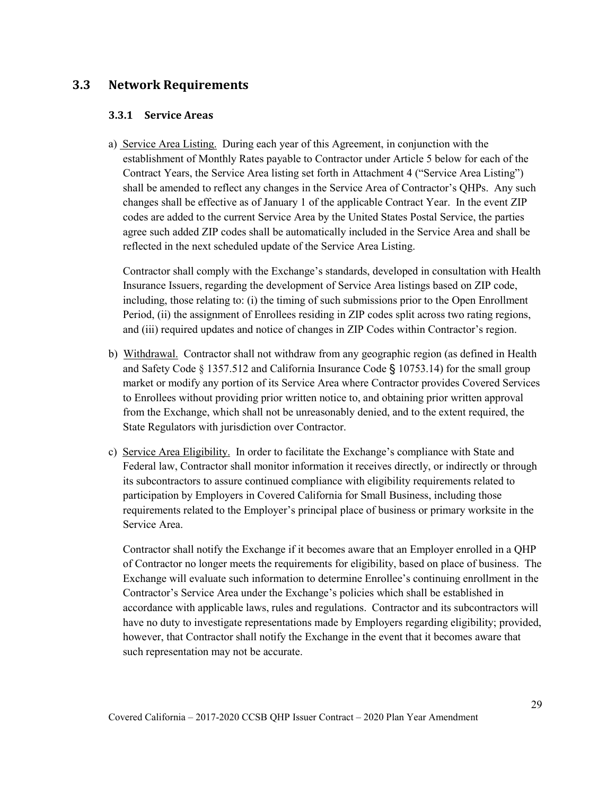### <span id="page-34-1"></span><span id="page-34-0"></span>**3.3 Network Requirements**

#### **3.3.1 Service Areas**

a) Service Area Listing. During each year of this Agreement, in conjunction with the establishment of Monthly Rates payable to Contractor under Article 5 below for each of the Contract Years, the Service Area listing set forth in Attachment 4 ("Service Area Listing") shall be amended to reflect any changes in the Service Area of Contractor's QHPs. Any such changes shall be effective as of January 1 of the applicable Contract Year. In the event ZIP codes are added to the current Service Area by the United States Postal Service, the parties agree such added ZIP codes shall be automatically included in the Service Area and shall be reflected in the next scheduled update of the Service Area Listing.

Contractor shall comply with the Exchange's standards, developed in consultation with Health Insurance Issuers, regarding the development of Service Area listings based on ZIP code, including, those relating to: (i) the timing of such submissions prior to the Open Enrollment Period, (ii) the assignment of Enrollees residing in ZIP codes split across two rating regions, and (iii) required updates and notice of changes in ZIP Codes within Contractor's region.

- b) Withdrawal. Contractor shall not withdraw from any geographic region (as defined in Health and Safety Code § 1357.512 and California Insurance Code § 10753.14) for the small group market or modify any portion of its Service Area where Contractor provides Covered Services to Enrollees without providing prior written notice to, and obtaining prior written approval from the Exchange, which shall not be unreasonably denied, and to the extent required, the State Regulators with jurisdiction over Contractor.
- c) Service Area Eligibility. In order to facilitate the Exchange's compliance with State and Federal law, Contractor shall monitor information it receives directly, or indirectly or through its subcontractors to assure continued compliance with eligibility requirements related to participation by Employers in Covered California for Small Business, including those requirements related to the Employer's principal place of business or primary worksite in the Service Area.

Contractor shall notify the Exchange if it becomes aware that an Employer enrolled in a QHP of Contractor no longer meets the requirements for eligibility, based on place of business. The Exchange will evaluate such information to determine Enrollee's continuing enrollment in the Contractor's Service Area under the Exchange's policies which shall be established in accordance with applicable laws, rules and regulations. Contractor and its subcontractors will have no duty to investigate representations made by Employers regarding eligibility; provided, however, that Contractor shall notify the Exchange in the event that it becomes aware that such representation may not be accurate.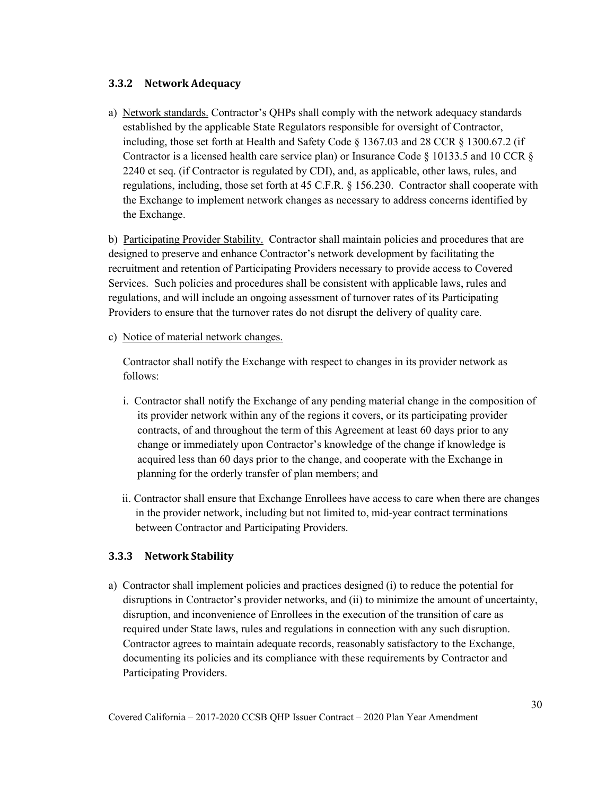#### <span id="page-35-0"></span>**3.3.2 Network Adequacy**

a) Network standards. Contractor's QHPs shall comply with the network adequacy standards established by the applicable State Regulators responsible for oversight of Contractor, including, those set forth at Health and Safety Code  $\S$  1367.03 and 28 CCR  $\S$  1300.67.2 (if Contractor is a licensed health care service plan) or Insurance Code § 10133.5 and 10 CCR § 2240 et seq. (if Contractor is regulated by CDI), and, as applicable, other laws, rules, and regulations, including, those set forth at 45 C.F.R. § 156.230. Contractor shall cooperate with the Exchange to implement network changes as necessary to address concerns identified by the Exchange.

b) Participating Provider Stability. Contractor shall maintain policies and procedures that are designed to preserve and enhance Contractor's network development by facilitating the recruitment and retention of Participating Providers necessary to provide access to Covered Services. Such policies and procedures shall be consistent with applicable laws, rules and regulations, and will include an ongoing assessment of turnover rates of its Participating Providers to ensure that the turnover rates do not disrupt the delivery of quality care.

c) Notice of material network changes.

Contractor shall notify the Exchange with respect to changes in its provider network as follows:

- i. Contractor shall notify the Exchange of any pending material change in the composition of its provider network within any of the regions it covers, or its participating provider contracts, of and throughout the term of this Agreement at least 60 days prior to any change or immediately upon Contractor's knowledge of the change if knowledge is acquired less than 60 days prior to the change, and cooperate with the Exchange in planning for the orderly transfer of plan members; and
- ii. Contractor shall ensure that Exchange Enrollees have access to care when there are changes in the provider network, including but not limited to, mid-year contract terminations between Contractor and Participating Providers.

#### <span id="page-35-1"></span>**3.3.3 Network Stability**

a) Contractor shall implement policies and practices designed (i) to reduce the potential for disruptions in Contractor's provider networks, and (ii) to minimize the amount of uncertainty, disruption, and inconvenience of Enrollees in the execution of the transition of care as required under State laws, rules and regulations in connection with any such disruption. Contractor agrees to maintain adequate records, reasonably satisfactory to the Exchange, documenting its policies and its compliance with these requirements by Contractor and Participating Providers.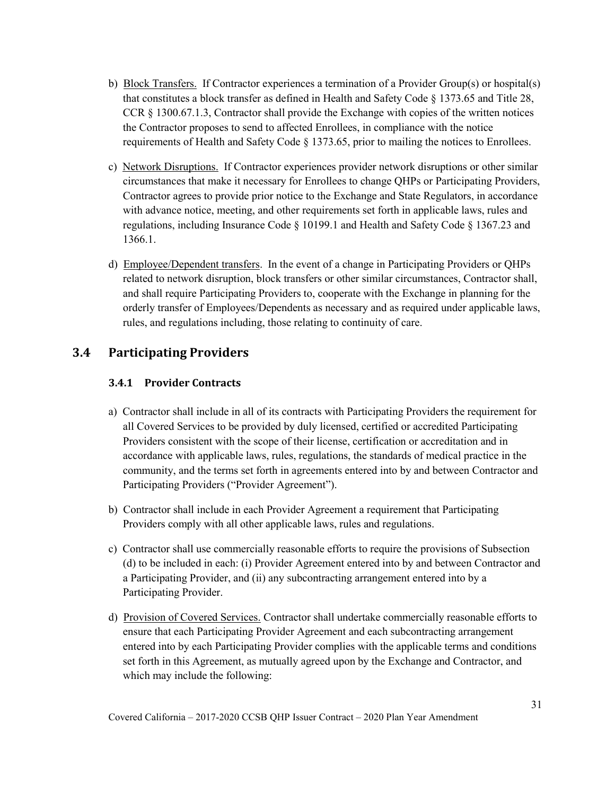- b) Block Transfers. If Contractor experiences a termination of a Provider Group(s) or hospital(s) that constitutes a block transfer as defined in Health and Safety Code § 1373.65 and Title 28, CCR § 1300.67.1.3, Contractor shall provide the Exchange with copies of the written notices the Contractor proposes to send to affected Enrollees, in compliance with the notice requirements of Health and Safety Code § 1373.65, prior to mailing the notices to Enrollees.
- c) Network Disruptions. If Contractor experiences provider network disruptions or other similar circumstances that make it necessary for Enrollees to change QHPs or Participating Providers, Contractor agrees to provide prior notice to the Exchange and State Regulators, in accordance with advance notice, meeting, and other requirements set forth in applicable laws, rules and regulations, including Insurance Code § 10199.1 and Health and Safety Code § 1367.23 and 1366.1.
- d) Employee/Dependent transfers. In the event of a change in Participating Providers or QHPs related to network disruption, block transfers or other similar circumstances, Contractor shall, and shall require Participating Providers to, cooperate with the Exchange in planning for the orderly transfer of Employees/Dependents as necessary and as required under applicable laws, rules, and regulations including, those relating to continuity of care.

# **3.4 Participating Providers**

### **3.4.1 Provider Contracts**

- a) Contractor shall include in all of its contracts with Participating Providers the requirement for all Covered Services to be provided by duly licensed, certified or accredited Participating Providers consistent with the scope of their license, certification or accreditation and in accordance with applicable laws, rules, regulations, the standards of medical practice in the community, and the terms set forth in agreements entered into by and between Contractor and Participating Providers ("Provider Agreement").
- b) Contractor shall include in each Provider Agreement a requirement that Participating Providers comply with all other applicable laws, rules and regulations.
- c) Contractor shall use commercially reasonable efforts to require the provisions of Subsection (d) to be included in each: (i) Provider Agreement entered into by and between Contractor and a Participating Provider, and (ii) any subcontracting arrangement entered into by a Participating Provider.
- d) Provision of Covered Services. Contractor shall undertake commercially reasonable efforts to ensure that each Participating Provider Agreement and each subcontracting arrangement entered into by each Participating Provider complies with the applicable terms and conditions set forth in this Agreement, as mutually agreed upon by the Exchange and Contractor, and which may include the following: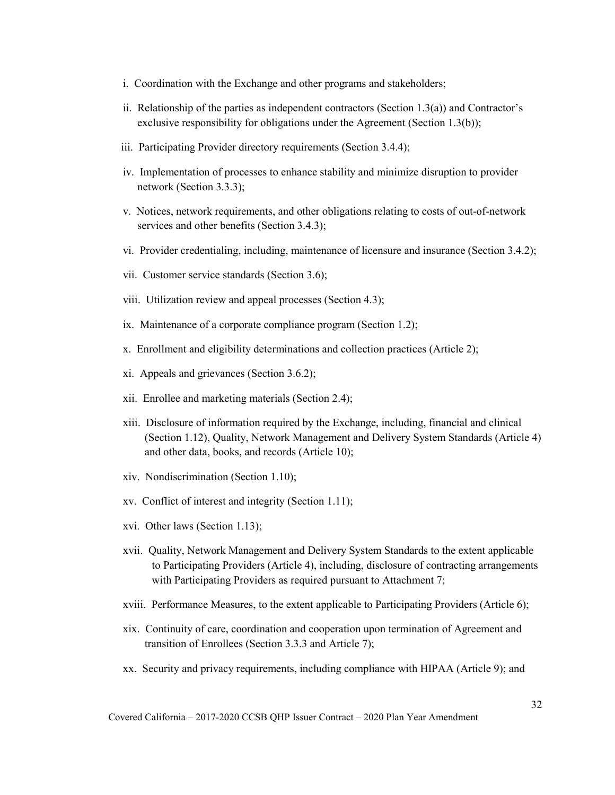- i. Coordination with the Exchange and other programs and stakeholders;
- ii. Relationship of the parties as independent contractors (Section 1.3(a)) and Contractor's exclusive responsibility for obligations under the Agreement (Section 1.3(b));
- iii. Participating Provider directory requirements (Section 3.4.4);
- iv. Implementation of processes to enhance stability and minimize disruption to provider network (Section 3.3.3);
- v. Notices, network requirements, and other obligations relating to costs of out-of-network services and other benefits (Section 3.4.3);
- vi. Provider credentialing, including, maintenance of licensure and insurance (Section 3.4.2);
- vii. Customer service standards (Section 3.6);
- viii. Utilization review and appeal processes (Section 4.3);
- ix. Maintenance of a corporate compliance program (Section 1.2);
- x. Enrollment and eligibility determinations and collection practices (Article 2);
- xi. Appeals and grievances (Section 3.6.2);
- xii. Enrollee and marketing materials (Section 2.4);
- xiii. Disclosure of information required by the Exchange, including, financial and clinical (Section 1.12), Quality, Network Management and Delivery System Standards (Article 4) and other data, books, and records (Article 10);
- xiv. Nondiscrimination (Section 1.10);
- xv. Conflict of interest and integrity (Section 1.11);
- xvi. Other laws (Section 1.13);
- xvii. Quality, Network Management and Delivery System Standards to the extent applicable to Participating Providers (Article 4), including, disclosure of contracting arrangements with Participating Providers as required pursuant to Attachment 7;
- xviii. Performance Measures, to the extent applicable to Participating Providers (Article 6);
- xix. Continuity of care, coordination and cooperation upon termination of Agreement and transition of Enrollees (Section 3.3.3 and Article 7);
- xx. Security and privacy requirements, including compliance with HIPAA (Article 9); and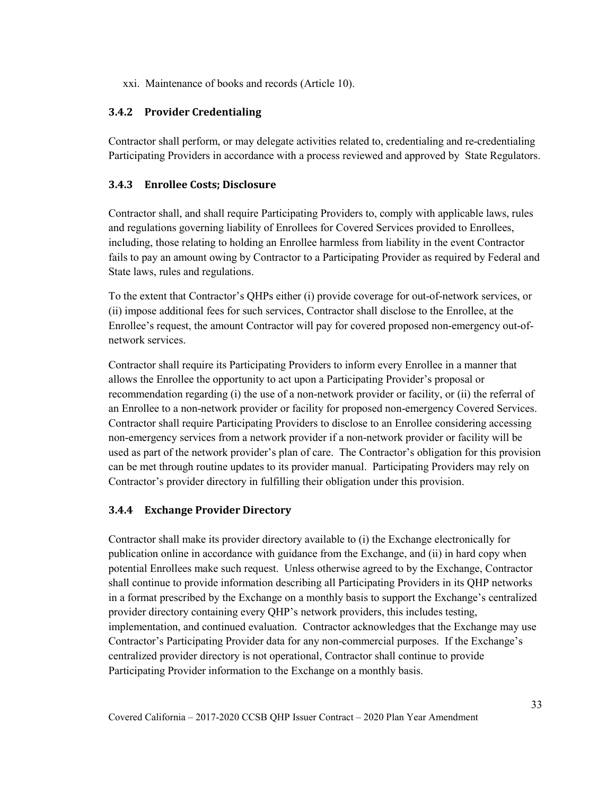xxi. Maintenance of books and records (Article 10).

### **3.4.2 Provider Credentialing**

Contractor shall perform, or may delegate activities related to, credentialing and re-credentialing Participating Providers in accordance with a process reviewed and approved by State Regulators.

### **3.4.3 Enrollee Costs; Disclosure**

Contractor shall, and shall require Participating Providers to, comply with applicable laws, rules and regulations governing liability of Enrollees for Covered Services provided to Enrollees, including, those relating to holding an Enrollee harmless from liability in the event Contractor fails to pay an amount owing by Contractor to a Participating Provider as required by Federal and State laws, rules and regulations.

To the extent that Contractor's QHPs either (i) provide coverage for out-of-network services, or (ii) impose additional fees for such services, Contractor shall disclose to the Enrollee, at the Enrollee's request, the amount Contractor will pay for covered proposed non-emergency out-ofnetwork services.

Contractor shall require its Participating Providers to inform every Enrollee in a manner that allows the Enrollee the opportunity to act upon a Participating Provider's proposal or recommendation regarding (i) the use of a non-network provider or facility, or (ii) the referral of an Enrollee to a non-network provider or facility for proposed non-emergency Covered Services. Contractor shall require Participating Providers to disclose to an Enrollee considering accessing non-emergency services from a network provider if a non-network provider or facility will be used as part of the network provider's plan of care. The Contractor's obligation for this provision can be met through routine updates to its provider manual. Participating Providers may rely on Contractor's provider directory in fulfilling their obligation under this provision.

# **3.4.4 Exchange Provider Directory**

Contractor shall make its provider directory available to (i) the Exchange electronically for publication online in accordance with guidance from the Exchange, and (ii) in hard copy when potential Enrollees make such request. Unless otherwise agreed to by the Exchange, Contractor shall continue to provide information describing all Participating Providers in its QHP networks in a format prescribed by the Exchange on a monthly basis to support the Exchange's centralized provider directory containing every QHP's network providers, this includes testing, implementation, and continued evaluation. Contractor acknowledges that the Exchange may use Contractor's Participating Provider data for any non-commercial purposes. If the Exchange's centralized provider directory is not operational, Contractor shall continue to provide Participating Provider information to the Exchange on a monthly basis.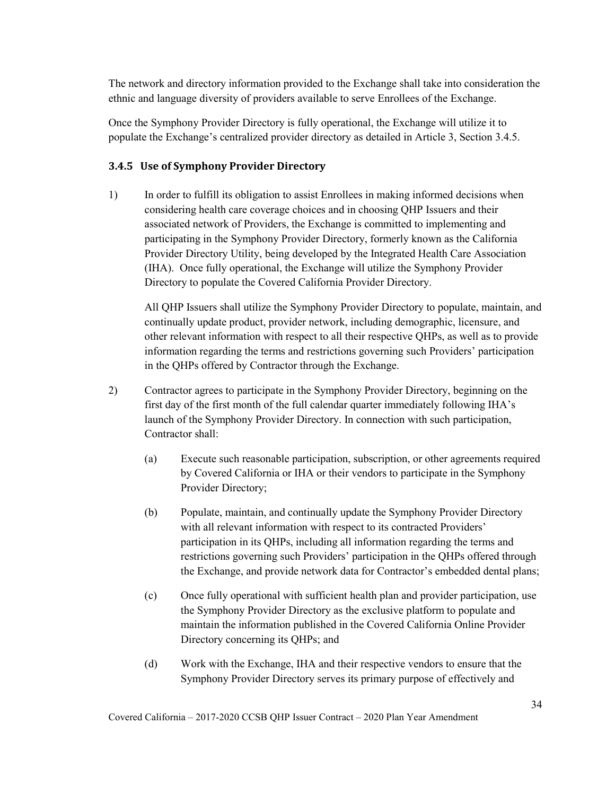The network and directory information provided to the Exchange shall take into consideration the ethnic and language diversity of providers available to serve Enrollees of the Exchange.

Once the Symphony Provider Directory is fully operational, the Exchange will utilize it to populate the Exchange's centralized provider directory as detailed in Article 3, Section 3.4.5.

#### **3.4.5 Use of Symphony Provider Directory**

1) In order to fulfill its obligation to assist Enrollees in making informed decisions when considering health care coverage choices and in choosing QHP Issuers and their associated network of Providers, the Exchange is committed to implementing and participating in the Symphony Provider Directory, formerly known as the California Provider Directory Utility, being developed by the Integrated Health Care Association (IHA). Once fully operational, the Exchange will utilize the Symphony Provider Directory to populate the Covered California Provider Directory.

All QHP Issuers shall utilize the Symphony Provider Directory to populate, maintain, and continually update product, provider network, including demographic, licensure, and other relevant information with respect to all their respective QHPs, as well as to provide information regarding the terms and restrictions governing such Providers' participation in the QHPs offered by Contractor through the Exchange.

- 2) Contractor agrees to participate in the Symphony Provider Directory, beginning on the first day of the first month of the full calendar quarter immediately following IHA's launch of the Symphony Provider Directory. In connection with such participation, Contractor shall:
	- (a) Execute such reasonable participation, subscription, or other agreements required by Covered California or IHA or their vendors to participate in the Symphony Provider Directory;
	- (b) Populate, maintain, and continually update the Symphony Provider Directory with all relevant information with respect to its contracted Providers' participation in its QHPs, including all information regarding the terms and restrictions governing such Providers' participation in the QHPs offered through the Exchange, and provide network data for Contractor's embedded dental plans;
	- (c) Once fully operational with sufficient health plan and provider participation, use the Symphony Provider Directory as the exclusive platform to populate and maintain the information published in the Covered California Online Provider Directory concerning its QHPs; and
	- (d) Work with the Exchange, IHA and their respective vendors to ensure that the Symphony Provider Directory serves its primary purpose of effectively and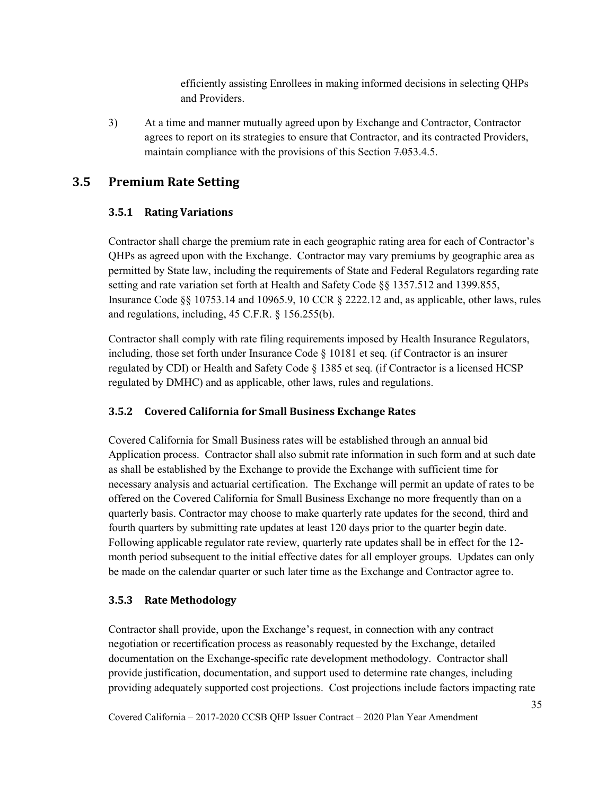efficiently assisting Enrollees in making informed decisions in selecting QHPs and Providers.

3) At a time and manner mutually agreed upon by Exchange and Contractor, Contractor agrees to report on its strategies to ensure that Contractor, and its contracted Providers, maintain compliance with the provisions of this Section 7.053.4.5.

# **3.5 Premium Rate Setting**

# **3.5.1 Rating Variations**

Contractor shall charge the premium rate in each geographic rating area for each of Contractor's QHPs as agreed upon with the Exchange. Contractor may vary premiums by geographic area as permitted by State law, including the requirements of State and Federal Regulators regarding rate setting and rate variation set forth at Health and Safety Code §§ 1357.512 and 1399.855, Insurance Code §§ 10753.14 and 10965.9, 10 CCR § 2222.12 and, as applicable, other laws, rules and regulations, including, 45 C.F.R. § 156.255(b).

Contractor shall comply with rate filing requirements imposed by Health Insurance Regulators, including, those set forth under Insurance Code § 10181 et seq*.* (if Contractor is an insurer regulated by CDI) or Health and Safety Code § 1385 et seq*.* (if Contractor is a licensed HCSP regulated by DMHC) and as applicable, other laws, rules and regulations.

# **3.5.2 Covered California for Small Business Exchange Rates**

Covered California for Small Business rates will be established through an annual bid Application process. Contractor shall also submit rate information in such form and at such date as shall be established by the Exchange to provide the Exchange with sufficient time for necessary analysis and actuarial certification. The Exchange will permit an update of rates to be offered on the Covered California for Small Business Exchange no more frequently than on a quarterly basis. Contractor may choose to make quarterly rate updates for the second, third and fourth quarters by submitting rate updates at least 120 days prior to the quarter begin date. Following applicable regulator rate review, quarterly rate updates shall be in effect for the 12 month period subsequent to the initial effective dates for all employer groups. Updates can only be made on the calendar quarter or such later time as the Exchange and Contractor agree to.

### **3.5.3 Rate Methodology**

Contractor shall provide, upon the Exchange's request, in connection with any contract negotiation or recertification process as reasonably requested by the Exchange, detailed documentation on the Exchange-specific rate development methodology. Contractor shall provide justification, documentation, and support used to determine rate changes, including providing adequately supported cost projections. Cost projections include factors impacting rate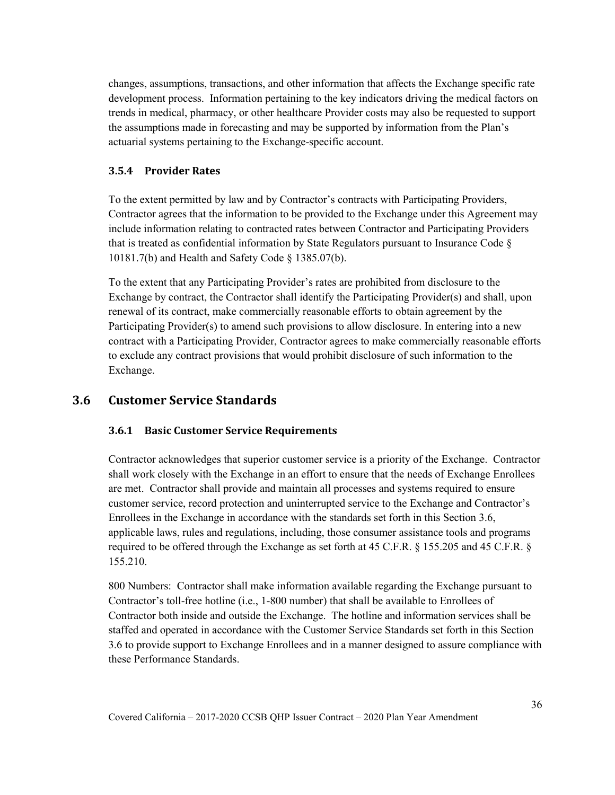changes, assumptions, transactions, and other information that affects the Exchange specific rate development process. Information pertaining to the key indicators driving the medical factors on trends in medical, pharmacy, or other healthcare Provider costs may also be requested to support the assumptions made in forecasting and may be supported by information from the Plan's actuarial systems pertaining to the Exchange-specific account.

#### **3.5.4 Provider Rates**

To the extent permitted by law and by Contractor's contracts with Participating Providers, Contractor agrees that the information to be provided to the Exchange under this Agreement may include information relating to contracted rates between Contractor and Participating Providers that is treated as confidential information by State Regulators pursuant to Insurance Code § 10181.7(b) and Health and Safety Code § 1385.07(b).

To the extent that any Participating Provider's rates are prohibited from disclosure to the Exchange by contract, the Contractor shall identify the Participating Provider(s) and shall, upon renewal of its contract, make commercially reasonable efforts to obtain agreement by the Participating Provider(s) to amend such provisions to allow disclosure. In entering into a new contract with a Participating Provider, Contractor agrees to make commercially reasonable efforts to exclude any contract provisions that would prohibit disclosure of such information to the Exchange.

# **3.6 Customer Service Standards**

#### **3.6.1 Basic Customer Service Requirements**

Contractor acknowledges that superior customer service is a priority of the Exchange. Contractor shall work closely with the Exchange in an effort to ensure that the needs of Exchange Enrollees are met. Contractor shall provide and maintain all processes and systems required to ensure customer service, record protection and uninterrupted service to the Exchange and Contractor's Enrollees in the Exchange in accordance with the standards set forth in this Section 3.6, applicable laws, rules and regulations, including, those consumer assistance tools and programs required to be offered through the Exchange as set forth at 45 C.F.R. § 155.205 and 45 C.F.R. § 155.210.

800 Numbers: Contractor shall make information available regarding the Exchange pursuant to Contractor's toll-free hotline (i.e., 1-800 number) that shall be available to Enrollees of Contractor both inside and outside the Exchange. The hotline and information services shall be staffed and operated in accordance with the Customer Service Standards set forth in this Section 3.6 to provide support to Exchange Enrollees and in a manner designed to assure compliance with these Performance Standards.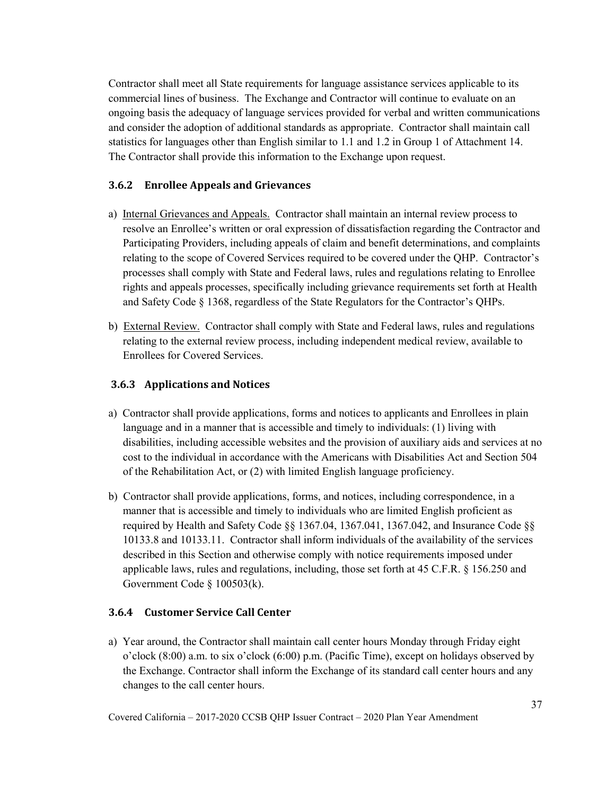Contractor shall meet all State requirements for language assistance services applicable to its commercial lines of business. The Exchange and Contractor will continue to evaluate on an ongoing basis the adequacy of language services provided for verbal and written communications and consider the adoption of additional standards as appropriate. Contractor shall maintain call statistics for languages other than English similar to 1.1 and 1.2 in Group 1 of Attachment 14. The Contractor shall provide this information to the Exchange upon request.

#### **3.6.2 Enrollee Appeals and Grievances**

- a) Internal Grievances and Appeals. Contractor shall maintain an internal review process to resolve an Enrollee's written or oral expression of dissatisfaction regarding the Contractor and Participating Providers, including appeals of claim and benefit determinations, and complaints relating to the scope of Covered Services required to be covered under the QHP. Contractor's processes shall comply with State and Federal laws, rules and regulations relating to Enrollee rights and appeals processes, specifically including grievance requirements set forth at Health and Safety Code § 1368, regardless of the State Regulators for the Contractor's QHPs.
- b) External Review. Contractor shall comply with State and Federal laws, rules and regulations relating to the external review process, including independent medical review, available to Enrollees for Covered Services.

#### **3.6.3 Applications and Notices**

- a) Contractor shall provide applications, forms and notices to applicants and Enrollees in plain language and in a manner that is accessible and timely to individuals: (1) living with disabilities, including accessible websites and the provision of auxiliary aids and services at no cost to the individual in accordance with the Americans with Disabilities Act and Section 504 of the Rehabilitation Act, or (2) with limited English language proficiency.
- b) Contractor shall provide applications, forms, and notices, including correspondence, in a manner that is accessible and timely to individuals who are limited English proficient as required by Health and Safety Code §§ 1367.04, 1367.041, 1367.042, and Insurance Code §§ 10133.8 and 10133.11. Contractor shall inform individuals of the availability of the services described in this Section and otherwise comply with notice requirements imposed under applicable laws, rules and regulations, including, those set forth at 45 C.F.R. § 156.250 and Government Code § 100503(k).

#### **3.6.4 Customer Service Call Center**

a) Year around, the Contractor shall maintain call center hours Monday through Friday eight o'clock (8:00) a.m. to six o'clock (6:00) p.m. (Pacific Time), except on holidays observed by the Exchange. Contractor shall inform the Exchange of its standard call center hours and any changes to the call center hours.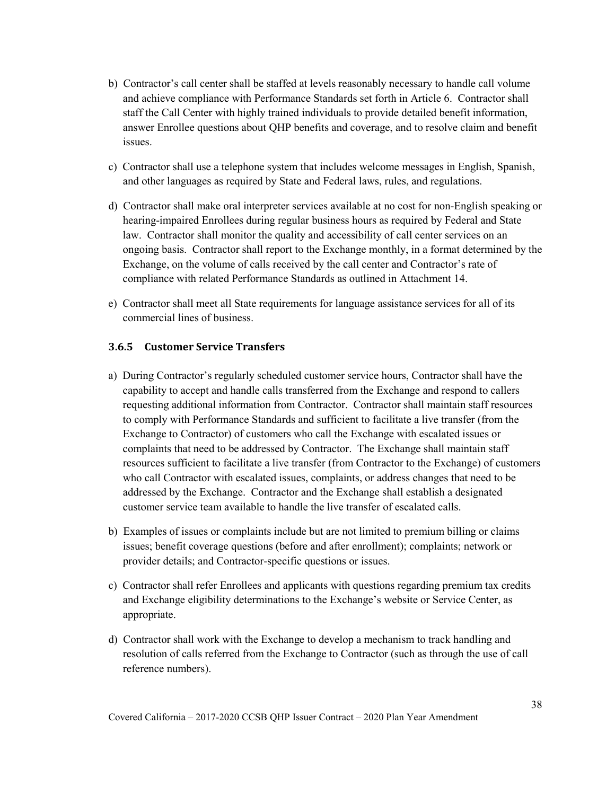- b) Contractor's call center shall be staffed at levels reasonably necessary to handle call volume and achieve compliance with Performance Standards set forth in Article 6. Contractor shall staff the Call Center with highly trained individuals to provide detailed benefit information, answer Enrollee questions about QHP benefits and coverage, and to resolve claim and benefit issues.
- c) Contractor shall use a telephone system that includes welcome messages in English, Spanish, and other languages as required by State and Federal laws, rules, and regulations.
- d) Contractor shall make oral interpreter services available at no cost for non-English speaking or hearing-impaired Enrollees during regular business hours as required by Federal and State law. Contractor shall monitor the quality and accessibility of call center services on an ongoing basis. Contractor shall report to the Exchange monthly, in a format determined by the Exchange, on the volume of calls received by the call center and Contractor's rate of compliance with related Performance Standards as outlined in Attachment 14.
- e) Contractor shall meet all State requirements for language assistance services for all of its commercial lines of business.

#### **3.6.5 Customer Service Transfers**

- a) During Contractor's regularly scheduled customer service hours, Contractor shall have the capability to accept and handle calls transferred from the Exchange and respond to callers requesting additional information from Contractor. Contractor shall maintain staff resources to comply with Performance Standards and sufficient to facilitate a live transfer (from the Exchange to Contractor) of customers who call the Exchange with escalated issues or complaints that need to be addressed by Contractor. The Exchange shall maintain staff resources sufficient to facilitate a live transfer (from Contractor to the Exchange) of customers who call Contractor with escalated issues, complaints, or address changes that need to be addressed by the Exchange. Contractor and the Exchange shall establish a designated customer service team available to handle the live transfer of escalated calls.
- b) Examples of issues or complaints include but are not limited to premium billing or claims issues; benefit coverage questions (before and after enrollment); complaints; network or provider details; and Contractor-specific questions or issues.
- c) Contractor shall refer Enrollees and applicants with questions regarding premium tax credits and Exchange eligibility determinations to the Exchange's website or Service Center, as appropriate.
- d) Contractor shall work with the Exchange to develop a mechanism to track handling and resolution of calls referred from the Exchange to Contractor (such as through the use of call reference numbers).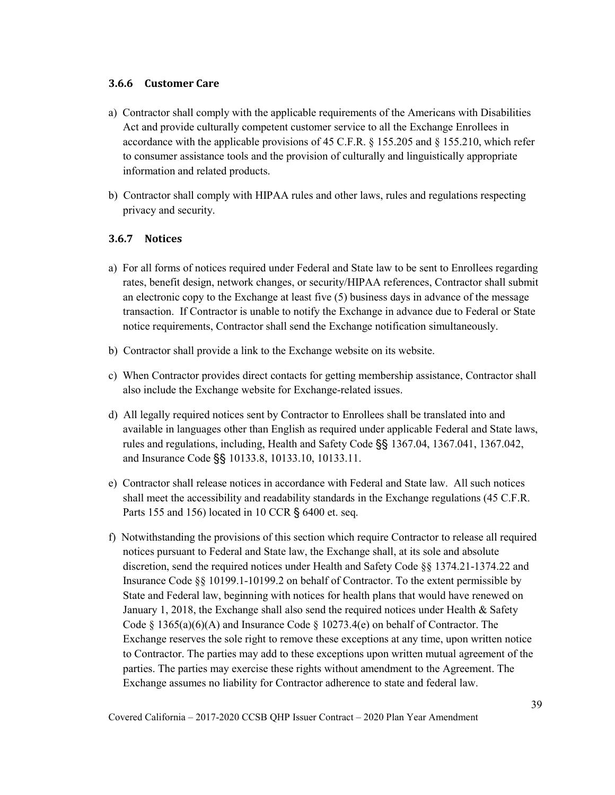#### **3.6.6 Customer Care**

- a) Contractor shall comply with the applicable requirements of the Americans with Disabilities Act and provide culturally competent customer service to all the Exchange Enrollees in accordance with the applicable provisions of 45 C.F.R. § 155.205 and § 155.210, which refer to consumer assistance tools and the provision of culturally and linguistically appropriate information and related products.
- b) Contractor shall comply with HIPAA rules and other laws, rules and regulations respecting privacy and security.

#### **3.6.7 Notices**

- a) For all forms of notices required under Federal and State law to be sent to Enrollees regarding rates, benefit design, network changes, or security/HIPAA references, Contractor shall submit an electronic copy to the Exchange at least five (5) business days in advance of the message transaction. If Contractor is unable to notify the Exchange in advance due to Federal or State notice requirements, Contractor shall send the Exchange notification simultaneously.
- b) Contractor shall provide a link to the Exchange website on its website.
- c) When Contractor provides direct contacts for getting membership assistance, Contractor shall also include the Exchange website for Exchange-related issues.
- d) All legally required notices sent by Contractor to Enrollees shall be translated into and available in languages other than English as required under applicable Federal and State laws, rules and regulations, including, Health and Safety Code §§ 1367.04, 1367.041, 1367.042, and Insurance Code §§ 10133.8, 10133.10, 10133.11.
- e) Contractor shall release notices in accordance with Federal and State law. All such notices shall meet the accessibility and readability standards in the Exchange regulations (45 C.F.R. Parts 155 and 156) located in 10 CCR § 6400 et. seq.
- f) Notwithstanding the provisions of this section which require Contractor to release all required notices pursuant to Federal and State law, the Exchange shall, at its sole and absolute discretion, send the required notices under Health and Safety Code §§ 1374.21-1374.22 and Insurance Code §§ 10199.1-10199.2 on behalf of Contractor. To the extent permissible by State and Federal law, beginning with notices for health plans that would have renewed on January 1, 2018, the Exchange shall also send the required notices under Health & Safety Code § 1365(a)(6)(A) and Insurance Code § 10273.4(e) on behalf of Contractor. The Exchange reserves the sole right to remove these exceptions at any time, upon written notice to Contractor. The parties may add to these exceptions upon written mutual agreement of the parties. The parties may exercise these rights without amendment to the Agreement. The Exchange assumes no liability for Contractor adherence to state and federal law.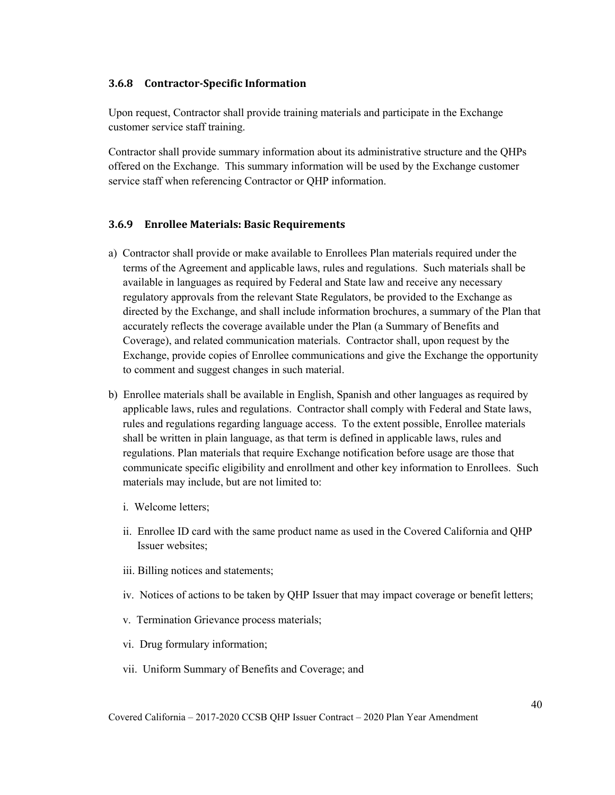#### **3.6.8 Contractor-Specific Information**

Upon request, Contractor shall provide training materials and participate in the Exchange customer service staff training.

Contractor shall provide summary information about its administrative structure and the QHPs offered on the Exchange. This summary information will be used by the Exchange customer service staff when referencing Contractor or QHP information.

#### **3.6.9 Enrollee Materials: Basic Requirements**

- a) Contractor shall provide or make available to Enrollees Plan materials required under the terms of the Agreement and applicable laws, rules and regulations. Such materials shall be available in languages as required by Federal and State law and receive any necessary regulatory approvals from the relevant State Regulators, be provided to the Exchange as directed by the Exchange, and shall include information brochures, a summary of the Plan that accurately reflects the coverage available under the Plan (a Summary of Benefits and Coverage), and related communication materials. Contractor shall, upon request by the Exchange, provide copies of Enrollee communications and give the Exchange the opportunity to comment and suggest changes in such material.
- b) Enrollee materials shall be available in English, Spanish and other languages as required by applicable laws, rules and regulations. Contractor shall comply with Federal and State laws, rules and regulations regarding language access. To the extent possible, Enrollee materials shall be written in plain language, as that term is defined in applicable laws, rules and regulations. Plan materials that require Exchange notification before usage are those that communicate specific eligibility and enrollment and other key information to Enrollees. Such materials may include, but are not limited to:
	- i. Welcome letters;
	- ii. Enrollee ID card with the same product name as used in the Covered California and QHP Issuer websites;
	- iii. Billing notices and statements;
	- iv. Notices of actions to be taken by QHP Issuer that may impact coverage or benefit letters;
	- v. Termination Grievance process materials;
	- vi. Drug formulary information;
	- vii. Uniform Summary of Benefits and Coverage; and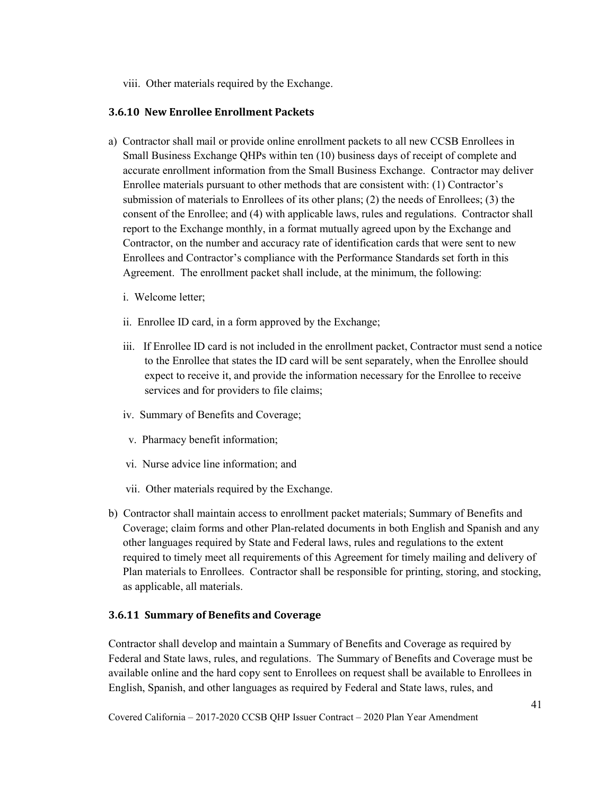viii. Other materials required by the Exchange.

#### **3.6.10 New Enrollee Enrollment Packets**

- a) Contractor shall mail or provide online enrollment packets to all new CCSB Enrollees in Small Business Exchange QHPs within ten (10) business days of receipt of complete and accurate enrollment information from the Small Business Exchange. Contractor may deliver Enrollee materials pursuant to other methods that are consistent with: (1) Contractor's submission of materials to Enrollees of its other plans; (2) the needs of Enrollees; (3) the consent of the Enrollee; and (4) with applicable laws, rules and regulations. Contractor shall report to the Exchange monthly, in a format mutually agreed upon by the Exchange and Contractor, on the number and accuracy rate of identification cards that were sent to new Enrollees and Contractor's compliance with the Performance Standards set forth in this Agreement. The enrollment packet shall include, at the minimum, the following:
	- i. Welcome letter;
	- ii. Enrollee ID card, in a form approved by the Exchange;
	- iii. If Enrollee ID card is not included in the enrollment packet, Contractor must send a notice to the Enrollee that states the ID card will be sent separately, when the Enrollee should expect to receive it, and provide the information necessary for the Enrollee to receive services and for providers to file claims;
	- iv. Summary of Benefits and Coverage;
	- v. Pharmacy benefit information;
	- vi. Nurse advice line information; and
	- vii. Other materials required by the Exchange.
- b) Contractor shall maintain access to enrollment packet materials; Summary of Benefits and Coverage; claim forms and other Plan-related documents in both English and Spanish and any other languages required by State and Federal laws, rules and regulations to the extent required to timely meet all requirements of this Agreement for timely mailing and delivery of Plan materials to Enrollees. Contractor shall be responsible for printing, storing, and stocking, as applicable, all materials.

#### **3.6.11 Summary of Benefits and Coverage**

Contractor shall develop and maintain a Summary of Benefits and Coverage as required by Federal and State laws, rules, and regulations. The Summary of Benefits and Coverage must be available online and the hard copy sent to Enrollees on request shall be available to Enrollees in English, Spanish, and other languages as required by Federal and State laws, rules, and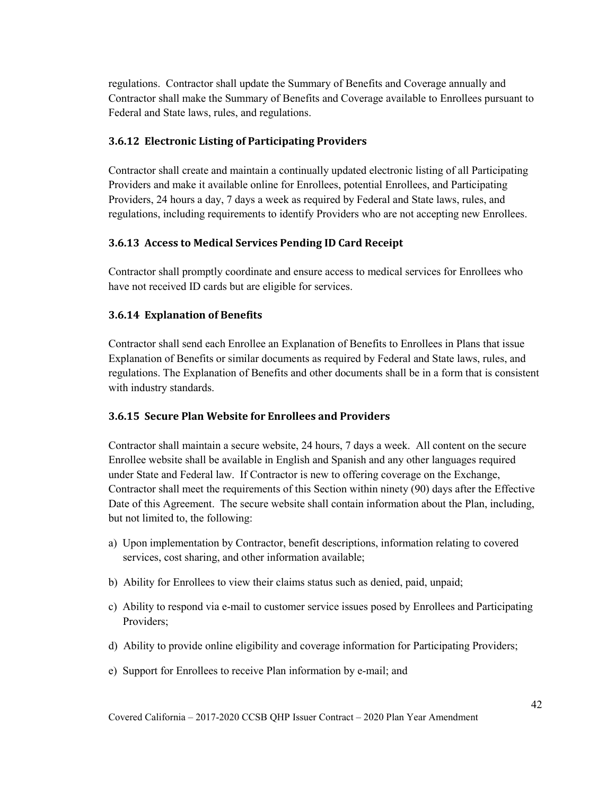regulations. Contractor shall update the Summary of Benefits and Coverage annually and Contractor shall make the Summary of Benefits and Coverage available to Enrollees pursuant to Federal and State laws, rules, and regulations.

#### **3.6.12 Electronic Listing of Participating Providers**

Contractor shall create and maintain a continually updated electronic listing of all Participating Providers and make it available online for Enrollees, potential Enrollees, and Participating Providers, 24 hours a day, 7 days a week as required by Federal and State laws, rules, and regulations, including requirements to identify Providers who are not accepting new Enrollees.

#### **3.6.13 Access to Medical Services Pending ID Card Receipt**

Contractor shall promptly coordinate and ensure access to medical services for Enrollees who have not received ID cards but are eligible for services.

#### **3.6.14 Explanation of Benefits**

Contractor shall send each Enrollee an Explanation of Benefits to Enrollees in Plans that issue Explanation of Benefits or similar documents as required by Federal and State laws, rules, and regulations. The Explanation of Benefits and other documents shall be in a form that is consistent with industry standards.

#### **3.6.15 Secure Plan Website for Enrollees and Providers**

Contractor shall maintain a secure website, 24 hours, 7 days a week. All content on the secure Enrollee website shall be available in English and Spanish and any other languages required under State and Federal law. If Contractor is new to offering coverage on the Exchange, Contractor shall meet the requirements of this Section within ninety (90) days after the Effective Date of this Agreement. The secure website shall contain information about the Plan, including, but not limited to, the following:

- a) Upon implementation by Contractor, benefit descriptions, information relating to covered services, cost sharing, and other information available;
- b) Ability for Enrollees to view their claims status such as denied, paid, unpaid;
- c) Ability to respond via e-mail to customer service issues posed by Enrollees and Participating Providers;
- d) Ability to provide online eligibility and coverage information for Participating Providers;
- e) Support for Enrollees to receive Plan information by e-mail; and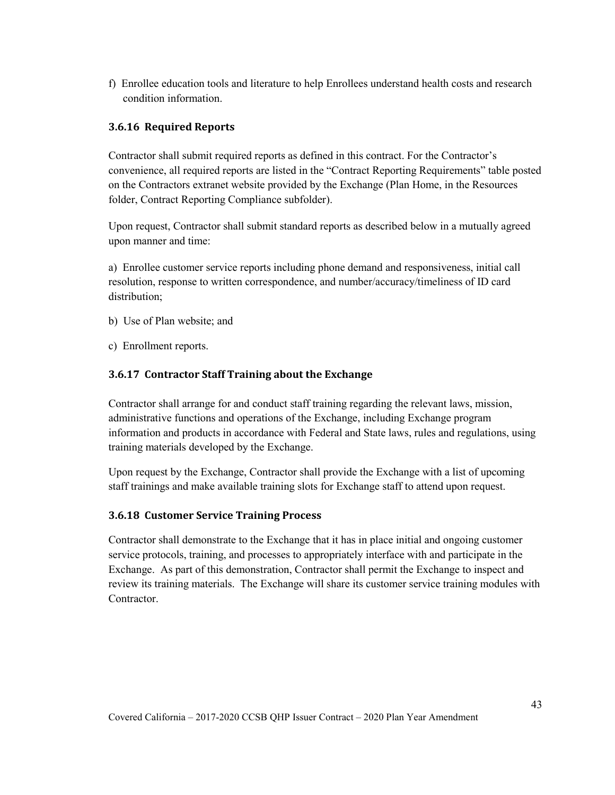f) Enrollee education tools and literature to help Enrollees understand health costs and research condition information.

#### **3.6.16 Required Reports**

Contractor shall submit required reports as defined in this contract. For the Contractor's convenience, all required reports are listed in the "Contract Reporting Requirements" table posted on the Contractors extranet website provided by the Exchange (Plan Home, in the Resources folder, Contract Reporting Compliance subfolder).

Upon request, Contractor shall submit standard reports as described below in a mutually agreed upon manner and time:

a) Enrollee customer service reports including phone demand and responsiveness, initial call resolution, response to written correspondence, and number/accuracy/timeliness of ID card distribution;

- b) Use of Plan website; and
- c) Enrollment reports.

#### **3.6.17 Contractor Staff Training about the Exchange**

Contractor shall arrange for and conduct staff training regarding the relevant laws, mission, administrative functions and operations of the Exchange, including Exchange program information and products in accordance with Federal and State laws, rules and regulations, using training materials developed by the Exchange.

Upon request by the Exchange, Contractor shall provide the Exchange with a list of upcoming staff trainings and make available training slots for Exchange staff to attend upon request.

#### **3.6.18 Customer Service Training Process**

Contractor shall demonstrate to the Exchange that it has in place initial and ongoing customer service protocols, training, and processes to appropriately interface with and participate in the Exchange. As part of this demonstration, Contractor shall permit the Exchange to inspect and review its training materials. The Exchange will share its customer service training modules with Contractor.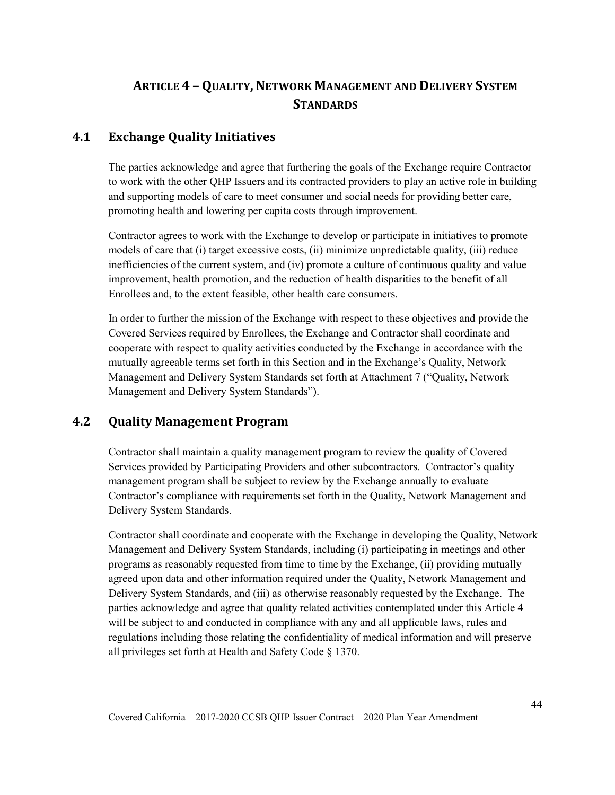# **ARTICLE 4 - QUALITY, NETWORK MANAGEMENT AND DELIVERY SYSTEM STANDARDS**

# **4.1 Exchange Quality Initiatives**

The parties acknowledge and agree that furthering the goals of the Exchange require Contractor to work with the other QHP Issuers and its contracted providers to play an active role in building and supporting models of care to meet consumer and social needs for providing better care, promoting health and lowering per capita costs through improvement.

Contractor agrees to work with the Exchange to develop or participate in initiatives to promote models of care that (i) target excessive costs, (ii) minimize unpredictable quality, (iii) reduce inefficiencies of the current system, and (iv) promote a culture of continuous quality and value improvement, health promotion, and the reduction of health disparities to the benefit of all Enrollees and, to the extent feasible, other health care consumers.

In order to further the mission of the Exchange with respect to these objectives and provide the Covered Services required by Enrollees, the Exchange and Contractor shall coordinate and cooperate with respect to quality activities conducted by the Exchange in accordance with the mutually agreeable terms set forth in this Section and in the Exchange's Quality, Network Management and Delivery System Standards set forth at Attachment 7 ("Quality, Network Management and Delivery System Standards").

# **4.2 Quality Management Program**

Contractor shall maintain a quality management program to review the quality of Covered Services provided by Participating Providers and other subcontractors. Contractor's quality management program shall be subject to review by the Exchange annually to evaluate Contractor's compliance with requirements set forth in the Quality, Network Management and Delivery System Standards.

Contractor shall coordinate and cooperate with the Exchange in developing the Quality, Network Management and Delivery System Standards, including (i) participating in meetings and other programs as reasonably requested from time to time by the Exchange, (ii) providing mutually agreed upon data and other information required under the Quality, Network Management and Delivery System Standards, and (iii) as otherwise reasonably requested by the Exchange. The parties acknowledge and agree that quality related activities contemplated under this Article 4 will be subject to and conducted in compliance with any and all applicable laws, rules and regulations including those relating the confidentiality of medical information and will preserve all privileges set forth at Health and Safety Code § 1370.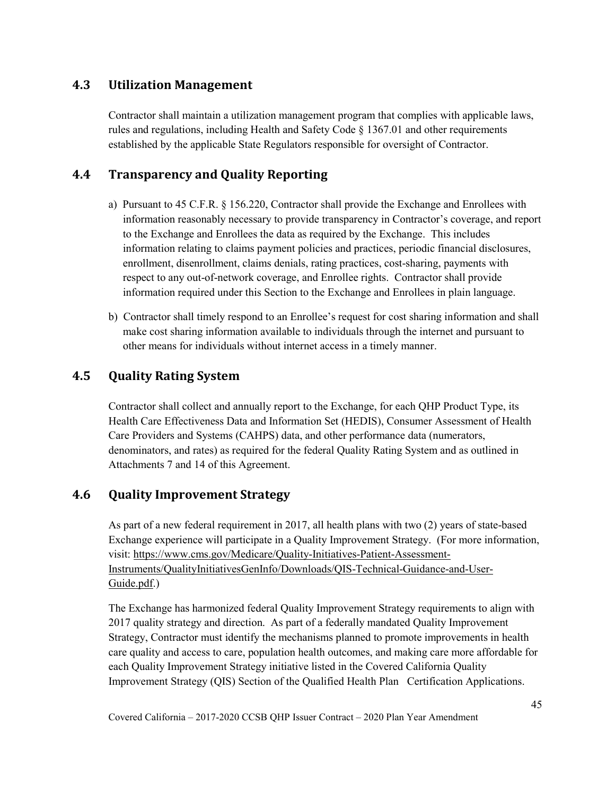# **4.3 Utilization Management**

Contractor shall maintain a utilization management program that complies with applicable laws, rules and regulations, including Health and Safety Code § 1367.01 and other requirements established by the applicable State Regulators responsible for oversight of Contractor.

# **4.4 Transparency and Quality Reporting**

- a) Pursuant to 45 C.F.R. § 156.220, Contractor shall provide the Exchange and Enrollees with information reasonably necessary to provide transparency in Contractor's coverage, and report to the Exchange and Enrollees the data as required by the Exchange. This includes information relating to claims payment policies and practices, periodic financial disclosures, enrollment, disenrollment, claims denials, rating practices, cost-sharing, payments with respect to any out-of-network coverage, and Enrollee rights. Contractor shall provide information required under this Section to the Exchange and Enrollees in plain language.
- b) Contractor shall timely respond to an Enrollee's request for cost sharing information and shall make cost sharing information available to individuals through the internet and pursuant to other means for individuals without internet access in a timely manner.

# **4.5 Quality Rating System**

Contractor shall collect and annually report to the Exchange, for each QHP Product Type, its Health Care Effectiveness Data and Information Set (HEDIS), Consumer Assessment of Health Care Providers and Systems (CAHPS) data, and other performance data (numerators, denominators, and rates) as required for the federal Quality Rating System and as outlined in Attachments 7 and 14 of this Agreement.

# **4.6 Quality Improvement Strategy**

As part of a new federal requirement in 2017, all health plans with two (2) years of state-based Exchange experience will participate in a Quality Improvement Strategy. (For more information, visit: [https://www.cms.gov/Medicare/Quality-Initiatives-Patient-Assessment-](https://www.cms.gov/Medicare/Quality-Initiatives-Patient-Assessment-Instruments/QualityInitiativesGenInfo/Downloads/QIS-Technical-Guidance-and-User-Guide.pdf)[Instruments/QualityInitiativesGenInfo/Downloads/QIS-Technical-Guidance-and-User-](https://www.cms.gov/Medicare/Quality-Initiatives-Patient-Assessment-Instruments/QualityInitiativesGenInfo/Downloads/QIS-Technical-Guidance-and-User-Guide.pdf)[Guide.pdf.](https://www.cms.gov/Medicare/Quality-Initiatives-Patient-Assessment-Instruments/QualityInitiativesGenInfo/Downloads/QIS-Technical-Guidance-and-User-Guide.pdf))

The Exchange has harmonized federal Quality Improvement Strategy requirements to align with 2017 quality strategy and direction. As part of a federally mandated Quality Improvement Strategy, Contractor must identify the mechanisms planned to promote improvements in health care quality and access to care, population health outcomes, and making care more affordable for each Quality Improvement Strategy initiative listed in the Covered California Quality Improvement Strategy (QIS) Section of the Qualified Health Plan Certification Applications.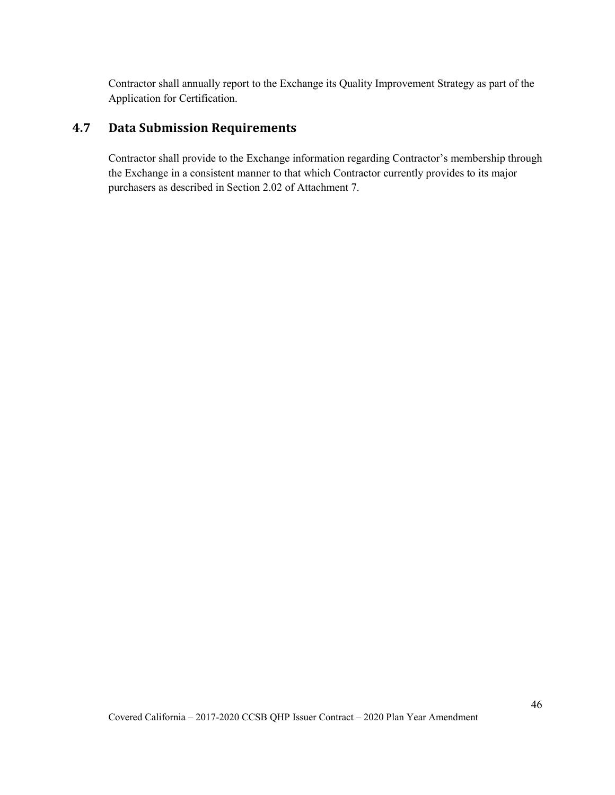Contractor shall annually report to the Exchange its Quality Improvement Strategy as part of the Application for Certification.

# **4.7 Data Submission Requirements**

Contractor shall provide to the Exchange information regarding Contractor's membership through the Exchange in a consistent manner to that which Contractor currently provides to its major purchasers as described in Section 2.02 of Attachment 7.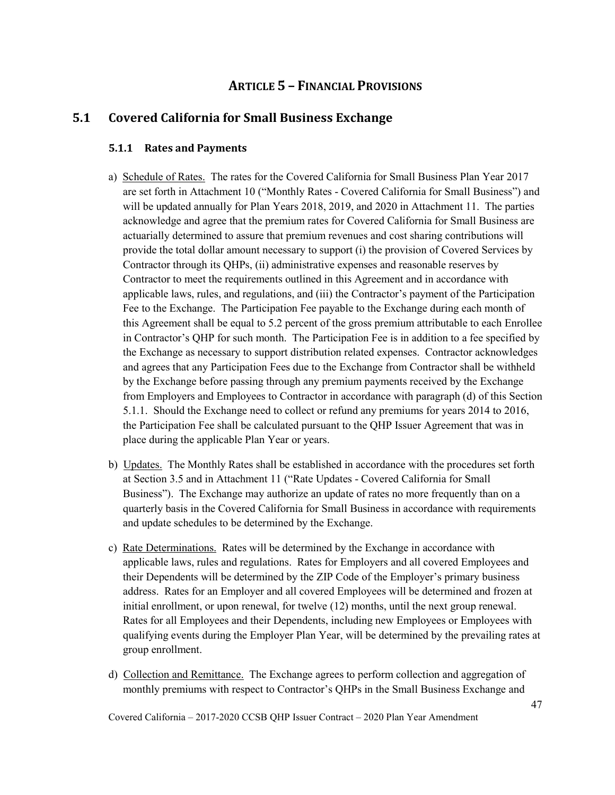# **ARTICLE 5 – FINANCIAL PROVISIONS**

### **5.1 Covered California for Small Business Exchange**

#### **5.1.1 Rates and Payments**

- a) Schedule of Rates. The rates for the Covered California for Small Business Plan Year 2017 are set forth in Attachment 10 ("Monthly Rates - Covered California for Small Business") and will be updated annually for Plan Years 2018, 2019, and 2020 in Attachment 11. The parties acknowledge and agree that the premium rates for Covered California for Small Business are actuarially determined to assure that premium revenues and cost sharing contributions will provide the total dollar amount necessary to support (i) the provision of Covered Services by Contractor through its QHPs, (ii) administrative expenses and reasonable reserves by Contractor to meet the requirements outlined in this Agreement and in accordance with applicable laws, rules, and regulations, and (iii) the Contractor's payment of the Participation Fee to the Exchange. The Participation Fee payable to the Exchange during each month of this Agreement shall be equal to 5.2 percent of the gross premium attributable to each Enrollee in Contractor's QHP for such month. The Participation Fee is in addition to a fee specified by the Exchange as necessary to support distribution related expenses. Contractor acknowledges and agrees that any Participation Fees due to the Exchange from Contractor shall be withheld by the Exchange before passing through any premium payments received by the Exchange from Employers and Employees to Contractor in accordance with paragraph (d) of this Section 5.1.1. Should the Exchange need to collect or refund any premiums for years 2014 to 2016, the Participation Fee shall be calculated pursuant to the QHP Issuer Agreement that was in place during the applicable Plan Year or years.
- b) Updates. The Monthly Rates shall be established in accordance with the procedures set forth at Section 3.5 and in Attachment 11 ("Rate Updates - Covered California for Small Business"). The Exchange may authorize an update of rates no more frequently than on a quarterly basis in the Covered California for Small Business in accordance with requirements and update schedules to be determined by the Exchange.
- c) Rate Determinations. Rates will be determined by the Exchange in accordance with applicable laws, rules and regulations. Rates for Employers and all covered Employees and their Dependents will be determined by the ZIP Code of the Employer's primary business address. Rates for an Employer and all covered Employees will be determined and frozen at initial enrollment, or upon renewal, for twelve (12) months, until the next group renewal. Rates for all Employees and their Dependents, including new Employees or Employees with qualifying events during the Employer Plan Year, will be determined by the prevailing rates at group enrollment.
- d) Collection and Remittance. The Exchange agrees to perform collection and aggregation of monthly premiums with respect to Contractor's QHPs in the Small Business Exchange and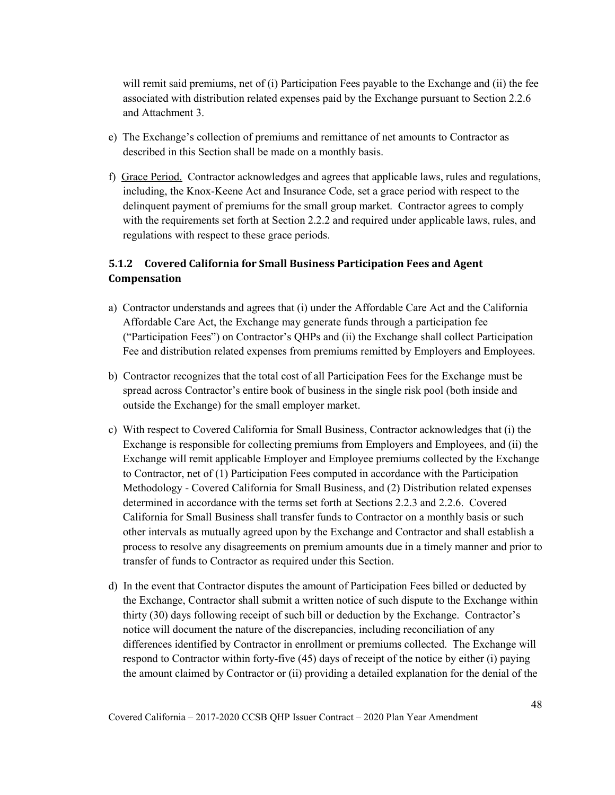will remit said premiums, net of (i) Participation Fees payable to the Exchange and (ii) the fee associated with distribution related expenses paid by the Exchange pursuant to Section 2.2.6 and Attachment 3.

- e) The Exchange's collection of premiums and remittance of net amounts to Contractor as described in this Section shall be made on a monthly basis.
- f) Grace Period. Contractor acknowledges and agrees that applicable laws, rules and regulations, including, the Knox-Keene Act and Insurance Code, set a grace period with respect to the delinquent payment of premiums for the small group market. Contractor agrees to comply with the requirements set forth at Section 2.2.2 and required under applicable laws, rules, and regulations with respect to these grace periods.

# **5.1.2 Covered California for Small Business Participation Fees and Agent Compensation**

- a) Contractor understands and agrees that (i) under the Affordable Care Act and the California Affordable Care Act, the Exchange may generate funds through a participation fee ("Participation Fees") on Contractor's QHPs and (ii) the Exchange shall collect Participation Fee and distribution related expenses from premiums remitted by Employers and Employees.
- b) Contractor recognizes that the total cost of all Participation Fees for the Exchange must be spread across Contractor's entire book of business in the single risk pool (both inside and outside the Exchange) for the small employer market.
- c) With respect to Covered California for Small Business, Contractor acknowledges that (i) the Exchange is responsible for collecting premiums from Employers and Employees, and (ii) the Exchange will remit applicable Employer and Employee premiums collected by the Exchange to Contractor, net of (1) Participation Fees computed in accordance with the Participation Methodology - Covered California for Small Business, and (2) Distribution related expenses determined in accordance with the terms set forth at Sections 2.2.3 and 2.2.6. Covered California for Small Business shall transfer funds to Contractor on a monthly basis or such other intervals as mutually agreed upon by the Exchange and Contractor and shall establish a process to resolve any disagreements on premium amounts due in a timely manner and prior to transfer of funds to Contractor as required under this Section.
- d) In the event that Contractor disputes the amount of Participation Fees billed or deducted by the Exchange, Contractor shall submit a written notice of such dispute to the Exchange within thirty (30) days following receipt of such bill or deduction by the Exchange. Contractor's notice will document the nature of the discrepancies, including reconciliation of any differences identified by Contractor in enrollment or premiums collected. The Exchange will respond to Contractor within forty-five (45) days of receipt of the notice by either (i) paying the amount claimed by Contractor or (ii) providing a detailed explanation for the denial of the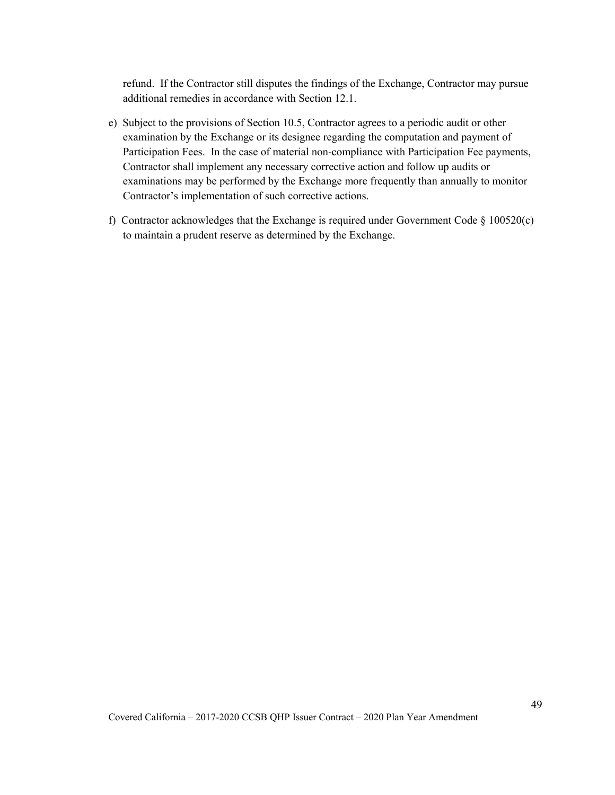refund. If the Contractor still disputes the findings of the Exchange, Contractor may pursue additional remedies in accordance with Section 12.1.

- e) Subject to the provisions of Section 10.5, Contractor agrees to a periodic audit or other examination by the Exchange or its designee regarding the computation and payment of Participation Fees. In the case of material non-compliance with Participation Fee payments, Contractor shall implement any necessary corrective action and follow up audits or examinations may be performed by the Exchange more frequently than annually to monitor Contractor's implementation of such corrective actions.
- f) Contractor acknowledges that the Exchange is required under Government Code § 100520(c) to maintain a prudent reserve as determined by the Exchange.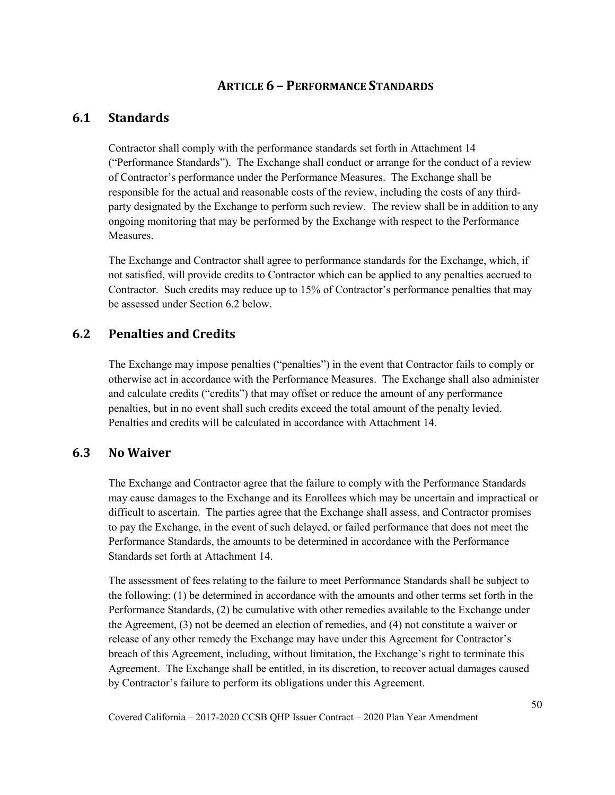# **ARTICLE 6 – PERFORMANCE STANDARDS**

# **6.1 Standards**

Contractor shall comply with the performance standards set forth in Attachment 14 ("Performance Standards"). The Exchange shall conduct or arrange for the conduct of a review of Contractor's performance under the Performance Measures. The Exchange shall be responsible for the actual and reasonable costs of the review, including the costs of any thirdparty designated by the Exchange to perform such review. The review shall be in addition to any ongoing monitoring that may be performed by the Exchange with respect to the Performance Measures.

The Exchange and Contractor shall agree to performance standards for the Exchange, which, if not satisfied, will provide credits to Contractor which can be applied to any penalties accrued to Contractor. Such credits may reduce up to 15% of Contractor's performance penalties that may be assessed under Section 6.2 below.

# **6.2 Penalties and Credits**

The Exchange may impose penalties ("penalties") in the event that Contractor fails to comply or otherwise act in accordance with the Performance Measures. The Exchange shall also administer and calculate credits ("credits") that may offset or reduce the amount of any performance penalties, but in no event shall such credits exceed the total amount of the penalty levied. Penalties and credits will be calculated in accordance with Attachment 14.

#### **6.3 No Waiver**

The Exchange and Contractor agree that the failure to comply with the Performance Standards may cause damages to the Exchange and its Enrollees which may be uncertain and impractical or difficult to ascertain. The parties agree that the Exchange shall assess, and Contractor promises to pay the Exchange, in the event of such delayed, or failed performance that does not meet the Performance Standards, the amounts to be determined in accordance with the Performance Standards set forth at Attachment 14.

The assessment of fees relating to the failure to meet Performance Standards shall be subject to the following: (1) be determined in accordance with the amounts and other terms set forth in the Performance Standards, (2) be cumulative with other remedies available to the Exchange under the Agreement, (3) not be deemed an election of remedies, and (4) not constitute a waiver or release of any other remedy the Exchange may have under this Agreement for Contractor's breach of this Agreement, including, without limitation, the Exchange's right to terminate this Agreement. The Exchange shall be entitled, in its discretion, to recover actual damages caused by Contractor's failure to perform its obligations under this Agreement.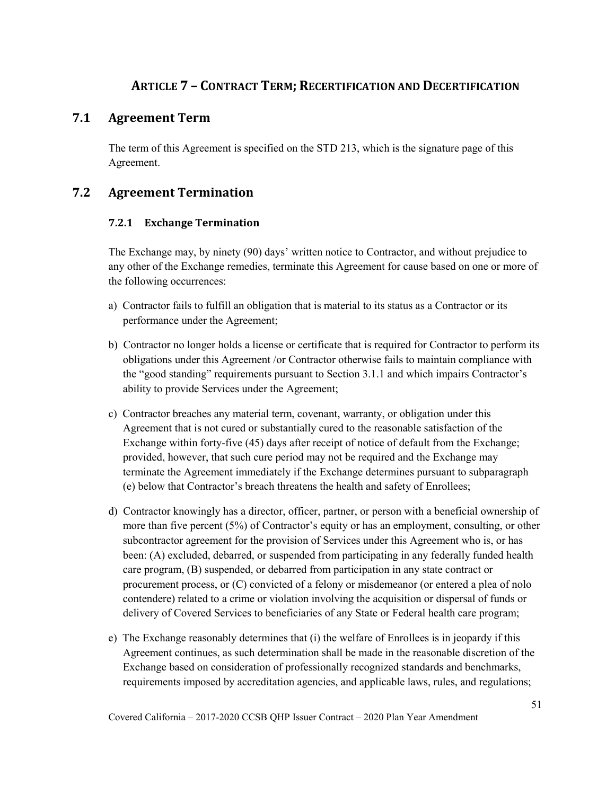# **ARTICLE 7 – CONTRACT TERM; RECERTIFICATION AND DECERTIFICATION**

# **7.1 Agreement Term**

The term of this Agreement is specified on the STD 213, which is the signature page of this Agreement.

# **7.2 Agreement Termination**

### **7.2.1 Exchange Termination**

The Exchange may, by ninety (90) days' written notice to Contractor, and without prejudice to any other of the Exchange remedies, terminate this Agreement for cause based on one or more of the following occurrences:

- a) Contractor fails to fulfill an obligation that is material to its status as a Contractor or its performance under the Agreement;
- b) Contractor no longer holds a license or certificate that is required for Contractor to perform its obligations under this Agreement /or Contractor otherwise fails to maintain compliance with the "good standing" requirements pursuant to Section 3.1.1 and which impairs Contractor's ability to provide Services under the Agreement;
- c) Contractor breaches any material term, covenant, warranty, or obligation under this Agreement that is not cured or substantially cured to the reasonable satisfaction of the Exchange within forty-five (45) days after receipt of notice of default from the Exchange; provided, however, that such cure period may not be required and the Exchange may terminate the Agreement immediately if the Exchange determines pursuant to subparagraph (e) below that Contractor's breach threatens the health and safety of Enrollees;
- d) Contractor knowingly has a director, officer, partner, or person with a beneficial ownership of more than five percent (5%) of Contractor's equity or has an employment, consulting, or other subcontractor agreement for the provision of Services under this Agreement who is, or has been: (A) excluded, debarred, or suspended from participating in any federally funded health care program, (B) suspended, or debarred from participation in any state contract or procurement process, or (C) convicted of a felony or misdemeanor (or entered a plea of nolo contendere) related to a crime or violation involving the acquisition or dispersal of funds or delivery of Covered Services to beneficiaries of any State or Federal health care program;
- e) The Exchange reasonably determines that (i) the welfare of Enrollees is in jeopardy if this Agreement continues, as such determination shall be made in the reasonable discretion of the Exchange based on consideration of professionally recognized standards and benchmarks, requirements imposed by accreditation agencies, and applicable laws, rules, and regulations;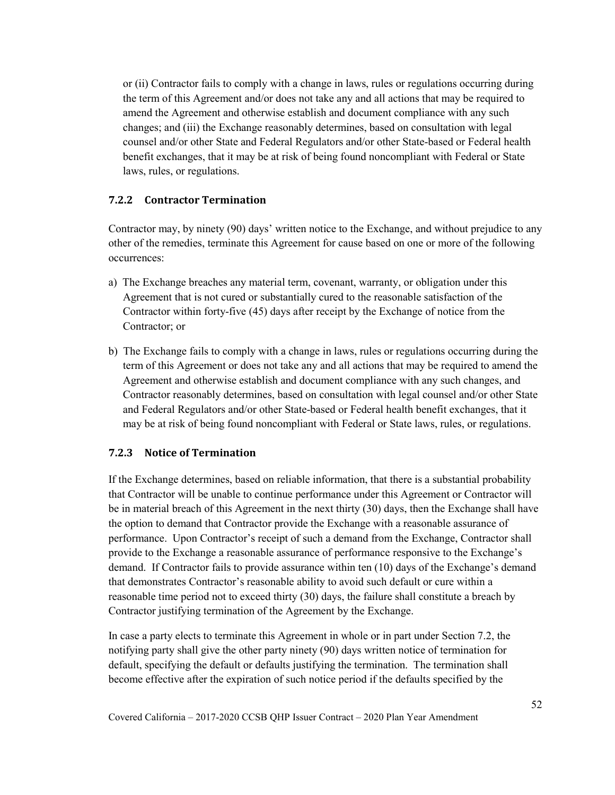or (ii) Contractor fails to comply with a change in laws, rules or regulations occurring during the term of this Agreement and/or does not take any and all actions that may be required to amend the Agreement and otherwise establish and document compliance with any such changes; and (iii) the Exchange reasonably determines, based on consultation with legal counsel and/or other State and Federal Regulators and/or other State-based or Federal health benefit exchanges, that it may be at risk of being found noncompliant with Federal or State laws, rules, or regulations.

#### **7.2.2 Contractor Termination**

Contractor may, by ninety (90) days' written notice to the Exchange, and without prejudice to any other of the remedies, terminate this Agreement for cause based on one or more of the following occurrences:

- a) The Exchange breaches any material term, covenant, warranty, or obligation under this Agreement that is not cured or substantially cured to the reasonable satisfaction of the Contractor within forty-five (45) days after receipt by the Exchange of notice from the Contractor; or
- b) The Exchange fails to comply with a change in laws, rules or regulations occurring during the term of this Agreement or does not take any and all actions that may be required to amend the Agreement and otherwise establish and document compliance with any such changes, and Contractor reasonably determines, based on consultation with legal counsel and/or other State and Federal Regulators and/or other State-based or Federal health benefit exchanges, that it may be at risk of being found noncompliant with Federal or State laws, rules, or regulations.

### **7.2.3 Notice of Termination**

If the Exchange determines, based on reliable information, that there is a substantial probability that Contractor will be unable to continue performance under this Agreement or Contractor will be in material breach of this Agreement in the next thirty (30) days, then the Exchange shall have the option to demand that Contractor provide the Exchange with a reasonable assurance of performance. Upon Contractor's receipt of such a demand from the Exchange, Contractor shall provide to the Exchange a reasonable assurance of performance responsive to the Exchange's demand. If Contractor fails to provide assurance within ten (10) days of the Exchange's demand that demonstrates Contractor's reasonable ability to avoid such default or cure within a reasonable time period not to exceed thirty (30) days, the failure shall constitute a breach by Contractor justifying termination of the Agreement by the Exchange.

In case a party elects to terminate this Agreement in whole or in part under Section 7.2, the notifying party shall give the other party ninety (90) days written notice of termination for default, specifying the default or defaults justifying the termination. The termination shall become effective after the expiration of such notice period if the defaults specified by the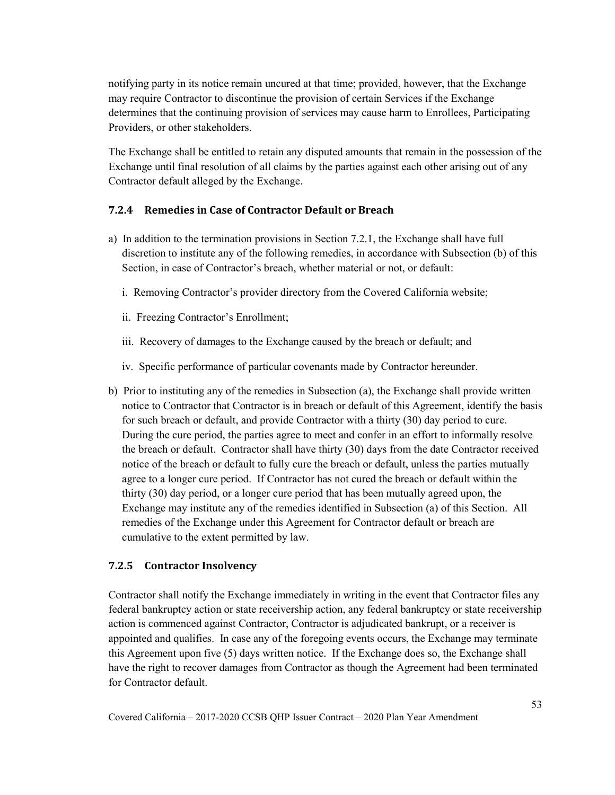notifying party in its notice remain uncured at that time; provided, however, that the Exchange may require Contractor to discontinue the provision of certain Services if the Exchange determines that the continuing provision of services may cause harm to Enrollees, Participating Providers, or other stakeholders.

The Exchange shall be entitled to retain any disputed amounts that remain in the possession of the Exchange until final resolution of all claims by the parties against each other arising out of any Contractor default alleged by the Exchange.

### **7.2.4 Remedies in Case of Contractor Default or Breach**

- a) In addition to the termination provisions in Section 7.2.1, the Exchange shall have full discretion to institute any of the following remedies, in accordance with Subsection (b) of this Section, in case of Contractor's breach, whether material or not, or default:
	- i. Removing Contractor's provider directory from the Covered California website;
	- ii. Freezing Contractor's Enrollment;
	- iii. Recovery of damages to the Exchange caused by the breach or default; and
	- iv. Specific performance of particular covenants made by Contractor hereunder.
- b) Prior to instituting any of the remedies in Subsection (a), the Exchange shall provide written notice to Contractor that Contractor is in breach or default of this Agreement, identify the basis for such breach or default, and provide Contractor with a thirty (30) day period to cure. During the cure period, the parties agree to meet and confer in an effort to informally resolve the breach or default. Contractor shall have thirty (30) days from the date Contractor received notice of the breach or default to fully cure the breach or default, unless the parties mutually agree to a longer cure period. If Contractor has not cured the breach or default within the thirty (30) day period, or a longer cure period that has been mutually agreed upon, the Exchange may institute any of the remedies identified in Subsection (a) of this Section. All remedies of the Exchange under this Agreement for Contractor default or breach are cumulative to the extent permitted by law.

#### **7.2.5 Contractor Insolvency**

Contractor shall notify the Exchange immediately in writing in the event that Contractor files any federal bankruptcy action or state receivership action, any federal bankruptcy or state receivership action is commenced against Contractor, Contractor is adjudicated bankrupt, or a receiver is appointed and qualifies. In case any of the foregoing events occurs, the Exchange may terminate this Agreement upon five (5) days written notice. If the Exchange does so, the Exchange shall have the right to recover damages from Contractor as though the Agreement had been terminated for Contractor default.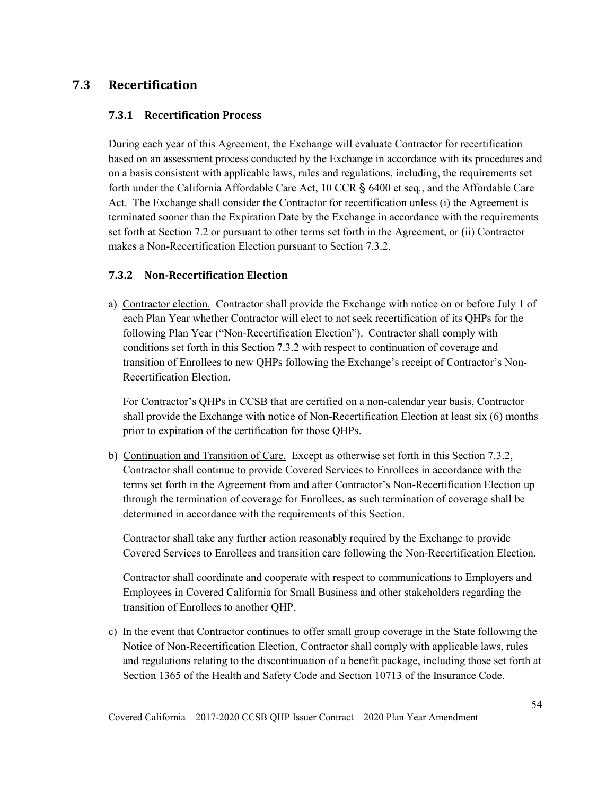# **7.3 Recertification**

### **7.3.1 Recertification Process**

During each year of this Agreement, the Exchange will evaluate Contractor for recertification based on an assessment process conducted by the Exchange in accordance with its procedures and on a basis consistent with applicable laws, rules and regulations, including, the requirements set forth under the California Affordable Care Act, 10 CCR § 6400 et seq*.*, and the Affordable Care Act. The Exchange shall consider the Contractor for recertification unless (i) the Agreement is terminated sooner than the Expiration Date by the Exchange in accordance with the requirements set forth at Section 7.2 or pursuant to other terms set forth in the Agreement, or (ii) Contractor makes a Non-Recertification Election pursuant to Section 7.3.2.

### **7.3.2 Non-Recertification Election**

a) Contractor election. Contractor shall provide the Exchange with notice on or before July 1 of each Plan Year whether Contractor will elect to not seek recertification of its QHPs for the following Plan Year ("Non-Recertification Election"). Contractor shall comply with conditions set forth in this Section 7.3.2 with respect to continuation of coverage and transition of Enrollees to new QHPs following the Exchange's receipt of Contractor's Non-Recertification Election.

For Contractor's QHPs in CCSB that are certified on a non-calendar year basis, Contractor shall provide the Exchange with notice of Non-Recertification Election at least six (6) months prior to expiration of the certification for those QHPs.

b) Continuation and Transition of Care. Except as otherwise set forth in this Section 7.3.2, Contractor shall continue to provide Covered Services to Enrollees in accordance with the terms set forth in the Agreement from and after Contractor's Non-Recertification Election up through the termination of coverage for Enrollees, as such termination of coverage shall be determined in accordance with the requirements of this Section.

Contractor shall take any further action reasonably required by the Exchange to provide Covered Services to Enrollees and transition care following the Non-Recertification Election.

Contractor shall coordinate and cooperate with respect to communications to Employers and Employees in Covered California for Small Business and other stakeholders regarding the transition of Enrollees to another QHP.

c) In the event that Contractor continues to offer small group coverage in the State following the Notice of Non-Recertification Election, Contractor shall comply with applicable laws, rules and regulations relating to the discontinuation of a benefit package, including those set forth at Section 1365 of the Health and Safety Code and Section 10713 of the Insurance Code.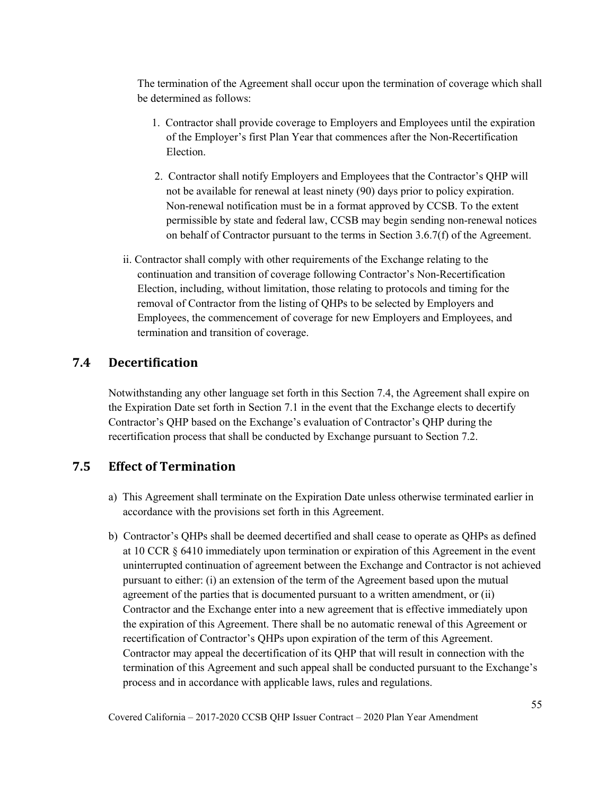The termination of the Agreement shall occur upon the termination of coverage which shall be determined as follows:

- 1. Contractor shall provide coverage to Employers and Employees until the expiration of the Employer's first Plan Year that commences after the Non-Recertification Election.
- 2. Contractor shall notify Employers and Employees that the Contractor's QHP will not be available for renewal at least ninety (90) days prior to policy expiration. Non-renewal notification must be in a format approved by CCSB. To the extent permissible by state and federal law, CCSB may begin sending non-renewal notices on behalf of Contractor pursuant to the terms in Section 3.6.7(f) of the Agreement.
- ii. Contractor shall comply with other requirements of the Exchange relating to the continuation and transition of coverage following Contractor's Non-Recertification Election, including, without limitation, those relating to protocols and timing for the removal of Contractor from the listing of QHPs to be selected by Employers and Employees, the commencement of coverage for new Employers and Employees, and termination and transition of coverage.

# **7.4 Decertification**

Notwithstanding any other language set forth in this Section 7.4, the Agreement shall expire on the Expiration Date set forth in Section 7.1 in the event that the Exchange elects to decertify Contractor's QHP based on the Exchange's evaluation of Contractor's QHP during the recertification process that shall be conducted by Exchange pursuant to Section 7.2.

# **7.5 Effect of Termination**

- a) This Agreement shall terminate on the Expiration Date unless otherwise terminated earlier in accordance with the provisions set forth in this Agreement.
- b) Contractor's QHPs shall be deemed decertified and shall cease to operate as QHPs as defined at 10 CCR § 6410 immediately upon termination or expiration of this Agreement in the event uninterrupted continuation of agreement between the Exchange and Contractor is not achieved pursuant to either: (i) an extension of the term of the Agreement based upon the mutual agreement of the parties that is documented pursuant to a written amendment, or (ii) Contractor and the Exchange enter into a new agreement that is effective immediately upon the expiration of this Agreement. There shall be no automatic renewal of this Agreement or recertification of Contractor's QHPs upon expiration of the term of this Agreement. Contractor may appeal the decertification of its QHP that will result in connection with the termination of this Agreement and such appeal shall be conducted pursuant to the Exchange's process and in accordance with applicable laws, rules and regulations.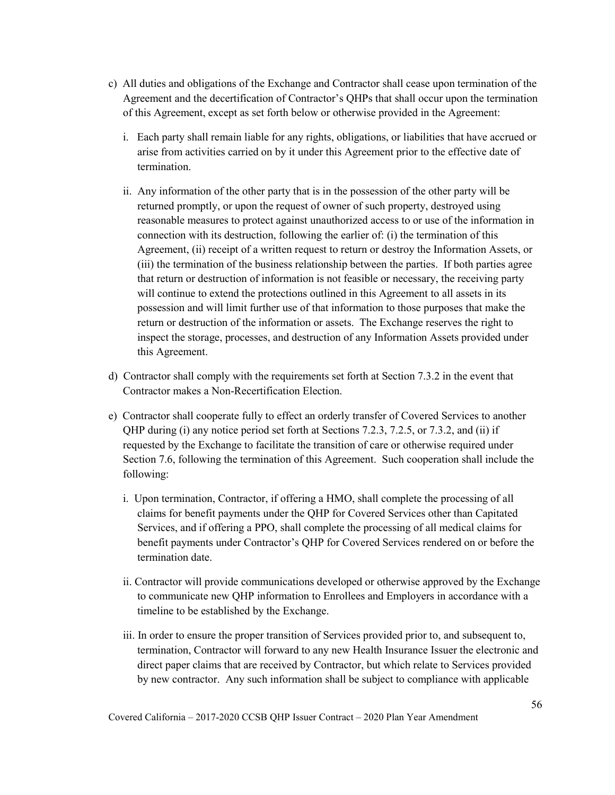- c) All duties and obligations of the Exchange and Contractor shall cease upon termination of the Agreement and the decertification of Contractor's QHPs that shall occur upon the termination of this Agreement, except as set forth below or otherwise provided in the Agreement:
	- i. Each party shall remain liable for any rights, obligations, or liabilities that have accrued or arise from activities carried on by it under this Agreement prior to the effective date of termination.
	- ii. Any information of the other party that is in the possession of the other party will be returned promptly, or upon the request of owner of such property, destroyed using reasonable measures to protect against unauthorized access to or use of the information in connection with its destruction, following the earlier of: (i) the termination of this Agreement, (ii) receipt of a written request to return or destroy the Information Assets, or (iii) the termination of the business relationship between the parties. If both parties agree that return or destruction of information is not feasible or necessary, the receiving party will continue to extend the protections outlined in this Agreement to all assets in its possession and will limit further use of that information to those purposes that make the return or destruction of the information or assets. The Exchange reserves the right to inspect the storage, processes, and destruction of any Information Assets provided under this Agreement.
- d) Contractor shall comply with the requirements set forth at Section 7.3.2 in the event that Contractor makes a Non-Recertification Election.
- e) Contractor shall cooperate fully to effect an orderly transfer of Covered Services to another QHP during (i) any notice period set forth at Sections 7.2.3, 7.2.5, or 7.3.2, and (ii) if requested by the Exchange to facilitate the transition of care or otherwise required under Section 7.6, following the termination of this Agreement. Such cooperation shall include the following:
	- i. Upon termination, Contractor, if offering a HMO, shall complete the processing of all claims for benefit payments under the QHP for Covered Services other than Capitated Services, and if offering a PPO, shall complete the processing of all medical claims for benefit payments under Contractor's QHP for Covered Services rendered on or before the termination date.
	- ii. Contractor will provide communications developed or otherwise approved by the Exchange to communicate new QHP information to Enrollees and Employers in accordance with a timeline to be established by the Exchange.
	- iii. In order to ensure the proper transition of Services provided prior to, and subsequent to, termination, Contractor will forward to any new Health Insurance Issuer the electronic and direct paper claims that are received by Contractor, but which relate to Services provided by new contractor. Any such information shall be subject to compliance with applicable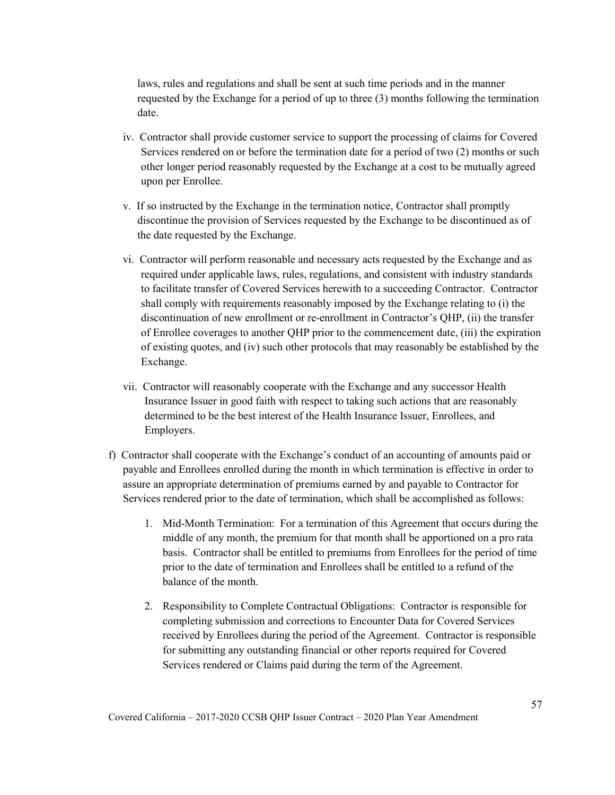laws, rules and regulations and shall be sent at such time periods and in the manner requested by the Exchange for a period of up to three (3) months following the termination date.

- iv. Contractor shall provide customer service to support the processing of claims for Covered Services rendered on or before the termination date for a period of two (2) months or such other longer period reasonably requested by the Exchange at a cost to be mutually agreed upon per Enrollee.
- v. If so instructed by the Exchange in the termination notice, Contractor shall promptly discontinue the provision of Services requested by the Exchange to be discontinued as of the date requested by the Exchange.
- vi. Contractor will perform reasonable and necessary acts requested by the Exchange and as required under applicable laws, rules, regulations, and consistent with industry standards to facilitate transfer of Covered Services herewith to a succeeding Contractor. Contractor shall comply with requirements reasonably imposed by the Exchange relating to (i) the discontinuation of new enrollment or re-enrollment in Contractor's QHP, (ii) the transfer of Enrollee coverages to another QHP prior to the commencement date, (iii) the expiration of existing quotes, and (iv) such other protocols that may reasonably be established by the Exchange.
- vii. Contractor will reasonably cooperate with the Exchange and any successor Health Insurance Issuer in good faith with respect to taking such actions that are reasonably determined to be the best interest of the Health Insurance Issuer, Enrollees, and Employers.
- f) Contractor shall cooperate with the Exchange's conduct of an accounting of amounts paid or payable and Enrollees enrolled during the month in which termination is effective in order to assure an appropriate determination of premiums earned by and payable to Contractor for Services rendered prior to the date of termination, which shall be accomplished as follows:
	- 1. Mid-Month Termination: For a termination of this Agreement that occurs during the middle of any month, the premium for that month shall be apportioned on a pro rata basis. Contractor shall be entitled to premiums from Enrollees for the period of time prior to the date of termination and Enrollees shall be entitled to a refund of the balance of the month.
	- 2. Responsibility to Complete Contractual Obligations: Contractor is responsible for completing submission and corrections to Encounter Data for Covered Services received by Enrollees during the period of the Agreement. Contractor is responsible for submitting any outstanding financial or other reports required for Covered Services rendered or Claims paid during the term of the Agreement.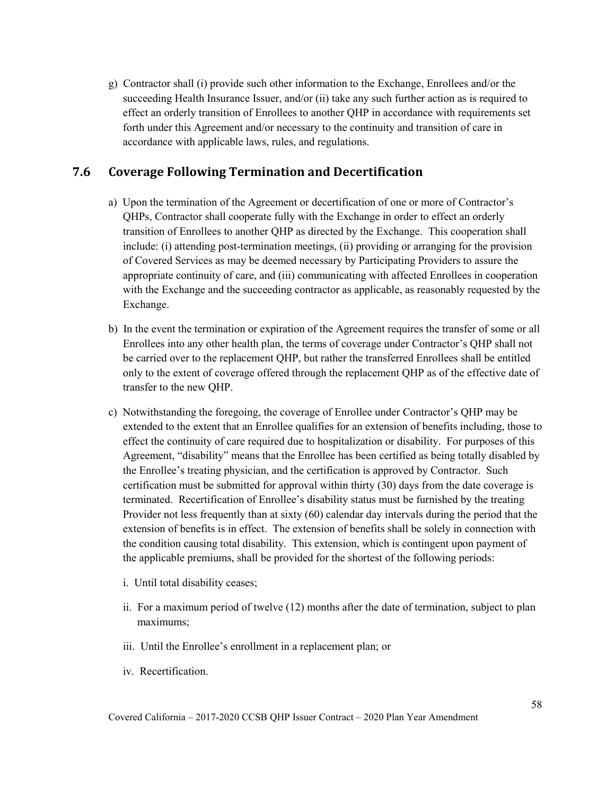g) Contractor shall (i) provide such other information to the Exchange, Enrollees and/or the succeeding Health Insurance Issuer, and/or (ii) take any such further action as is required to effect an orderly transition of Enrollees to another QHP in accordance with requirements set forth under this Agreement and/or necessary to the continuity and transition of care in accordance with applicable laws, rules, and regulations.

# **7.6 Coverage Following Termination and Decertification**

- a) Upon the termination of the Agreement or decertification of one or more of Contractor's QHPs, Contractor shall cooperate fully with the Exchange in order to effect an orderly transition of Enrollees to another QHP as directed by the Exchange. This cooperation shall include: (i) attending post-termination meetings, (ii) providing or arranging for the provision of Covered Services as may be deemed necessary by Participating Providers to assure the appropriate continuity of care, and (iii) communicating with affected Enrollees in cooperation with the Exchange and the succeeding contractor as applicable, as reasonably requested by the Exchange.
- b) In the event the termination or expiration of the Agreement requires the transfer of some or all Enrollees into any other health plan, the terms of coverage under Contractor's QHP shall not be carried over to the replacement QHP, but rather the transferred Enrollees shall be entitled only to the extent of coverage offered through the replacement QHP as of the effective date of transfer to the new QHP.
- c) Notwithstanding the foregoing, the coverage of Enrollee under Contractor's QHP may be extended to the extent that an Enrollee qualifies for an extension of benefits including, those to effect the continuity of care required due to hospitalization or disability. For purposes of this Agreement, "disability" means that the Enrollee has been certified as being totally disabled by the Enrollee's treating physician, and the certification is approved by Contractor. Such certification must be submitted for approval within thirty (30) days from the date coverage is terminated. Recertification of Enrollee's disability status must be furnished by the treating Provider not less frequently than at sixty (60) calendar day intervals during the period that the extension of benefits is in effect. The extension of benefits shall be solely in connection with the condition causing total disability. This extension, which is contingent upon payment of the applicable premiums, shall be provided for the shortest of the following periods:
	- i. Until total disability ceases;
	- ii. For a maximum period of twelve (12) months after the date of termination, subject to plan maximums;
	- iii. Until the Enrollee's enrollment in a replacement plan; or
	- iv. Recertification.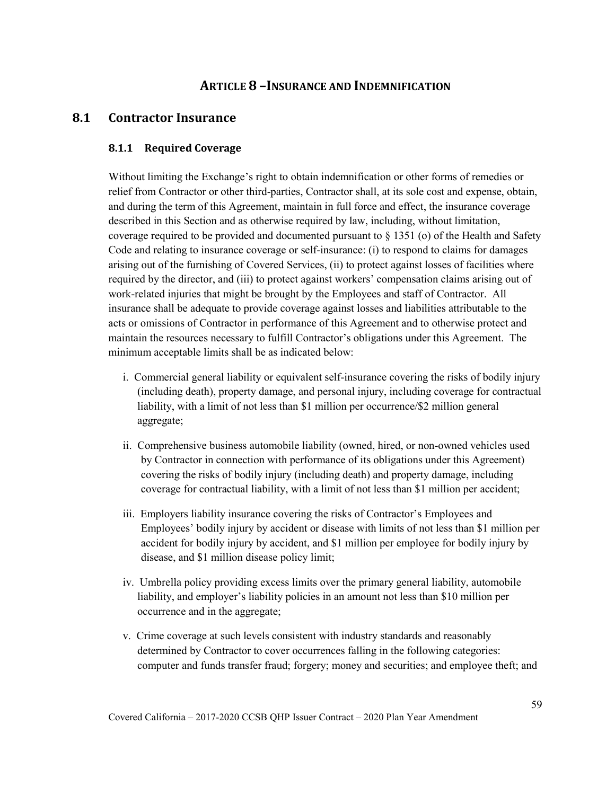# **ARTICLE 8 –INSURANCE AND INDEMNIFICATION**

### **8.1 Contractor Insurance**

#### **8.1.1 Required Coverage**

Without limiting the Exchange's right to obtain indemnification or other forms of remedies or relief from Contractor or other third-parties, Contractor shall, at its sole cost and expense, obtain, and during the term of this Agreement, maintain in full force and effect, the insurance coverage described in this Section and as otherwise required by law, including, without limitation, coverage required to be provided and documented pursuant to § 1351 (o) of the Health and Safety Code and relating to insurance coverage or self-insurance: (i) to respond to claims for damages arising out of the furnishing of Covered Services, (ii) to protect against losses of facilities where required by the director, and (iii) to protect against workers' compensation claims arising out of work-related injuries that might be brought by the Employees and staff of Contractor. All insurance shall be adequate to provide coverage against losses and liabilities attributable to the acts or omissions of Contractor in performance of this Agreement and to otherwise protect and maintain the resources necessary to fulfill Contractor's obligations under this Agreement. The minimum acceptable limits shall be as indicated below:

- i. Commercial general liability or equivalent self-insurance covering the risks of bodily injury (including death), property damage, and personal injury, including coverage for contractual liability, with a limit of not less than \$1 million per occurrence/\$2 million general aggregate;
- ii. Comprehensive business automobile liability (owned, hired, or non-owned vehicles used by Contractor in connection with performance of its obligations under this Agreement) covering the risks of bodily injury (including death) and property damage, including coverage for contractual liability, with a limit of not less than \$1 million per accident;
- iii. Employers liability insurance covering the risks of Contractor's Employees and Employees' bodily injury by accident or disease with limits of not less than \$1 million per accident for bodily injury by accident, and \$1 million per employee for bodily injury by disease, and \$1 million disease policy limit;
- iv. Umbrella policy providing excess limits over the primary general liability, automobile liability, and employer's liability policies in an amount not less than \$10 million per occurrence and in the aggregate;
- v. Crime coverage at such levels consistent with industry standards and reasonably determined by Contractor to cover occurrences falling in the following categories: computer and funds transfer fraud; forgery; money and securities; and employee theft; and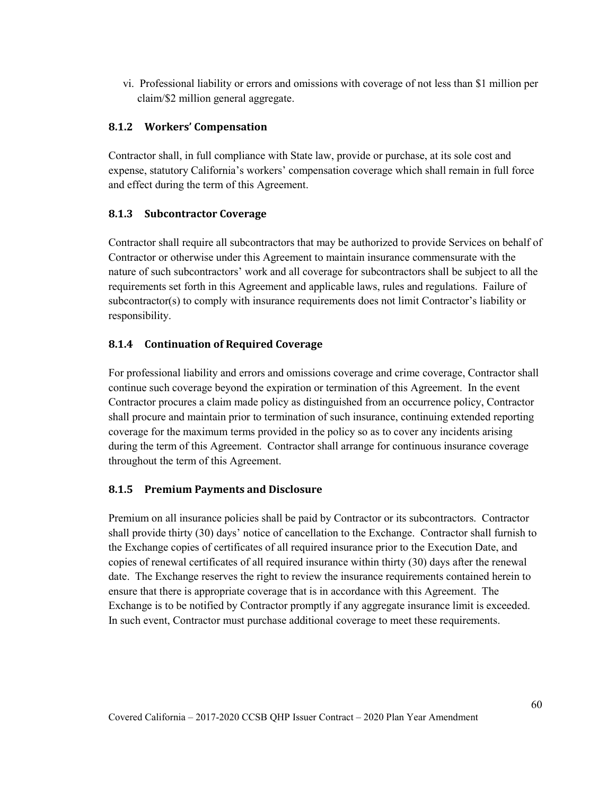vi. Professional liability or errors and omissions with coverage of not less than \$1 million per claim/\$2 million general aggregate.

#### **8.1.2 Workers' Compensation**

Contractor shall, in full compliance with State law, provide or purchase, at its sole cost and expense, statutory California's workers' compensation coverage which shall remain in full force and effect during the term of this Agreement.

#### **8.1.3 Subcontractor Coverage**

Contractor shall require all subcontractors that may be authorized to provide Services on behalf of Contractor or otherwise under this Agreement to maintain insurance commensurate with the nature of such subcontractors' work and all coverage for subcontractors shall be subject to all the requirements set forth in this Agreement and applicable laws, rules and regulations. Failure of subcontractor(s) to comply with insurance requirements does not limit Contractor's liability or responsibility.

#### **8.1.4 Continuation of Required Coverage**

For professional liability and errors and omissions coverage and crime coverage, Contractor shall continue such coverage beyond the expiration or termination of this Agreement. In the event Contractor procures a claim made policy as distinguished from an occurrence policy, Contractor shall procure and maintain prior to termination of such insurance, continuing extended reporting coverage for the maximum terms provided in the policy so as to cover any incidents arising during the term of this Agreement. Contractor shall arrange for continuous insurance coverage throughout the term of this Agreement.

### **8.1.5 Premium Payments and Disclosure**

Premium on all insurance policies shall be paid by Contractor or its subcontractors. Contractor shall provide thirty (30) days' notice of cancellation to the Exchange. Contractor shall furnish to the Exchange copies of certificates of all required insurance prior to the Execution Date, and copies of renewal certificates of all required insurance within thirty (30) days after the renewal date. The Exchange reserves the right to review the insurance requirements contained herein to ensure that there is appropriate coverage that is in accordance with this Agreement. The Exchange is to be notified by Contractor promptly if any aggregate insurance limit is exceeded. In such event, Contractor must purchase additional coverage to meet these requirements.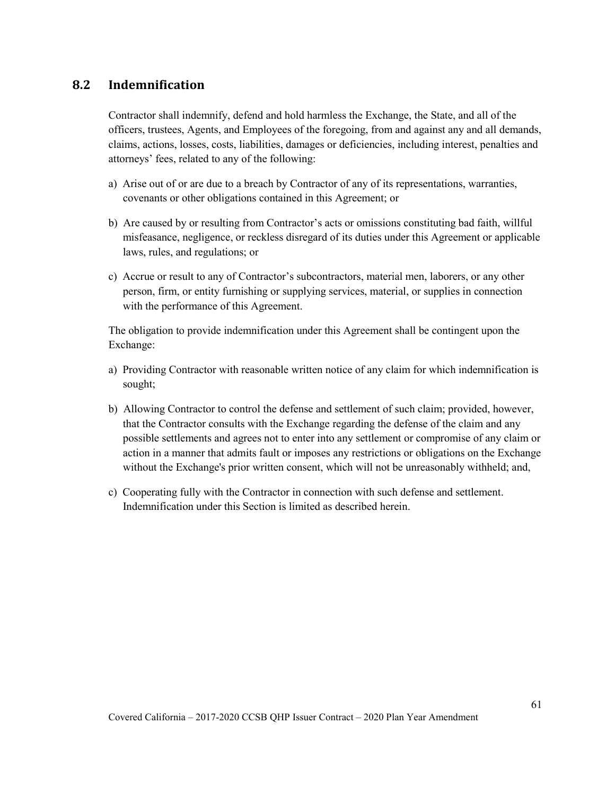# **8.2 Indemnification**

Contractor shall indemnify, defend and hold harmless the Exchange, the State, and all of the officers, trustees, Agents, and Employees of the foregoing, from and against any and all demands, claims, actions, losses, costs, liabilities, damages or deficiencies, including interest, penalties and attorneys' fees, related to any of the following:

- a) Arise out of or are due to a breach by Contractor of any of its representations, warranties, covenants or other obligations contained in this Agreement; or
- b) Are caused by or resulting from Contractor's acts or omissions constituting bad faith, willful misfeasance, negligence, or reckless disregard of its duties under this Agreement or applicable laws, rules, and regulations; or
- c) Accrue or result to any of Contractor's subcontractors, material men, laborers, or any other person, firm, or entity furnishing or supplying services, material, or supplies in connection with the performance of this Agreement.

The obligation to provide indemnification under this Agreement shall be contingent upon the Exchange:

- a) Providing Contractor with reasonable written notice of any claim for which indemnification is sought;
- b) Allowing Contractor to control the defense and settlement of such claim; provided, however, that the Contractor consults with the Exchange regarding the defense of the claim and any possible settlements and agrees not to enter into any settlement or compromise of any claim or action in a manner that admits fault or imposes any restrictions or obligations on the Exchange without the Exchange's prior written consent, which will not be unreasonably withheld; and,
- c) Cooperating fully with the Contractor in connection with such defense and settlement. Indemnification under this Section is limited as described herein.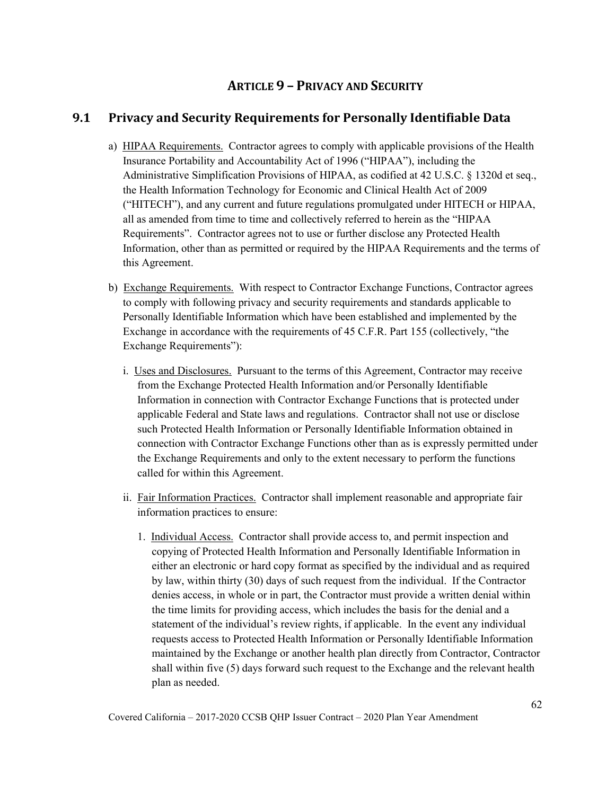# **ARTICLE 9 – PRIVACY AND SECURITY**

# **9.1 Privacy and Security Requirements for Personally Identifiable Data**

- a) HIPAA Requirements. Contractor agrees to comply with applicable provisions of the Health Insurance Portability and Accountability Act of 1996 ("HIPAA"), including the Administrative Simplification Provisions of HIPAA, as codified at 42 U.S.C. § 1320d et seq., the Health Information Technology for Economic and Clinical Health Act of 2009 ("HITECH"), and any current and future regulations promulgated under HITECH or HIPAA, all as amended from time to time and collectively referred to herein as the "HIPAA Requirements". Contractor agrees not to use or further disclose any Protected Health Information, other than as permitted or required by the HIPAA Requirements and the terms of this Agreement.
- b) Exchange Requirements. With respect to Contractor Exchange Functions, Contractor agrees to comply with following privacy and security requirements and standards applicable to Personally Identifiable Information which have been established and implemented by the Exchange in accordance with the requirements of 45 C.F.R. Part 155 (collectively, "the Exchange Requirements"):
	- i. Uses and Disclosures. Pursuant to the terms of this Agreement, Contractor may receive from the Exchange Protected Health Information and/or Personally Identifiable Information in connection with Contractor Exchange Functions that is protected under applicable Federal and State laws and regulations. Contractor shall not use or disclose such Protected Health Information or Personally Identifiable Information obtained in connection with Contractor Exchange Functions other than as is expressly permitted under the Exchange Requirements and only to the extent necessary to perform the functions called for within this Agreement.
	- ii. Fair Information Practices. Contractor shall implement reasonable and appropriate fair information practices to ensure:
		- 1. Individual Access. Contractor shall provide access to, and permit inspection and copying of Protected Health Information and Personally Identifiable Information in either an electronic or hard copy format as specified by the individual and as required by law, within thirty (30) days of such request from the individual. If the Contractor denies access, in whole or in part, the Contractor must provide a written denial within the time limits for providing access, which includes the basis for the denial and a statement of the individual's review rights, if applicable. In the event any individual requests access to Protected Health Information or Personally Identifiable Information maintained by the Exchange or another health plan directly from Contractor, Contractor shall within five (5) days forward such request to the Exchange and the relevant health plan as needed.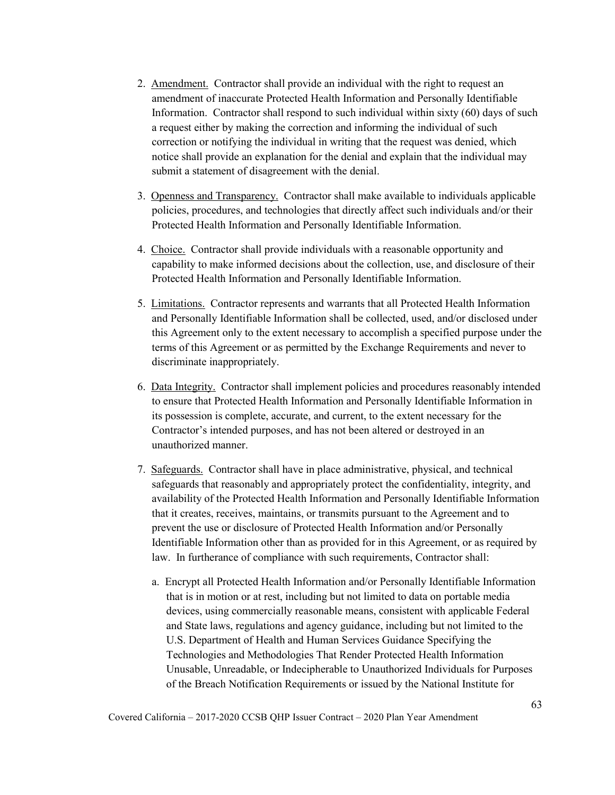- 2. Amendment. Contractor shall provide an individual with the right to request an amendment of inaccurate Protected Health Information and Personally Identifiable Information. Contractor shall respond to such individual within sixty (60) days of such a request either by making the correction and informing the individual of such correction or notifying the individual in writing that the request was denied, which notice shall provide an explanation for the denial and explain that the individual may submit a statement of disagreement with the denial.
- 3. Openness and Transparency. Contractor shall make available to individuals applicable policies, procedures, and technologies that directly affect such individuals and/or their Protected Health Information and Personally Identifiable Information.
- 4. Choice. Contractor shall provide individuals with a reasonable opportunity and capability to make informed decisions about the collection, use, and disclosure of their Protected Health Information and Personally Identifiable Information.
- 5. Limitations. Contractor represents and warrants that all Protected Health Information and Personally Identifiable Information shall be collected, used, and/or disclosed under this Agreement only to the extent necessary to accomplish a specified purpose under the terms of this Agreement or as permitted by the Exchange Requirements and never to discriminate inappropriately.
- 6. Data Integrity. Contractor shall implement policies and procedures reasonably intended to ensure that Protected Health Information and Personally Identifiable Information in its possession is complete, accurate, and current, to the extent necessary for the Contractor's intended purposes, and has not been altered or destroyed in an unauthorized manner.
- 7. Safeguards. Contractor shall have in place administrative, physical, and technical safeguards that reasonably and appropriately protect the confidentiality, integrity, and availability of the Protected Health Information and Personally Identifiable Information that it creates, receives, maintains, or transmits pursuant to the Agreement and to prevent the use or disclosure of Protected Health Information and/or Personally Identifiable Information other than as provided for in this Agreement, or as required by law. In furtherance of compliance with such requirements, Contractor shall:
	- a. Encrypt all Protected Health Information and/or Personally Identifiable Information that is in motion or at rest, including but not limited to data on portable media devices, using commercially reasonable means, consistent with applicable Federal and State laws, regulations and agency guidance, including but not limited to the U.S. Department of Health and Human Services Guidance Specifying the Technologies and Methodologies That Render Protected Health Information Unusable, Unreadable, or Indecipherable to Unauthorized Individuals for Purposes of the Breach Notification Requirements or issued by the National Institute for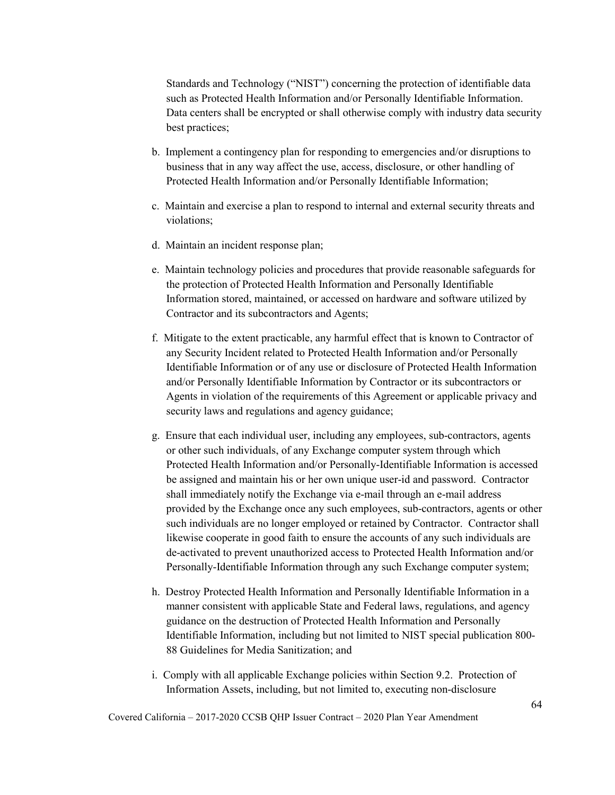Standards and Technology ("NIST") concerning the protection of identifiable data such as Protected Health Information and/or Personally Identifiable Information. Data centers shall be encrypted or shall otherwise comply with industry data security best practices;

- b. Implement a contingency plan for responding to emergencies and/or disruptions to business that in any way affect the use, access, disclosure, or other handling of Protected Health Information and/or Personally Identifiable Information;
- c. Maintain and exercise a plan to respond to internal and external security threats and violations;
- d. Maintain an incident response plan;
- e. Maintain technology policies and procedures that provide reasonable safeguards for the protection of Protected Health Information and Personally Identifiable Information stored, maintained, or accessed on hardware and software utilized by Contractor and its subcontractors and Agents;
- f. Mitigate to the extent practicable, any harmful effect that is known to Contractor of any Security Incident related to Protected Health Information and/or Personally Identifiable Information or of any use or disclosure of Protected Health Information and/or Personally Identifiable Information by Contractor or its subcontractors or Agents in violation of the requirements of this Agreement or applicable privacy and security laws and regulations and agency guidance;
- g. Ensure that each individual user, including any employees, sub-contractors, agents or other such individuals, of any Exchange computer system through which Protected Health Information and/or Personally-Identifiable Information is accessed be assigned and maintain his or her own unique user-id and password. Contractor shall immediately notify the Exchange via e-mail through an e-mail address provided by the Exchange once any such employees, sub-contractors, agents or other such individuals are no longer employed or retained by Contractor. Contractor shall likewise cooperate in good faith to ensure the accounts of any such individuals are de-activated to prevent unauthorized access to Protected Health Information and/or Personally-Identifiable Information through any such Exchange computer system;
- h. Destroy Protected Health Information and Personally Identifiable Information in a manner consistent with applicable State and Federal laws, regulations, and agency guidance on the destruction of Protected Health Information and Personally Identifiable Information, including but not limited to NIST special publication 800- 88 Guidelines for Media Sanitization; and
- i. Comply with all applicable Exchange policies within Section 9.2. Protection of Information Assets, including, but not limited to, executing non-disclosure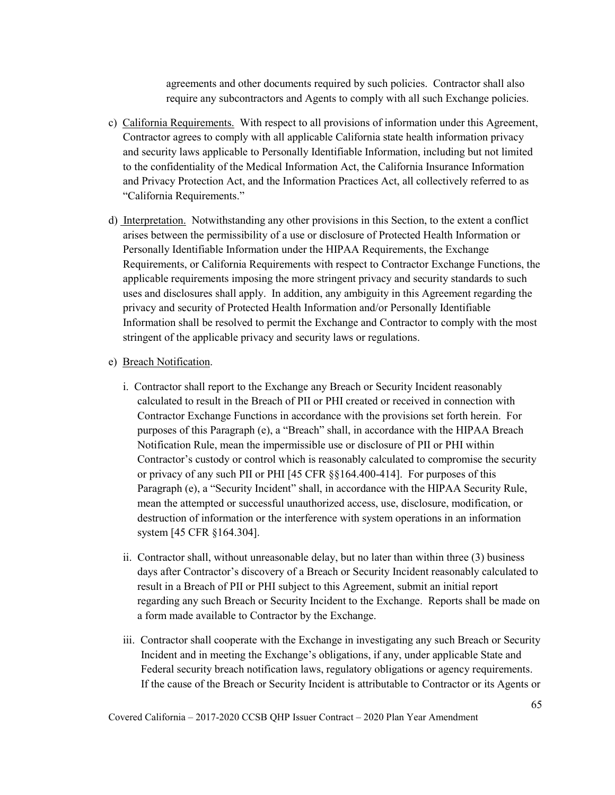agreements and other documents required by such policies. Contractor shall also require any subcontractors and Agents to comply with all such Exchange policies.

- c) California Requirements. With respect to all provisions of information under this Agreement, Contractor agrees to comply with all applicable California state health information privacy and security laws applicable to Personally Identifiable Information, including but not limited to the confidentiality of the Medical Information Act, the California Insurance Information and Privacy Protection Act, and the Information Practices Act, all collectively referred to as "California Requirements."
- d) Interpretation. Notwithstanding any other provisions in this Section, to the extent a conflict arises between the permissibility of a use or disclosure of Protected Health Information or Personally Identifiable Information under the HIPAA Requirements, the Exchange Requirements, or California Requirements with respect to Contractor Exchange Functions, the applicable requirements imposing the more stringent privacy and security standards to such uses and disclosures shall apply. In addition, any ambiguity in this Agreement regarding the privacy and security of Protected Health Information and/or Personally Identifiable Information shall be resolved to permit the Exchange and Contractor to comply with the most stringent of the applicable privacy and security laws or regulations.

#### e) Breach Notification.

- i. Contractor shall report to the Exchange any Breach or Security Incident reasonably calculated to result in the Breach of PII or PHI created or received in connection with Contractor Exchange Functions in accordance with the provisions set forth herein. For purposes of this Paragraph (e), a "Breach" shall, in accordance with the HIPAA Breach Notification Rule, mean the impermissible use or disclosure of PII or PHI within Contractor's custody or control which is reasonably calculated to compromise the security or privacy of any such PII or PHI [45 CFR §§164.400-414]. For purposes of this Paragraph (e), a "Security Incident" shall, in accordance with the HIPAA Security Rule, mean the attempted or successful unauthorized access, use, disclosure, modification, or destruction of information or the interference with system operations in an information system [45 CFR §164.304].
- ii. Contractor shall, without unreasonable delay, but no later than within three (3) business days after Contractor's discovery of a Breach or Security Incident reasonably calculated to result in a Breach of PII or PHI subject to this Agreement, submit an initial report regarding any such Breach or Security Incident to the Exchange. Reports shall be made on a form made available to Contractor by the Exchange.
- iii. Contractor shall cooperate with the Exchange in investigating any such Breach or Security Incident and in meeting the Exchange's obligations, if any, under applicable State and Federal security breach notification laws, regulatory obligations or agency requirements. If the cause of the Breach or Security Incident is attributable to Contractor or its Agents or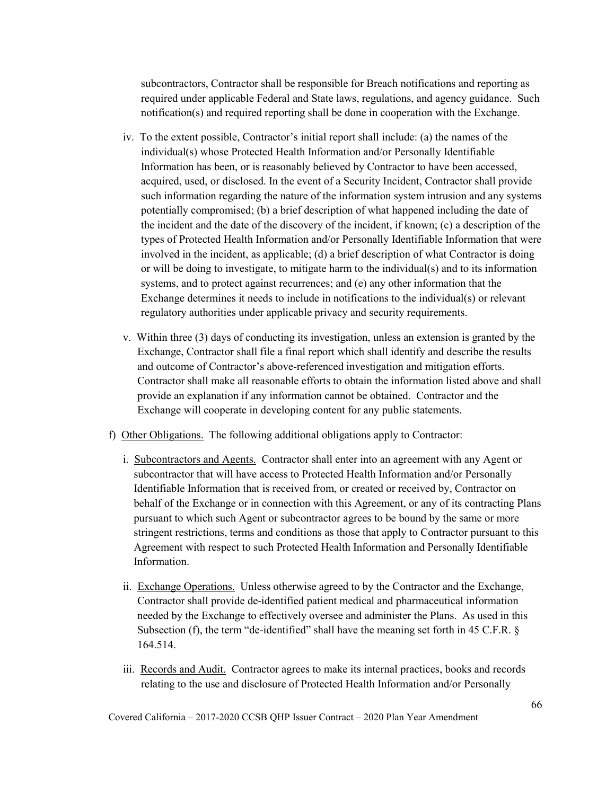subcontractors, Contractor shall be responsible for Breach notifications and reporting as required under applicable Federal and State laws, regulations, and agency guidance. Such notification(s) and required reporting shall be done in cooperation with the Exchange.

- iv. To the extent possible, Contractor's initial report shall include: (a) the names of the individual(s) whose Protected Health Information and/or Personally Identifiable Information has been, or is reasonably believed by Contractor to have been accessed, acquired, used, or disclosed. In the event of a Security Incident, Contractor shall provide such information regarding the nature of the information system intrusion and any systems potentially compromised; (b) a brief description of what happened including the date of the incident and the date of the discovery of the incident, if known; (c) a description of the types of Protected Health Information and/or Personally Identifiable Information that were involved in the incident, as applicable; (d) a brief description of what Contractor is doing or will be doing to investigate, to mitigate harm to the individual(s) and to its information systems, and to protect against recurrences; and (e) any other information that the Exchange determines it needs to include in notifications to the individual(s) or relevant regulatory authorities under applicable privacy and security requirements.
- v. Within three (3) days of conducting its investigation, unless an extension is granted by the Exchange, Contractor shall file a final report which shall identify and describe the results and outcome of Contractor's above-referenced investigation and mitigation efforts. Contractor shall make all reasonable efforts to obtain the information listed above and shall provide an explanation if any information cannot be obtained. Contractor and the Exchange will cooperate in developing content for any public statements.
- f) Other Obligations. The following additional obligations apply to Contractor:
	- i. Subcontractors and Agents. Contractor shall enter into an agreement with any Agent or subcontractor that will have access to Protected Health Information and/or Personally Identifiable Information that is received from, or created or received by, Contractor on behalf of the Exchange or in connection with this Agreement, or any of its contracting Plans pursuant to which such Agent or subcontractor agrees to be bound by the same or more stringent restrictions, terms and conditions as those that apply to Contractor pursuant to this Agreement with respect to such Protected Health Information and Personally Identifiable Information.
	- ii. Exchange Operations. Unless otherwise agreed to by the Contractor and the Exchange, Contractor shall provide de-identified patient medical and pharmaceutical information needed by the Exchange to effectively oversee and administer the Plans. As used in this Subsection (f), the term "de-identified" shall have the meaning set forth in 45 C.F.R. § 164.514.
	- iii. Records and Audit. Contractor agrees to make its internal practices, books and records relating to the use and disclosure of Protected Health Information and/or Personally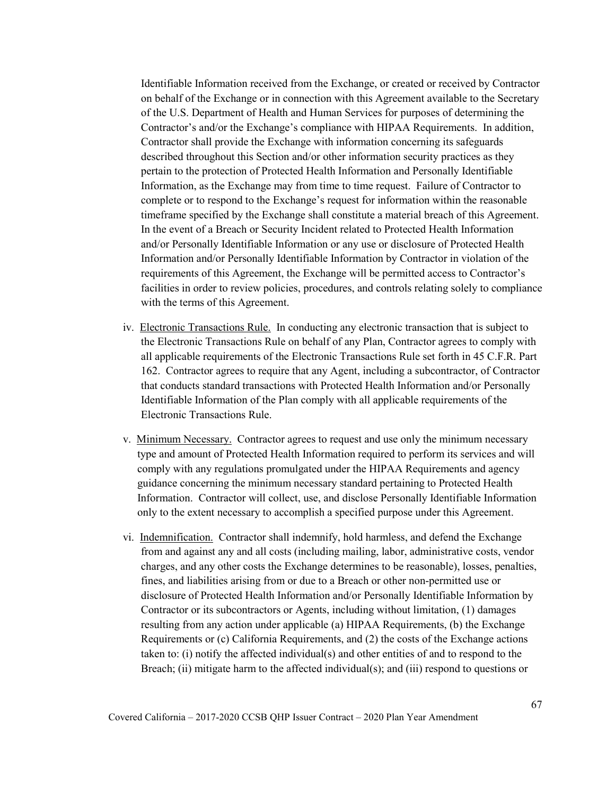Identifiable Information received from the Exchange, or created or received by Contractor on behalf of the Exchange or in connection with this Agreement available to the Secretary of the U.S. Department of Health and Human Services for purposes of determining the Contractor's and/or the Exchange's compliance with HIPAA Requirements. In addition, Contractor shall provide the Exchange with information concerning its safeguards described throughout this Section and/or other information security practices as they pertain to the protection of Protected Health Information and Personally Identifiable Information, as the Exchange may from time to time request. Failure of Contractor to complete or to respond to the Exchange's request for information within the reasonable timeframe specified by the Exchange shall constitute a material breach of this Agreement. In the event of a Breach or Security Incident related to Protected Health Information and/or Personally Identifiable Information or any use or disclosure of Protected Health Information and/or Personally Identifiable Information by Contractor in violation of the requirements of this Agreement, the Exchange will be permitted access to Contractor's facilities in order to review policies, procedures, and controls relating solely to compliance with the terms of this Agreement.

- iv. Electronic Transactions Rule. In conducting any electronic transaction that is subject to the Electronic Transactions Rule on behalf of any Plan, Contractor agrees to comply with all applicable requirements of the Electronic Transactions Rule set forth in 45 C.F.R. Part 162. Contractor agrees to require that any Agent, including a subcontractor, of Contractor that conducts standard transactions with Protected Health Information and/or Personally Identifiable Information of the Plan comply with all applicable requirements of the Electronic Transactions Rule.
- v. Minimum Necessary. Contractor agrees to request and use only the minimum necessary type and amount of Protected Health Information required to perform its services and will comply with any regulations promulgated under the HIPAA Requirements and agency guidance concerning the minimum necessary standard pertaining to Protected Health Information. Contractor will collect, use, and disclose Personally Identifiable Information only to the extent necessary to accomplish a specified purpose under this Agreement.
- vi. Indemnification. Contractor shall indemnify, hold harmless, and defend the Exchange from and against any and all costs (including mailing, labor, administrative costs, vendor charges, and any other costs the Exchange determines to be reasonable), losses, penalties, fines, and liabilities arising from or due to a Breach or other non-permitted use or disclosure of Protected Health Information and/or Personally Identifiable Information by Contractor or its subcontractors or Agents, including without limitation, (1) damages resulting from any action under applicable (a) HIPAA Requirements, (b) the Exchange Requirements or (c) California Requirements, and (2) the costs of the Exchange actions taken to: (i) notify the affected individual(s) and other entities of and to respond to the Breach; (ii) mitigate harm to the affected individual(s); and (iii) respond to questions or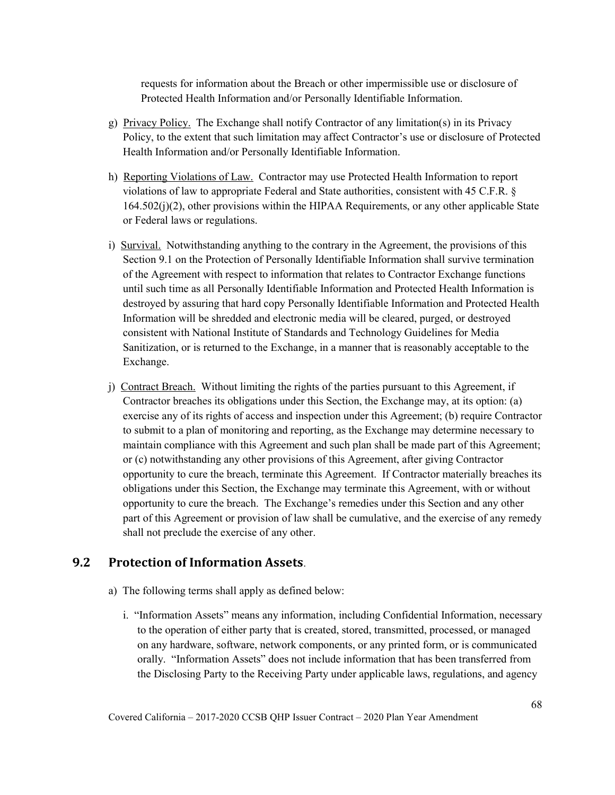requests for information about the Breach or other impermissible use or disclosure of Protected Health Information and/or Personally Identifiable Information.

- g) Privacy Policy. The Exchange shall notify Contractor of any limitation(s) in its Privacy Policy, to the extent that such limitation may affect Contractor's use or disclosure of Protected Health Information and/or Personally Identifiable Information.
- h) Reporting Violations of Law. Contractor may use Protected Health Information to report violations of law to appropriate Federal and State authorities, consistent with 45 C.F.R. § 164.502(j)(2), other provisions within the HIPAA Requirements, or any other applicable State or Federal laws or regulations.
- i) Survival. Notwithstanding anything to the contrary in the Agreement, the provisions of this Section 9.1 on the Protection of Personally Identifiable Information shall survive termination of the Agreement with respect to information that relates to Contractor Exchange functions until such time as all Personally Identifiable Information and Protected Health Information is destroyed by assuring that hard copy Personally Identifiable Information and Protected Health Information will be shredded and electronic media will be cleared, purged, or destroyed consistent with National Institute of Standards and Technology Guidelines for Media Sanitization, or is returned to the Exchange, in a manner that is reasonably acceptable to the Exchange.
- j) Contract Breach. Without limiting the rights of the parties pursuant to this Agreement, if Contractor breaches its obligations under this Section, the Exchange may, at its option: (a) exercise any of its rights of access and inspection under this Agreement; (b) require Contractor to submit to a plan of monitoring and reporting, as the Exchange may determine necessary to maintain compliance with this Agreement and such plan shall be made part of this Agreement; or (c) notwithstanding any other provisions of this Agreement, after giving Contractor opportunity to cure the breach, terminate this Agreement. If Contractor materially breaches its obligations under this Section, the Exchange may terminate this Agreement, with or without opportunity to cure the breach. The Exchange's remedies under this Section and any other part of this Agreement or provision of law shall be cumulative, and the exercise of any remedy shall not preclude the exercise of any other.

## **9.2 Protection of Information Assets**.

- a) The following terms shall apply as defined below:
	- i. "Information Assets" means any information, including Confidential Information, necessary to the operation of either party that is created, stored, transmitted, processed, or managed on any hardware, software, network components, or any printed form, or is communicated orally. "Information Assets" does not include information that has been transferred from the Disclosing Party to the Receiving Party under applicable laws, regulations, and agency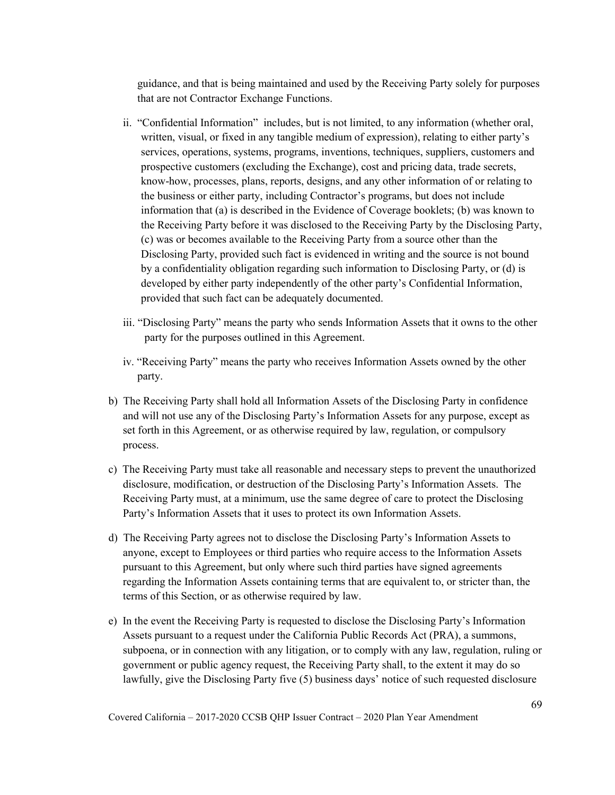guidance, and that is being maintained and used by the Receiving Party solely for purposes that are not Contractor Exchange Functions.

- ii. "Confidential Information" includes, but is not limited, to any information (whether oral, written, visual, or fixed in any tangible medium of expression), relating to either party's services, operations, systems, programs, inventions, techniques, suppliers, customers and prospective customers (excluding the Exchange), cost and pricing data, trade secrets, know-how, processes, plans, reports, designs, and any other information of or relating to the business or either party, including Contractor's programs, but does not include information that (a) is described in the Evidence of Coverage booklets; (b) was known to the Receiving Party before it was disclosed to the Receiving Party by the Disclosing Party, (c) was or becomes available to the Receiving Party from a source other than the Disclosing Party, provided such fact is evidenced in writing and the source is not bound by a confidentiality obligation regarding such information to Disclosing Party, or (d) is developed by either party independently of the other party's Confidential Information, provided that such fact can be adequately documented.
- iii. "Disclosing Party" means the party who sends Information Assets that it owns to the other party for the purposes outlined in this Agreement.
- iv. "Receiving Party" means the party who receives Information Assets owned by the other party.
- b) The Receiving Party shall hold all Information Assets of the Disclosing Party in confidence and will not use any of the Disclosing Party's Information Assets for any purpose, except as set forth in this Agreement, or as otherwise required by law, regulation, or compulsory process.
- c) The Receiving Party must take all reasonable and necessary steps to prevent the unauthorized disclosure, modification, or destruction of the Disclosing Party's Information Assets. The Receiving Party must, at a minimum, use the same degree of care to protect the Disclosing Party's Information Assets that it uses to protect its own Information Assets.
- d) The Receiving Party agrees not to disclose the Disclosing Party's Information Assets to anyone, except to Employees or third parties who require access to the Information Assets pursuant to this Agreement, but only where such third parties have signed agreements regarding the Information Assets containing terms that are equivalent to, or stricter than, the terms of this Section, or as otherwise required by law.
- e) In the event the Receiving Party is requested to disclose the Disclosing Party's Information Assets pursuant to a request under the California Public Records Act (PRA), a summons, subpoena, or in connection with any litigation, or to comply with any law, regulation, ruling or government or public agency request, the Receiving Party shall, to the extent it may do so lawfully, give the Disclosing Party five (5) business days' notice of such requested disclosure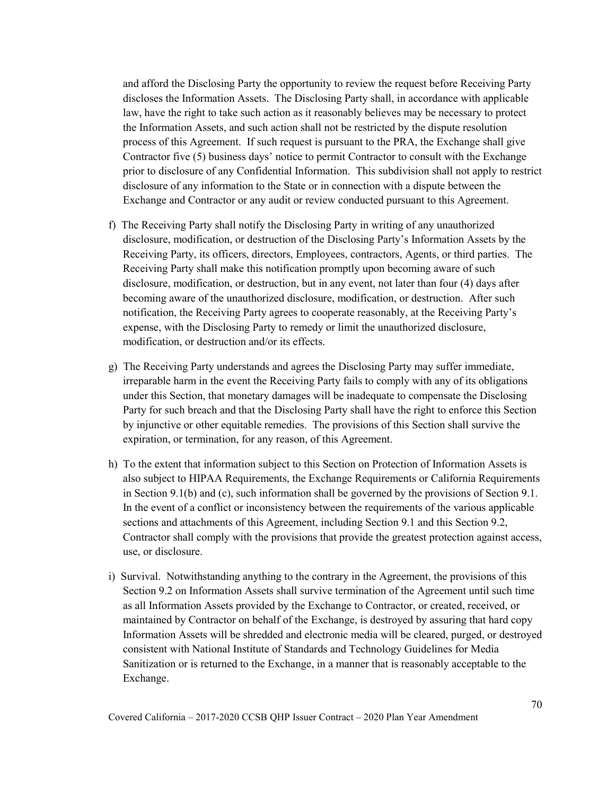and afford the Disclosing Party the opportunity to review the request before Receiving Party discloses the Information Assets. The Disclosing Party shall, in accordance with applicable law, have the right to take such action as it reasonably believes may be necessary to protect the Information Assets, and such action shall not be restricted by the dispute resolution process of this Agreement. If such request is pursuant to the PRA, the Exchange shall give Contractor five (5) business days' notice to permit Contractor to consult with the Exchange prior to disclosure of any Confidential Information. This subdivision shall not apply to restrict disclosure of any information to the State or in connection with a dispute between the Exchange and Contractor or any audit or review conducted pursuant to this Agreement.

- f) The Receiving Party shall notify the Disclosing Party in writing of any unauthorized disclosure, modification, or destruction of the Disclosing Party's Information Assets by the Receiving Party, its officers, directors, Employees, contractors, Agents, or third parties. The Receiving Party shall make this notification promptly upon becoming aware of such disclosure, modification, or destruction, but in any event, not later than four (4) days after becoming aware of the unauthorized disclosure, modification, or destruction. After such notification, the Receiving Party agrees to cooperate reasonably, at the Receiving Party's expense, with the Disclosing Party to remedy or limit the unauthorized disclosure, modification, or destruction and/or its effects.
- g) The Receiving Party understands and agrees the Disclosing Party may suffer immediate, irreparable harm in the event the Receiving Party fails to comply with any of its obligations under this Section, that monetary damages will be inadequate to compensate the Disclosing Party for such breach and that the Disclosing Party shall have the right to enforce this Section by injunctive or other equitable remedies. The provisions of this Section shall survive the expiration, or termination, for any reason, of this Agreement.
- h) To the extent that information subject to this Section on Protection of Information Assets is also subject to HIPAA Requirements, the Exchange Requirements or California Requirements in Section 9.1(b) and (c), such information shall be governed by the provisions of Section 9.1. In the event of a conflict or inconsistency between the requirements of the various applicable sections and attachments of this Agreement, including Section 9.1 and this Section 9.2, Contractor shall comply with the provisions that provide the greatest protection against access, use, or disclosure.
- i) Survival. Notwithstanding anything to the contrary in the Agreement, the provisions of this Section 9.2 on Information Assets shall survive termination of the Agreement until such time as all Information Assets provided by the Exchange to Contractor, or created, received, or maintained by Contractor on behalf of the Exchange, is destroyed by assuring that hard copy Information Assets will be shredded and electronic media will be cleared, purged, or destroyed consistent with National Institute of Standards and Technology Guidelines for Media Sanitization or is returned to the Exchange, in a manner that is reasonably acceptable to the Exchange.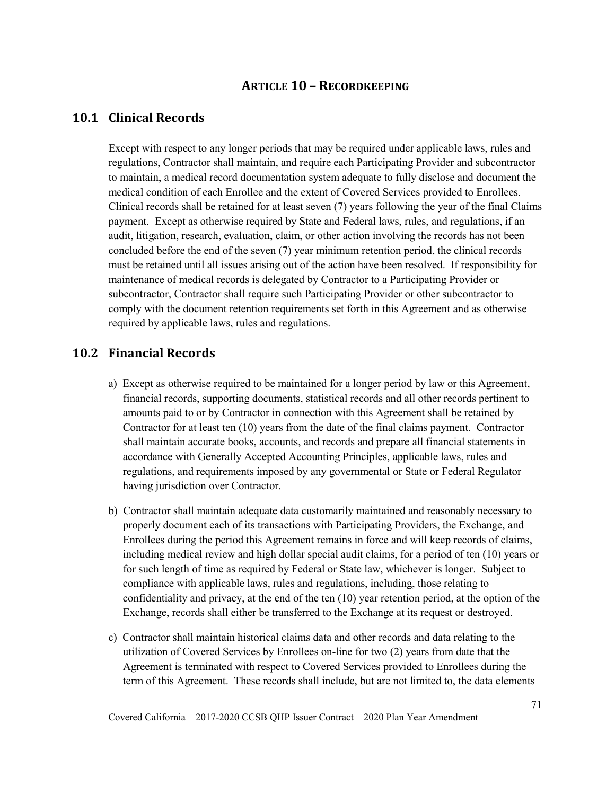## **ARTICLE 10 – RECORDKEEPING**

### **10.1 Clinical Records**

Except with respect to any longer periods that may be required under applicable laws, rules and regulations, Contractor shall maintain, and require each Participating Provider and subcontractor to maintain, a medical record documentation system adequate to fully disclose and document the medical condition of each Enrollee and the extent of Covered Services provided to Enrollees. Clinical records shall be retained for at least seven (7) years following the year of the final Claims payment. Except as otherwise required by State and Federal laws, rules, and regulations, if an audit, litigation, research, evaluation, claim, or other action involving the records has not been concluded before the end of the seven (7) year minimum retention period, the clinical records must be retained until all issues arising out of the action have been resolved. If responsibility for maintenance of medical records is delegated by Contractor to a Participating Provider or subcontractor, Contractor shall require such Participating Provider or other subcontractor to comply with the document retention requirements set forth in this Agreement and as otherwise required by applicable laws, rules and regulations.

### **10.2 Financial Records**

- a) Except as otherwise required to be maintained for a longer period by law or this Agreement, financial records, supporting documents, statistical records and all other records pertinent to amounts paid to or by Contractor in connection with this Agreement shall be retained by Contractor for at least ten (10) years from the date of the final claims payment. Contractor shall maintain accurate books, accounts, and records and prepare all financial statements in accordance with Generally Accepted Accounting Principles, applicable laws, rules and regulations, and requirements imposed by any governmental or State or Federal Regulator having jurisdiction over Contractor.
- b) Contractor shall maintain adequate data customarily maintained and reasonably necessary to properly document each of its transactions with Participating Providers, the Exchange, and Enrollees during the period this Agreement remains in force and will keep records of claims, including medical review and high dollar special audit claims, for a period of ten (10) years or for such length of time as required by Federal or State law, whichever is longer. Subject to compliance with applicable laws, rules and regulations, including, those relating to confidentiality and privacy, at the end of the ten (10) year retention period, at the option of the Exchange, records shall either be transferred to the Exchange at its request or destroyed.
- c) Contractor shall maintain historical claims data and other records and data relating to the utilization of Covered Services by Enrollees on-line for two (2) years from date that the Agreement is terminated with respect to Covered Services provided to Enrollees during the term of this Agreement. These records shall include, but are not limited to, the data elements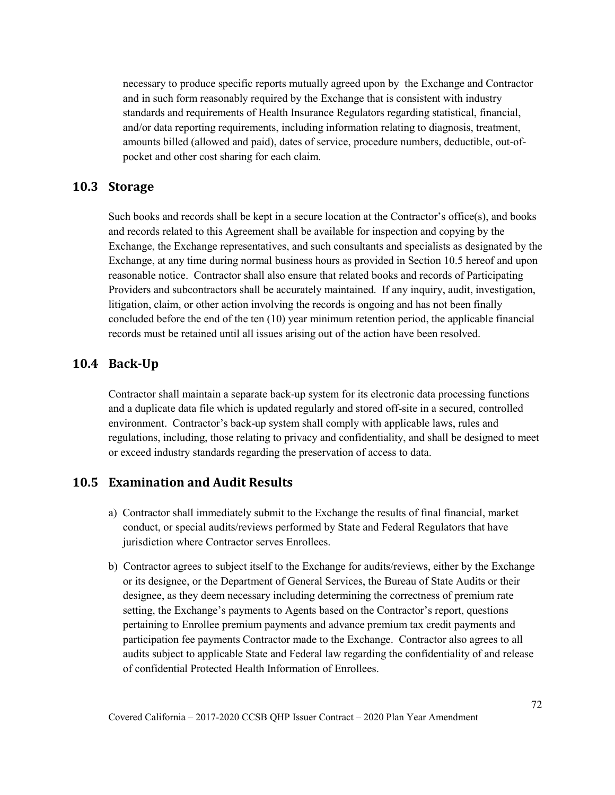necessary to produce specific reports mutually agreed upon by the Exchange and Contractor and in such form reasonably required by the Exchange that is consistent with industry standards and requirements of Health Insurance Regulators regarding statistical, financial, and/or data reporting requirements, including information relating to diagnosis, treatment, amounts billed (allowed and paid), dates of service, procedure numbers, deductible, out-ofpocket and other cost sharing for each claim.

### **10.3 Storage**

Such books and records shall be kept in a secure location at the Contractor's office(s), and books and records related to this Agreement shall be available for inspection and copying by the Exchange, the Exchange representatives, and such consultants and specialists as designated by the Exchange, at any time during normal business hours as provided in Section 10.5 hereof and upon reasonable notice. Contractor shall also ensure that related books and records of Participating Providers and subcontractors shall be accurately maintained. If any inquiry, audit, investigation, litigation, claim, or other action involving the records is ongoing and has not been finally concluded before the end of the ten (10) year minimum retention period, the applicable financial records must be retained until all issues arising out of the action have been resolved.

## **10.4 Back-Up**

Contractor shall maintain a separate back-up system for its electronic data processing functions and a duplicate data file which is updated regularly and stored off-site in a secured, controlled environment. Contractor's back-up system shall comply with applicable laws, rules and regulations, including, those relating to privacy and confidentiality, and shall be designed to meet or exceed industry standards regarding the preservation of access to data.

### **10.5 Examination and Audit Results**

- a) Contractor shall immediately submit to the Exchange the results of final financial, market conduct, or special audits/reviews performed by State and Federal Regulators that have jurisdiction where Contractor serves Enrollees.
- b) Contractor agrees to subject itself to the Exchange for audits/reviews, either by the Exchange or its designee, or the Department of General Services, the Bureau of State Audits or their designee, as they deem necessary including determining the correctness of premium rate setting, the Exchange's payments to Agents based on the Contractor's report, questions pertaining to Enrollee premium payments and advance premium tax credit payments and participation fee payments Contractor made to the Exchange. Contractor also agrees to all audits subject to applicable State and Federal law regarding the confidentiality of and release of confidential Protected Health Information of Enrollees.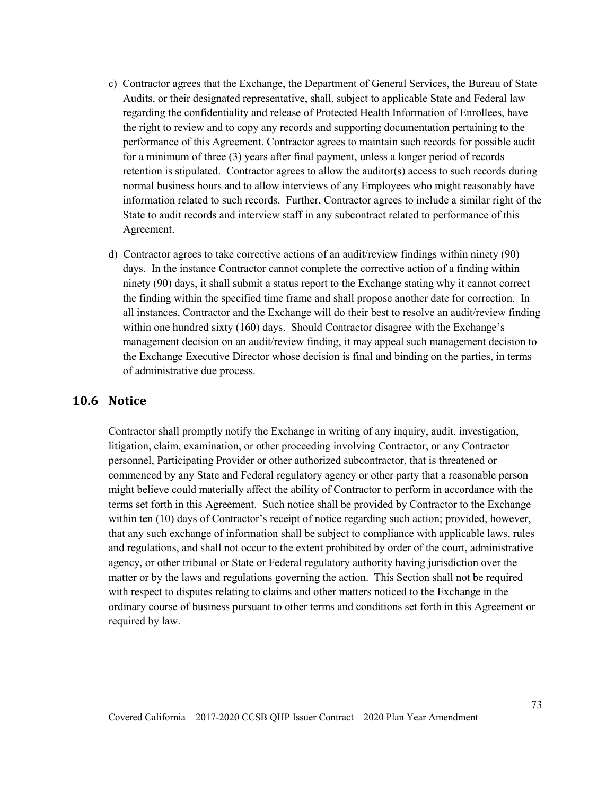- c) Contractor agrees that the Exchange, the Department of General Services, the Bureau of State Audits, or their designated representative, shall, subject to applicable State and Federal law regarding the confidentiality and release of Protected Health Information of Enrollees, have the right to review and to copy any records and supporting documentation pertaining to the performance of this Agreement. Contractor agrees to maintain such records for possible audit for a minimum of three (3) years after final payment, unless a longer period of records retention is stipulated. Contractor agrees to allow the auditor(s) access to such records during normal business hours and to allow interviews of any Employees who might reasonably have information related to such records. Further, Contractor agrees to include a similar right of the State to audit records and interview staff in any subcontract related to performance of this Agreement.
- d) Contractor agrees to take corrective actions of an audit/review findings within ninety (90) days. In the instance Contractor cannot complete the corrective action of a finding within ninety (90) days, it shall submit a status report to the Exchange stating why it cannot correct the finding within the specified time frame and shall propose another date for correction. In all instances, Contractor and the Exchange will do their best to resolve an audit/review finding within one hundred sixty (160) days. Should Contractor disagree with the Exchange's management decision on an audit/review finding, it may appeal such management decision to the Exchange Executive Director whose decision is final and binding on the parties, in terms of administrative due process.

#### **10.6 Notice**

Contractor shall promptly notify the Exchange in writing of any inquiry, audit, investigation, litigation, claim, examination, or other proceeding involving Contractor, or any Contractor personnel, Participating Provider or other authorized subcontractor, that is threatened or commenced by any State and Federal regulatory agency or other party that a reasonable person might believe could materially affect the ability of Contractor to perform in accordance with the terms set forth in this Agreement. Such notice shall be provided by Contractor to the Exchange within ten (10) days of Contractor's receipt of notice regarding such action; provided, however, that any such exchange of information shall be subject to compliance with applicable laws, rules and regulations, and shall not occur to the extent prohibited by order of the court, administrative agency, or other tribunal or State or Federal regulatory authority having jurisdiction over the matter or by the laws and regulations governing the action. This Section shall not be required with respect to disputes relating to claims and other matters noticed to the Exchange in the ordinary course of business pursuant to other terms and conditions set forth in this Agreement or required by law.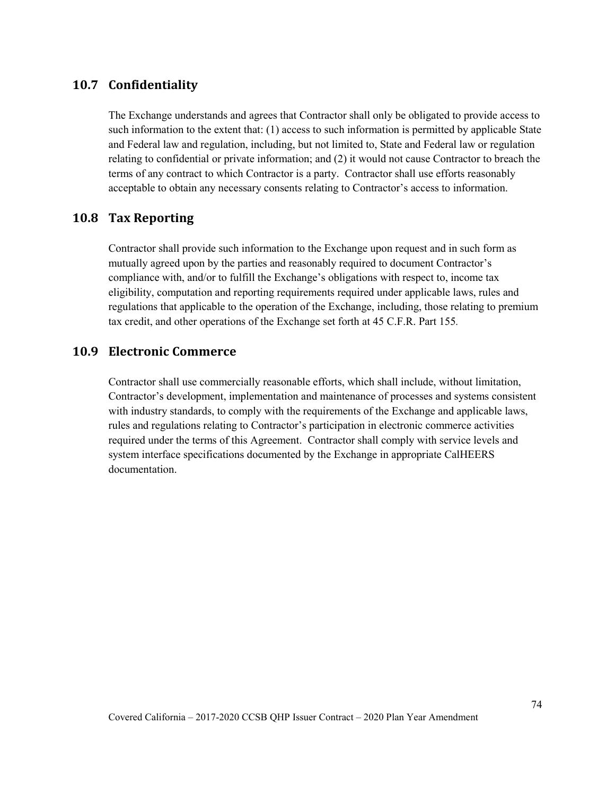## **10.7 Confidentiality**

The Exchange understands and agrees that Contractor shall only be obligated to provide access to such information to the extent that: (1) access to such information is permitted by applicable State and Federal law and regulation, including, but not limited to, State and Federal law or regulation relating to confidential or private information; and (2) it would not cause Contractor to breach the terms of any contract to which Contractor is a party. Contractor shall use efforts reasonably acceptable to obtain any necessary consents relating to Contractor's access to information.

## **10.8 Tax Reporting**

Contractor shall provide such information to the Exchange upon request and in such form as mutually agreed upon by the parties and reasonably required to document Contractor's compliance with, and/or to fulfill the Exchange's obligations with respect to, income tax eligibility, computation and reporting requirements required under applicable laws, rules and regulations that applicable to the operation of the Exchange, including, those relating to premium tax credit, and other operations of the Exchange set forth at 45 C.F.R. Part 155*.*

### **10.9 Electronic Commerce**

Contractor shall use commercially reasonable efforts, which shall include, without limitation, Contractor's development, implementation and maintenance of processes and systems consistent with industry standards, to comply with the requirements of the Exchange and applicable laws, rules and regulations relating to Contractor's participation in electronic commerce activities required under the terms of this Agreement. Contractor shall comply with service levels and system interface specifications documented by the Exchange in appropriate CalHEERS documentation.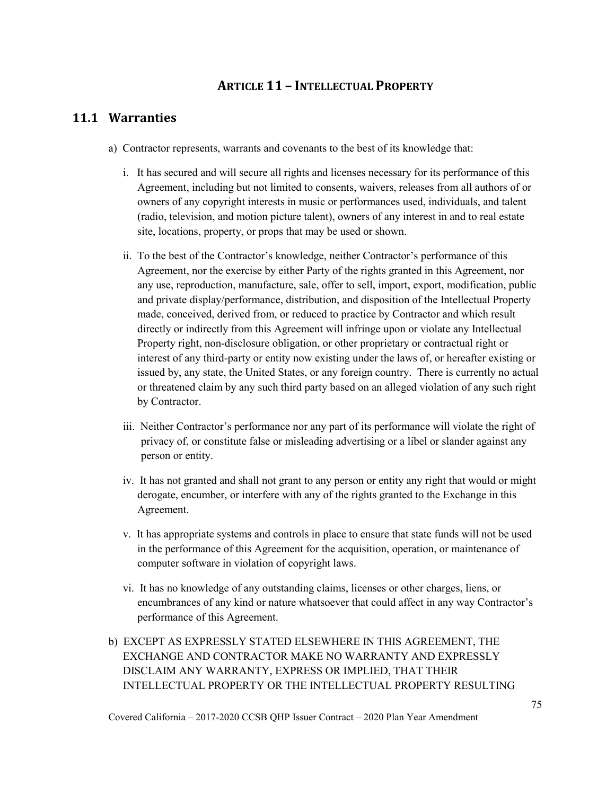## **ARTICLE 11 – INTELLECTUAL PROPERTY**

## **11.1 Warranties**

- a) Contractor represents, warrants and covenants to the best of its knowledge that:
	- i. It has secured and will secure all rights and licenses necessary for its performance of this Agreement, including but not limited to consents, waivers, releases from all authors of or owners of any copyright interests in music or performances used, individuals, and talent (radio, television, and motion picture talent), owners of any interest in and to real estate site, locations, property, or props that may be used or shown.
	- ii. To the best of the Contractor's knowledge, neither Contractor's performance of this Agreement, nor the exercise by either Party of the rights granted in this Agreement, nor any use, reproduction, manufacture, sale, offer to sell, import, export, modification, public and private display/performance, distribution, and disposition of the Intellectual Property made, conceived, derived from, or reduced to practice by Contractor and which result directly or indirectly from this Agreement will infringe upon or violate any Intellectual Property right, non-disclosure obligation, or other proprietary or contractual right or interest of any third-party or entity now existing under the laws of, or hereafter existing or issued by, any state, the United States, or any foreign country. There is currently no actual or threatened claim by any such third party based on an alleged violation of any such right by Contractor.
	- iii. Neither Contractor's performance nor any part of its performance will violate the right of privacy of, or constitute false or misleading advertising or a libel or slander against any person or entity.
	- iv. It has not granted and shall not grant to any person or entity any right that would or might derogate, encumber, or interfere with any of the rights granted to the Exchange in this Agreement.
	- v. It has appropriate systems and controls in place to ensure that state funds will not be used in the performance of this Agreement for the acquisition, operation, or maintenance of computer software in violation of copyright laws.
	- vi. It has no knowledge of any outstanding claims, licenses or other charges, liens, or encumbrances of any kind or nature whatsoever that could affect in any way Contractor's performance of this Agreement.
- b) EXCEPT AS EXPRESSLY STATED ELSEWHERE IN THIS AGREEMENT, THE EXCHANGE AND CONTRACTOR MAKE NO WARRANTY AND EXPRESSLY DISCLAIM ANY WARRANTY, EXPRESS OR IMPLIED, THAT THEIR INTELLECTUAL PROPERTY OR THE INTELLECTUAL PROPERTY RESULTING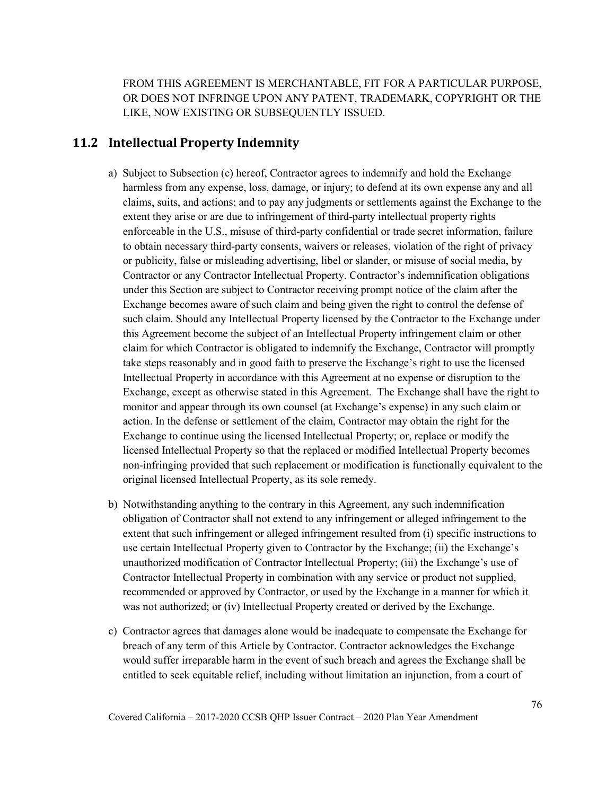FROM THIS AGREEMENT IS MERCHANTABLE, FIT FOR A PARTICULAR PURPOSE, OR DOES NOT INFRINGE UPON ANY PATENT, TRADEMARK, COPYRIGHT OR THE LIKE, NOW EXISTING OR SUBSEQUENTLY ISSUED.

## **11.2 Intellectual Property Indemnity**

- a) Subject to Subsection (c) hereof, Contractor agrees to indemnify and hold the Exchange harmless from any expense, loss, damage, or injury; to defend at its own expense any and all claims, suits, and actions; and to pay any judgments or settlements against the Exchange to the extent they arise or are due to infringement of third-party intellectual property rights enforceable in the U.S., misuse of third-party confidential or trade secret information, failure to obtain necessary third-party consents, waivers or releases, violation of the right of privacy or publicity, false or misleading advertising, libel or slander, or misuse of social media, by Contractor or any Contractor Intellectual Property. Contractor's indemnification obligations under this Section are subject to Contractor receiving prompt notice of the claim after the Exchange becomes aware of such claim and being given the right to control the defense of such claim. Should any Intellectual Property licensed by the Contractor to the Exchange under this Agreement become the subject of an Intellectual Property infringement claim or other claim for which Contractor is obligated to indemnify the Exchange, Contractor will promptly take steps reasonably and in good faith to preserve the Exchange's right to use the licensed Intellectual Property in accordance with this Agreement at no expense or disruption to the Exchange, except as otherwise stated in this Agreement. The Exchange shall have the right to monitor and appear through its own counsel (at Exchange's expense) in any such claim or action. In the defense or settlement of the claim, Contractor may obtain the right for the Exchange to continue using the licensed Intellectual Property; or, replace or modify the licensed Intellectual Property so that the replaced or modified Intellectual Property becomes non-infringing provided that such replacement or modification is functionally equivalent to the original licensed Intellectual Property, as its sole remedy.
- b) Notwithstanding anything to the contrary in this Agreement, any such indemnification obligation of Contractor shall not extend to any infringement or alleged infringement to the extent that such infringement or alleged infringement resulted from (i) specific instructions to use certain Intellectual Property given to Contractor by the Exchange; (ii) the Exchange's unauthorized modification of Contractor Intellectual Property; (iii) the Exchange's use of Contractor Intellectual Property in combination with any service or product not supplied, recommended or approved by Contractor, or used by the Exchange in a manner for which it was not authorized; or (iv) Intellectual Property created or derived by the Exchange.
- c) Contractor agrees that damages alone would be inadequate to compensate the Exchange for breach of any term of this Article by Contractor. Contractor acknowledges the Exchange would suffer irreparable harm in the event of such breach and agrees the Exchange shall be entitled to seek equitable relief, including without limitation an injunction, from a court of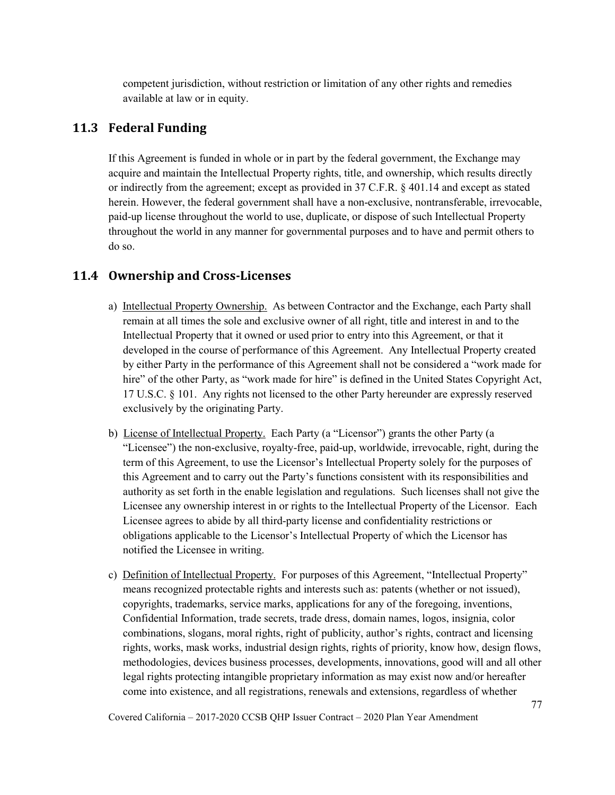competent jurisdiction, without restriction or limitation of any other rights and remedies available at law or in equity.

## **11.3 Federal Funding**

If this Agreement is funded in whole or in part by the federal government, the Exchange may acquire and maintain the Intellectual Property rights, title, and ownership, which results directly or indirectly from the agreement; except as provided in 37 C.F.R. § 401.14 and except as stated herein. However, the federal government shall have a non-exclusive, nontransferable, irrevocable, paid-up license throughout the world to use, duplicate, or dispose of such Intellectual Property throughout the world in any manner for governmental purposes and to have and permit others to do so.

## **11.4 Ownership and Cross-Licenses**

- a) Intellectual Property Ownership. As between Contractor and the Exchange, each Party shall remain at all times the sole and exclusive owner of all right, title and interest in and to the Intellectual Property that it owned or used prior to entry into this Agreement, or that it developed in the course of performance of this Agreement. Any Intellectual Property created by either Party in the performance of this Agreement shall not be considered a "work made for hire" of the other Party, as "work made for hire" is defined in the United States Copyright Act, 17 U.S.C. § 101. Any rights not licensed to the other Party hereunder are expressly reserved exclusively by the originating Party.
- b) License of Intellectual Property. Each Party (a "Licensor") grants the other Party (a "Licensee") the non-exclusive, royalty-free, paid-up, worldwide, irrevocable, right, during the term of this Agreement, to use the Licensor's Intellectual Property solely for the purposes of this Agreement and to carry out the Party's functions consistent with its responsibilities and authority as set forth in the enable legislation and regulations. Such licenses shall not give the Licensee any ownership interest in or rights to the Intellectual Property of the Licensor. Each Licensee agrees to abide by all third-party license and confidentiality restrictions or obligations applicable to the Licensor's Intellectual Property of which the Licensor has notified the Licensee in writing.
- c) Definition of Intellectual Property. For purposes of this Agreement, "Intellectual Property" means recognized protectable rights and interests such as: patents (whether or not issued), copyrights, trademarks, service marks, applications for any of the foregoing, inventions, Confidential Information, trade secrets, trade dress, domain names, logos, insignia, color combinations, slogans, moral rights, right of publicity, author's rights, contract and licensing rights, works, mask works, industrial design rights, rights of priority, know how, design flows, methodologies, devices business processes, developments, innovations, good will and all other legal rights protecting intangible proprietary information as may exist now and/or hereafter come into existence, and all registrations, renewals and extensions, regardless of whether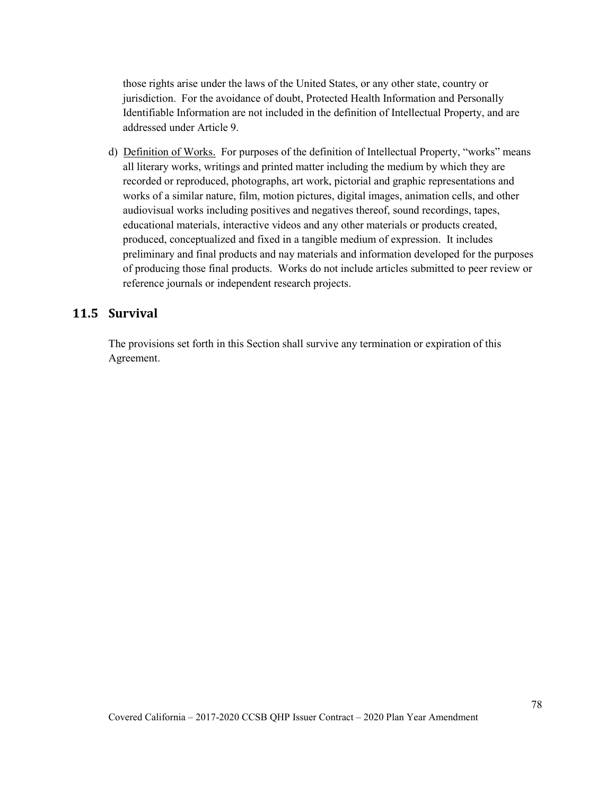those rights arise under the laws of the United States, or any other state, country or jurisdiction. For the avoidance of doubt, Protected Health Information and Personally Identifiable Information are not included in the definition of Intellectual Property, and are addressed under Article 9.

d) Definition of Works. For purposes of the definition of Intellectual Property, "works" means all literary works, writings and printed matter including the medium by which they are recorded or reproduced, photographs, art work, pictorial and graphic representations and works of a similar nature, film, motion pictures, digital images, animation cells, and other audiovisual works including positives and negatives thereof, sound recordings, tapes, educational materials, interactive videos and any other materials or products created, produced, conceptualized and fixed in a tangible medium of expression. It includes preliminary and final products and nay materials and information developed for the purposes of producing those final products. Works do not include articles submitted to peer review or reference journals or independent research projects.

## **11.5 Survival**

The provisions set forth in this Section shall survive any termination or expiration of this Agreement.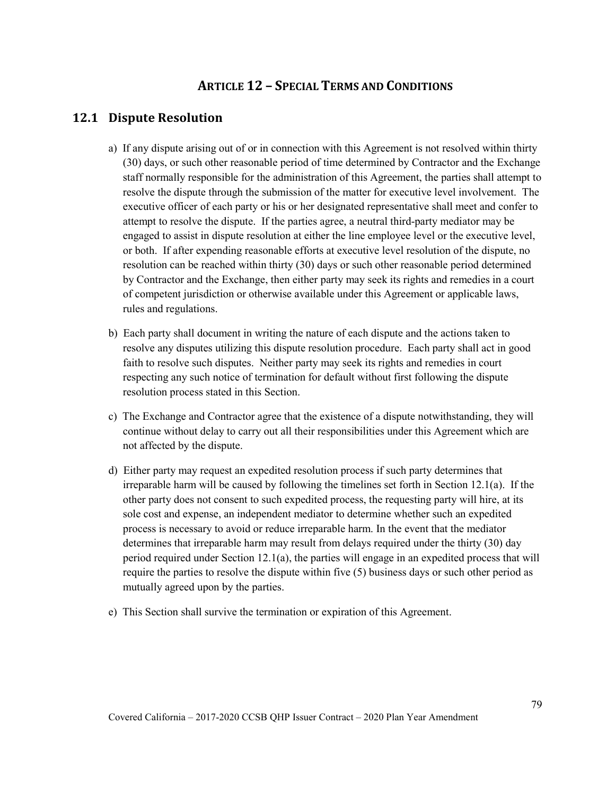## **ARTICLE 12 – SPECIAL TERMS AND CONDITIONS**

## **12.1 Dispute Resolution**

- a) If any dispute arising out of or in connection with this Agreement is not resolved within thirty (30) days, or such other reasonable period of time determined by Contractor and the Exchange staff normally responsible for the administration of this Agreement, the parties shall attempt to resolve the dispute through the submission of the matter for executive level involvement. The executive officer of each party or his or her designated representative shall meet and confer to attempt to resolve the dispute. If the parties agree, a neutral third-party mediator may be engaged to assist in dispute resolution at either the line employee level or the executive level, or both. If after expending reasonable efforts at executive level resolution of the dispute, no resolution can be reached within thirty (30) days or such other reasonable period determined by Contractor and the Exchange, then either party may seek its rights and remedies in a court of competent jurisdiction or otherwise available under this Agreement or applicable laws, rules and regulations.
- b) Each party shall document in writing the nature of each dispute and the actions taken to resolve any disputes utilizing this dispute resolution procedure. Each party shall act in good faith to resolve such disputes. Neither party may seek its rights and remedies in court respecting any such notice of termination for default without first following the dispute resolution process stated in this Section.
- c) The Exchange and Contractor agree that the existence of a dispute notwithstanding, they will continue without delay to carry out all their responsibilities under this Agreement which are not affected by the dispute.
- d) Either party may request an expedited resolution process if such party determines that irreparable harm will be caused by following the timelines set forth in Section 12.1(a). If the other party does not consent to such expedited process, the requesting party will hire, at its sole cost and expense, an independent mediator to determine whether such an expedited process is necessary to avoid or reduce irreparable harm. In the event that the mediator determines that irreparable harm may result from delays required under the thirty (30) day period required under Section 12.1(a), the parties will engage in an expedited process that will require the parties to resolve the dispute within five (5) business days or such other period as mutually agreed upon by the parties.
- e) This Section shall survive the termination or expiration of this Agreement.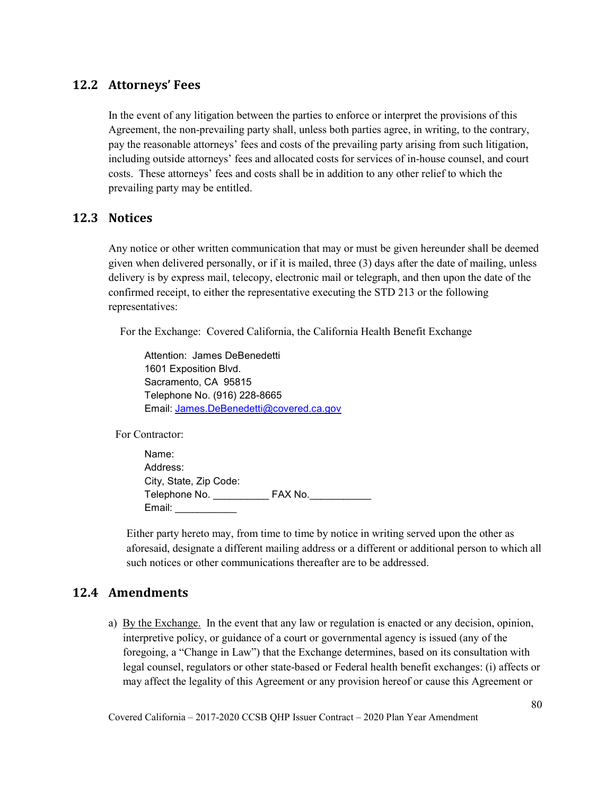## **12.2 Attorneys' Fees**

In the event of any litigation between the parties to enforce or interpret the provisions of this Agreement, the non-prevailing party shall, unless both parties agree, in writing, to the contrary, pay the reasonable attorneys' fees and costs of the prevailing party arising from such litigation, including outside attorneys' fees and allocated costs for services of in-house counsel, and court costs. These attorneys' fees and costs shall be in addition to any other relief to which the prevailing party may be entitled.

### **12.3 Notices**

Any notice or other written communication that may or must be given hereunder shall be deemed given when delivered personally, or if it is mailed, three (3) days after the date of mailing, unless delivery is by express mail, telecopy, electronic mail or telegraph, and then upon the date of the confirmed receipt, to either the representative executing the STD 213 or the following representatives:

For the Exchange: Covered California, the California Health Benefit Exchange

Attention: James DeBenedetti 1601 Exposition Blvd. Sacramento, CA 95815 Telephone No. (916) 228-8665 Email: [James.DeBenedetti@covered.ca.gov](mailto:James.DeBenedetti@covered.ca.gov)

For Contractor:

Name: Address: City, State, Zip Code: Telephone No. \_\_\_\_\_\_\_\_\_\_ FAX No.\_\_\_\_\_\_\_\_\_\_\_ Email: \_\_\_\_\_\_\_\_\_\_\_

Either party hereto may, from time to time by notice in writing served upon the other as aforesaid, designate a different mailing address or a different or additional person to which all such notices or other communications thereafter are to be addressed.

## **12.4 Amendments**

a) By the Exchange. In the event that any law or regulation is enacted or any decision, opinion, interpretive policy, or guidance of a court or governmental agency is issued (any of the foregoing, a "Change in Law") that the Exchange determines, based on its consultation with legal counsel, regulators or other state-based or Federal health benefit exchanges: (i) affects or may affect the legality of this Agreement or any provision hereof or cause this Agreement or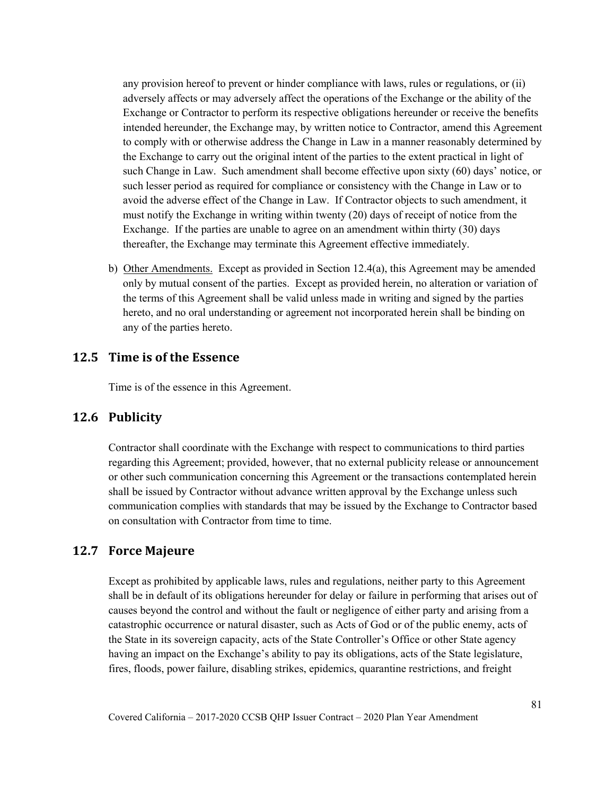any provision hereof to prevent or hinder compliance with laws, rules or regulations, or (ii) adversely affects or may adversely affect the operations of the Exchange or the ability of the Exchange or Contractor to perform its respective obligations hereunder or receive the benefits intended hereunder, the Exchange may, by written notice to Contractor, amend this Agreement to comply with or otherwise address the Change in Law in a manner reasonably determined by the Exchange to carry out the original intent of the parties to the extent practical in light of such Change in Law. Such amendment shall become effective upon sixty (60) days' notice, or such lesser period as required for compliance or consistency with the Change in Law or to avoid the adverse effect of the Change in Law. If Contractor objects to such amendment, it must notify the Exchange in writing within twenty (20) days of receipt of notice from the Exchange. If the parties are unable to agree on an amendment within thirty (30) days thereafter, the Exchange may terminate this Agreement effective immediately.

b) Other Amendments. Except as provided in Section  $12.4(a)$ , this Agreement may be amended only by mutual consent of the parties. Except as provided herein, no alteration or variation of the terms of this Agreement shall be valid unless made in writing and signed by the parties hereto, and no oral understanding or agreement not incorporated herein shall be binding on any of the parties hereto.

### **12.5 Time is of the Essence**

Time is of the essence in this Agreement.

#### **12.6 Publicity**

Contractor shall coordinate with the Exchange with respect to communications to third parties regarding this Agreement; provided, however, that no external publicity release or announcement or other such communication concerning this Agreement or the transactions contemplated herein shall be issued by Contractor without advance written approval by the Exchange unless such communication complies with standards that may be issued by the Exchange to Contractor based on consultation with Contractor from time to time.

#### **12.7 Force Majeure**

Except as prohibited by applicable laws, rules and regulations, neither party to this Agreement shall be in default of its obligations hereunder for delay or failure in performing that arises out of causes beyond the control and without the fault or negligence of either party and arising from a catastrophic occurrence or natural disaster, such as Acts of God or of the public enemy, acts of the State in its sovereign capacity, acts of the State Controller's Office or other State agency having an impact on the Exchange's ability to pay its obligations, acts of the State legislature, fires, floods, power failure, disabling strikes, epidemics, quarantine restrictions, and freight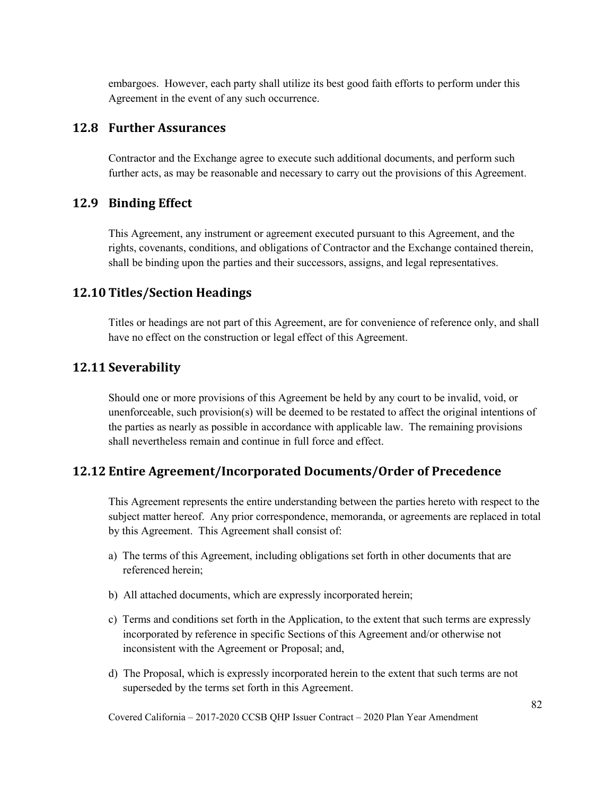embargoes. However, each party shall utilize its best good faith efforts to perform under this Agreement in the event of any such occurrence.

### **12.8 Further Assurances**

Contractor and the Exchange agree to execute such additional documents, and perform such further acts, as may be reasonable and necessary to carry out the provisions of this Agreement.

### **12.9 Binding Effect**

This Agreement, any instrument or agreement executed pursuant to this Agreement, and the rights, covenants, conditions, and obligations of Contractor and the Exchange contained therein, shall be binding upon the parties and their successors, assigns, and legal representatives.

## **12.10 Titles/Section Headings**

Titles or headings are not part of this Agreement, are for convenience of reference only, and shall have no effect on the construction or legal effect of this Agreement.

#### **12.11 Severability**

Should one or more provisions of this Agreement be held by any court to be invalid, void, or unenforceable, such provision(s) will be deemed to be restated to affect the original intentions of the parties as nearly as possible in accordance with applicable law. The remaining provisions shall nevertheless remain and continue in full force and effect.

### **12.12 Entire Agreement/Incorporated Documents/Order of Precedence**

This Agreement represents the entire understanding between the parties hereto with respect to the subject matter hereof. Any prior correspondence, memoranda, or agreements are replaced in total by this Agreement. This Agreement shall consist of:

- a) The terms of this Agreement, including obligations set forth in other documents that are referenced herein;
- b) All attached documents, which are expressly incorporated herein;
- c) Terms and conditions set forth in the Application, to the extent that such terms are expressly incorporated by reference in specific Sections of this Agreement and/or otherwise not inconsistent with the Agreement or Proposal; and,
- d) The Proposal, which is expressly incorporated herein to the extent that such terms are not superseded by the terms set forth in this Agreement.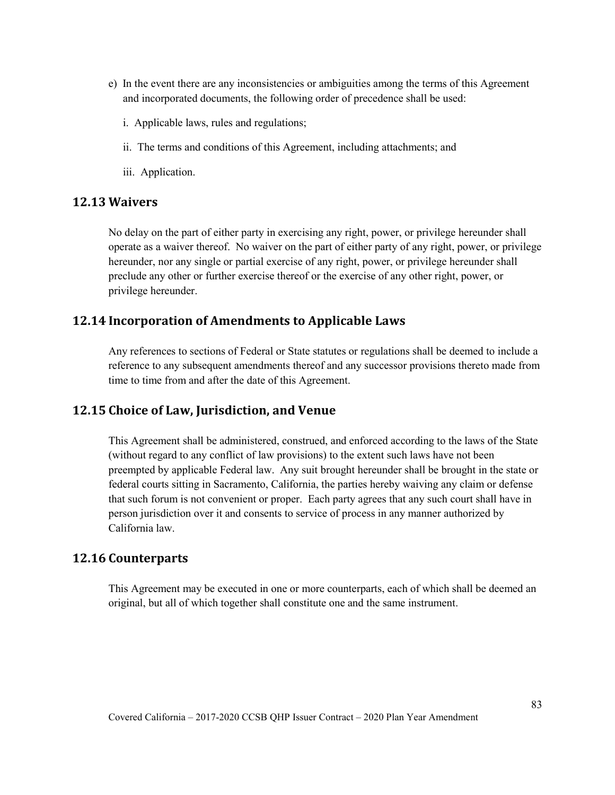- e) In the event there are any inconsistencies or ambiguities among the terms of this Agreement and incorporated documents, the following order of precedence shall be used:
	- i. Applicable laws, rules and regulations;
	- ii. The terms and conditions of this Agreement, including attachments; and
	- iii. Application.

#### **12.13 Waivers**

No delay on the part of either party in exercising any right, power, or privilege hereunder shall operate as a waiver thereof. No waiver on the part of either party of any right, power, or privilege hereunder, nor any single or partial exercise of any right, power, or privilege hereunder shall preclude any other or further exercise thereof or the exercise of any other right, power, or privilege hereunder.

### **12.14 Incorporation of Amendments to Applicable Laws**

Any references to sections of Federal or State statutes or regulations shall be deemed to include a reference to any subsequent amendments thereof and any successor provisions thereto made from time to time from and after the date of this Agreement.

#### **12.15 Choice of Law, Jurisdiction, and Venue**

This Agreement shall be administered, construed, and enforced according to the laws of the State (without regard to any conflict of law provisions) to the extent such laws have not been preempted by applicable Federal law. Any suit brought hereunder shall be brought in the state or federal courts sitting in Sacramento, California, the parties hereby waiving any claim or defense that such forum is not convenient or proper. Each party agrees that any such court shall have in person jurisdiction over it and consents to service of process in any manner authorized by California law.

## **12.16 Counterparts**

This Agreement may be executed in one or more counterparts, each of which shall be deemed an original, but all of which together shall constitute one and the same instrument.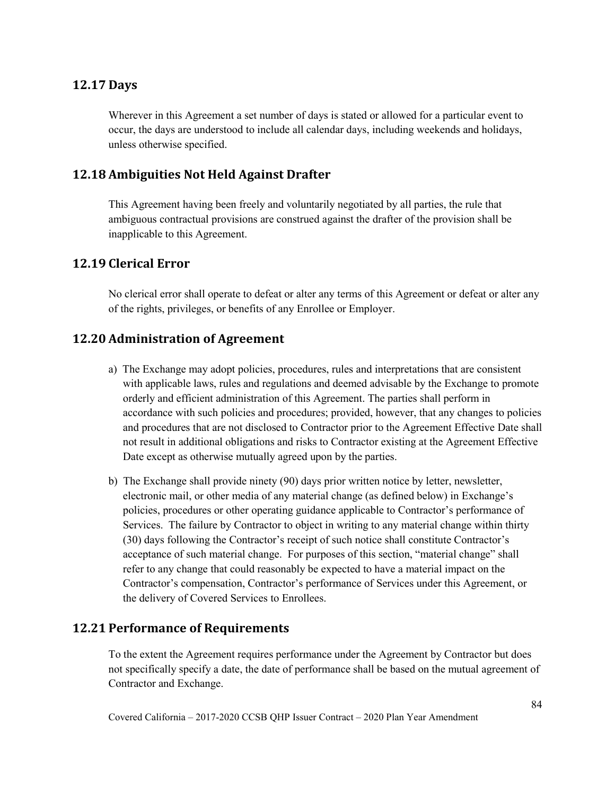## **12.17 Days**

Wherever in this Agreement a set number of days is stated or allowed for a particular event to occur, the days are understood to include all calendar days, including weekends and holidays, unless otherwise specified.

## **12.18 Ambiguities Not Held Against Drafter**

This Agreement having been freely and voluntarily negotiated by all parties, the rule that ambiguous contractual provisions are construed against the drafter of the provision shall be inapplicable to this Agreement.

## **12.19 Clerical Error**

No clerical error shall operate to defeat or alter any terms of this Agreement or defeat or alter any of the rights, privileges, or benefits of any Enrollee or Employer.

## **12.20 Administration of Agreement**

- a) The Exchange may adopt policies, procedures, rules and interpretations that are consistent with applicable laws, rules and regulations and deemed advisable by the Exchange to promote orderly and efficient administration of this Agreement. The parties shall perform in accordance with such policies and procedures; provided, however, that any changes to policies and procedures that are not disclosed to Contractor prior to the Agreement Effective Date shall not result in additional obligations and risks to Contractor existing at the Agreement Effective Date except as otherwise mutually agreed upon by the parties.
- b) The Exchange shall provide ninety (90) days prior written notice by letter, newsletter, electronic mail, or other media of any material change (as defined below) in Exchange's policies, procedures or other operating guidance applicable to Contractor's performance of Services. The failure by Contractor to object in writing to any material change within thirty (30) days following the Contractor's receipt of such notice shall constitute Contractor's acceptance of such material change. For purposes of this section, "material change" shall refer to any change that could reasonably be expected to have a material impact on the Contractor's compensation, Contractor's performance of Services under this Agreement, or the delivery of Covered Services to Enrollees.

### **12.21 Performance of Requirements**

To the extent the Agreement requires performance under the Agreement by Contractor but does not specifically specify a date, the date of performance shall be based on the mutual agreement of Contractor and Exchange.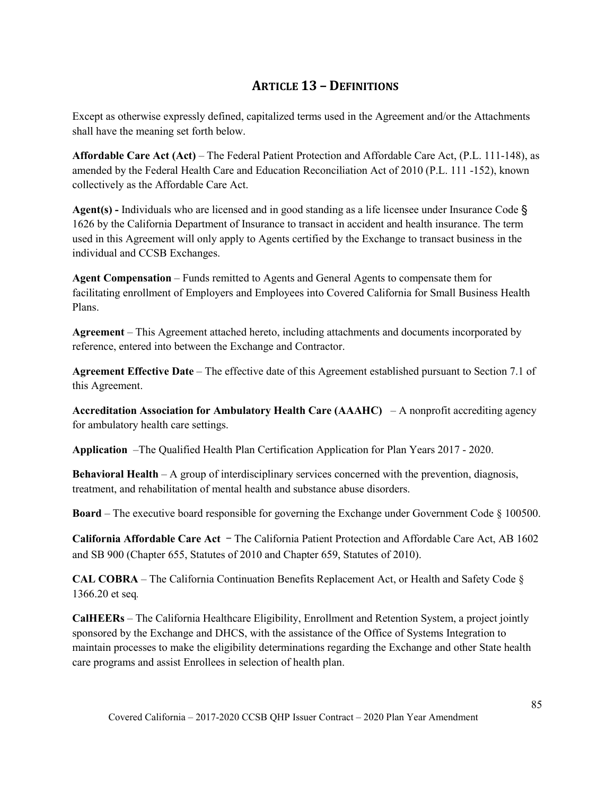# **ARTICLE 13 – DEFINITIONS**

Except as otherwise expressly defined, capitalized terms used in the Agreement and/or the Attachments shall have the meaning set forth below.

**Affordable Care Act (Act)** – The Federal Patient Protection and Affordable Care Act, (P.L. 111-148), as amended by the Federal Health Care and Education Reconciliation Act of 2010 (P.L. 111 -152), known collectively as the Affordable Care Act.

**Agent(s) -** Individuals who are licensed and in good standing as a life licensee under Insurance Code § 1626 by the California Department of Insurance to transact in accident and health insurance. The term used in this Agreement will only apply to Agents certified by the Exchange to transact business in the individual and CCSB Exchanges.

**Agent Compensation** – Funds remitted to Agents and General Agents to compensate them for facilitating enrollment of Employers and Employees into Covered California for Small Business Health Plans.

**Agreement** – This Agreement attached hereto, including attachments and documents incorporated by reference, entered into between the Exchange and Contractor.

**Agreement Effective Date** – The effective date of this Agreement established pursuant to Section 7.1 of this Agreement.

**Accreditation Association for Ambulatory Health Care (AAAHC)** – A nonprofit accrediting agency for ambulatory health care settings.

**Application** –The Qualified Health Plan Certification Application for Plan Years 2017 - 2020.

**Behavioral Health** – A group of interdisciplinary services concerned with the prevention, diagnosis, treatment, and rehabilitation of mental health and substance abuse disorders.

**Board** – The executive board responsible for governing the Exchange under Government Code § 100500.

**California Affordable Care Act** ‒ The California Patient Protection and Affordable Care Act, AB 1602 and SB 900 (Chapter 655, Statutes of 2010 and Chapter 659, Statutes of 2010).

**CAL COBRA** – The California Continuation Benefits Replacement Act, or Health and Safety Code § 1366.20 et seq*.*

**CalHEERs** – The California Healthcare Eligibility, Enrollment and Retention System, a project jointly sponsored by the Exchange and DHCS, with the assistance of the Office of Systems Integration to maintain processes to make the eligibility determinations regarding the Exchange and other State health care programs and assist Enrollees in selection of health plan.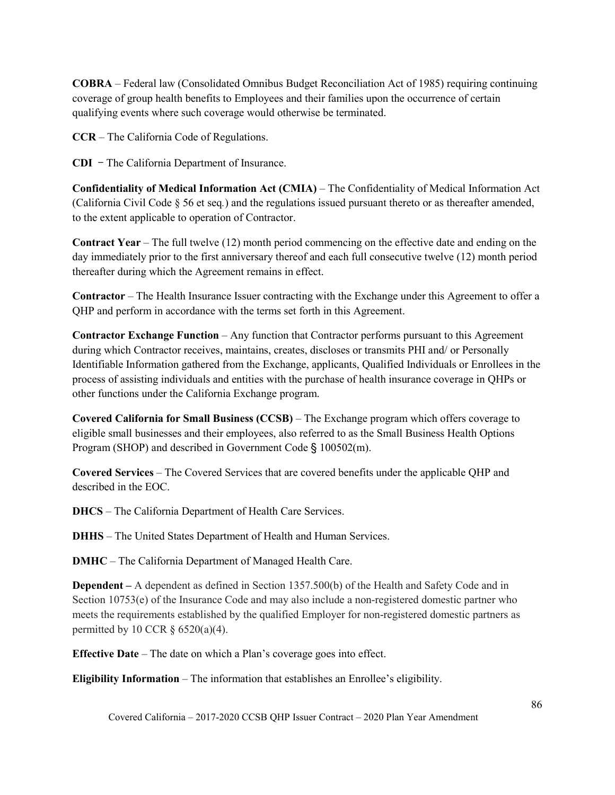**COBRA** – Federal law (Consolidated Omnibus Budget Reconciliation Act of 1985) requiring continuing coverage of group health benefits to Employees and their families upon the occurrence of certain qualifying events where such coverage would otherwise be terminated.

**CCR** – The California Code of Regulations.

**CDI** ‒ The California Department of Insurance.

**Confidentiality of Medical Information Act (CMIA)** – The Confidentiality of Medical Information Act (California Civil Code § 56 et seq*.*) and the regulations issued pursuant thereto or as thereafter amended, to the extent applicable to operation of Contractor.

**Contract Year** – The full twelve (12) month period commencing on the effective date and ending on the day immediately prior to the first anniversary thereof and each full consecutive twelve (12) month period thereafter during which the Agreement remains in effect.

**Contractor** – The Health Insurance Issuer contracting with the Exchange under this Agreement to offer a QHP and perform in accordance with the terms set forth in this Agreement.

**Contractor Exchange Function** – Any function that Contractor performs pursuant to this Agreement during which Contractor receives, maintains, creates, discloses or transmits PHI and/ or Personally Identifiable Information gathered from the Exchange, applicants, Qualified Individuals or Enrollees in the process of assisting individuals and entities with the purchase of health insurance coverage in QHPs or other functions under the California Exchange program.

**Covered California for Small Business (CCSB)** – The Exchange program which offers coverage to eligible small businesses and their employees, also referred to as the Small Business Health Options Program (SHOP) and described in Government Code § 100502(m).

**Covered Services** – The Covered Services that are covered benefits under the applicable QHP and described in the EOC.

**DHCS** – The California Department of Health Care Services.

**DHHS** – The United States Department of Health and Human Services.

**DMHC** – The California Department of Managed Health Care.

**Dependent –** A dependent as defined in Section 1357.500(b) of the Health and Safety Code and in Section 10753(e) of the Insurance Code and may also include a non-registered domestic partner who meets the requirements established by the qualified Employer for non-registered domestic partners as permitted by 10 CCR  $\S$  6520(a)(4).

**Effective Date** – The date on which a Plan's coverage goes into effect.

**Eligibility Information** – The information that establishes an Enrollee's eligibility.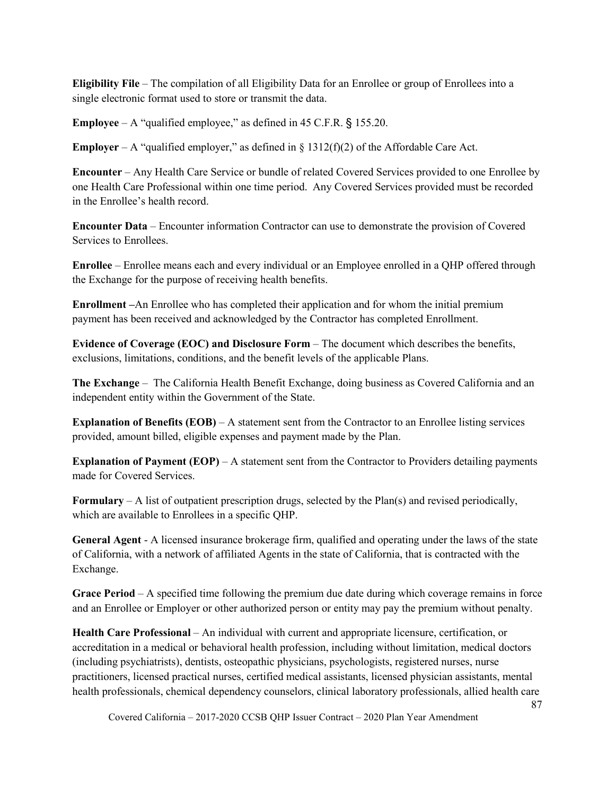**Eligibility File** – The compilation of all Eligibility Data for an Enrollee or group of Enrollees into a single electronic format used to store or transmit the data.

**Employee** – A "qualified employee," as defined in 45 C.F.R. § 155.20.

**Employer** – A "qualified employer," as defined in  $\S 1312(f)(2)$  of the Affordable Care Act.

**Encounter** – Any Health Care Service or bundle of related Covered Services provided to one Enrollee by one Health Care Professional within one time period. Any Covered Services provided must be recorded in the Enrollee's health record.

**Encounter Data** – Encounter information Contractor can use to demonstrate the provision of Covered Services to Enrollees.

**Enrollee** – Enrollee means each and every individual or an Employee enrolled in a QHP offered through the Exchange for the purpose of receiving health benefits.

**Enrollment –**An Enrollee who has completed their application and for whom the initial premium payment has been received and acknowledged by the Contractor has completed Enrollment.

**Evidence of Coverage (EOC) and Disclosure Form** – The document which describes the benefits, exclusions, limitations, conditions, and the benefit levels of the applicable Plans.

**The Exchange** – The California Health Benefit Exchange, doing business as Covered California and an independent entity within the Government of the State.

**Explanation of Benefits (EOB)** – A statement sent from the Contractor to an Enrollee listing services provided, amount billed, eligible expenses and payment made by the Plan.

**Explanation of Payment (EOP)** – A statement sent from the Contractor to Providers detailing payments made for Covered Services.

**Formulary** – A list of outpatient prescription drugs, selected by the Plan(s) and revised periodically, which are available to Enrollees in a specific QHP.

**General Agent** - A licensed insurance brokerage firm, qualified and operating under the laws of the state of California, with a network of affiliated Agents in the state of California, that is contracted with the Exchange.

**Grace Period** – A specified time following the premium due date during which coverage remains in force and an Enrollee or Employer or other authorized person or entity may pay the premium without penalty.

**Health Care Professional** – An individual with current and appropriate licensure, certification, or accreditation in a medical or behavioral health profession, including without limitation, medical doctors (including psychiatrists), dentists, osteopathic physicians, psychologists, registered nurses, nurse practitioners, licensed practical nurses, certified medical assistants, licensed physician assistants, mental health professionals, chemical dependency counselors, clinical laboratory professionals, allied health care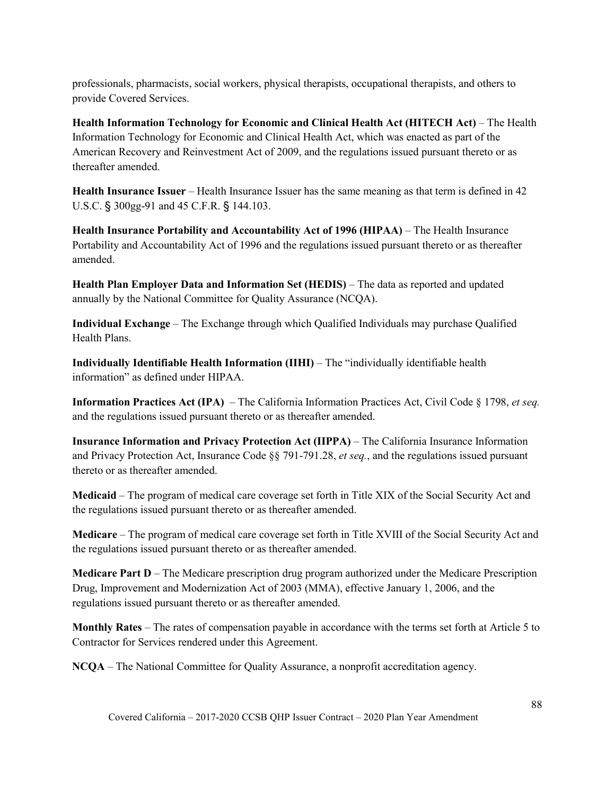professionals, pharmacists, social workers, physical therapists, occupational therapists, and others to provide Covered Services.

**Health Information Technology for Economic and Clinical Health Act (HITECH Act)** – The Health Information Technology for Economic and Clinical Health Act, which was enacted as part of the American Recovery and Reinvestment Act of 2009, and the regulations issued pursuant thereto or as thereafter amended.

**Health Insurance Issuer** – Health Insurance Issuer has the same meaning as that term is defined in 42 U.S.C. § 300gg-91 and 45 C.F.R. § 144.103.

**Health Insurance Portability and Accountability Act of 1996 (HIPAA)** – The Health Insurance Portability and Accountability Act of 1996 and the regulations issued pursuant thereto or as thereafter amended.

**Health Plan Employer Data and Information Set (HEDIS)** – The data as reported and updated annually by the National Committee for Quality Assurance (NCQA).

**Individual Exchange** – The Exchange through which Qualified Individuals may purchase Qualified Health Plans.

**Individually Identifiable Health Information (IIHI)** – The "individually identifiable health information" as defined under HIPAA.

**Information Practices Act (IPA)** – The California Information Practices Act, Civil Code § 1798, *et seq.* and the regulations issued pursuant thereto or as thereafter amended.

**Insurance Information and Privacy Protection Act (IIPPA)** – The California Insurance Information and Privacy Protection Act, Insurance Code §§ 791-791.28, *et seq.*, and the regulations issued pursuant thereto or as thereafter amended.

**Medicaid** – The program of medical care coverage set forth in Title XIX of the Social Security Act and the regulations issued pursuant thereto or as thereafter amended.

**Medicare** – The program of medical care coverage set forth in Title XVIII of the Social Security Act and the regulations issued pursuant thereto or as thereafter amended.

**Medicare Part D** – The Medicare prescription drug program authorized under the Medicare Prescription Drug, Improvement and Modernization Act of 2003 (MMA), effective January 1, 2006, and the regulations issued pursuant thereto or as thereafter amended.

**Monthly Rates** – The rates of compensation payable in accordance with the terms set forth at Article 5 to Contractor for Services rendered under this Agreement.

**NCQA** – The National Committee for Quality Assurance, a nonprofit accreditation agency.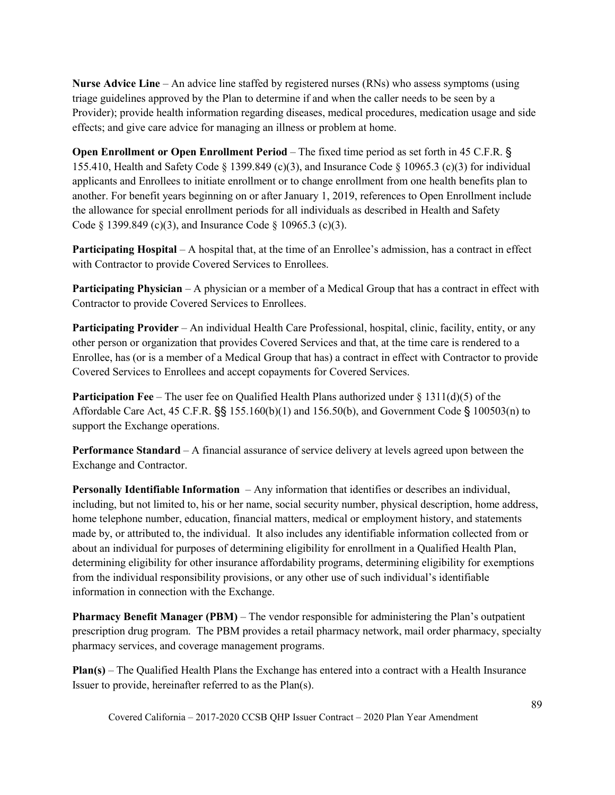**Nurse Advice Line** – An advice line staffed by registered nurses (RNs) who assess symptoms (using triage guidelines approved by the Plan to determine if and when the caller needs to be seen by a Provider); provide health information regarding diseases, medical procedures, medication usage and side effects; and give care advice for managing an illness or problem at home.

**Open Enrollment or Open Enrollment Period** – The fixed time period as set forth in 45 C.F.R. § 155.410, Health and Safety Code  $\S$  1399.849 (c)(3), and Insurance Code  $\S$  10965.3 (c)(3) for individual applicants and Enrollees to initiate enrollment or to change enrollment from one health benefits plan to another. For benefit years beginning on or after January 1, 2019, references to Open Enrollment include the allowance for special enrollment periods for all individuals as described in Health and Safety Code § 1399.849 (c)(3), and Insurance Code § 10965.3 (c)(3).

**Participating Hospital** – A hospital that, at the time of an Enrollee's admission, has a contract in effect with Contractor to provide Covered Services to Enrollees.

**Participating Physician** – A physician or a member of a Medical Group that has a contract in effect with Contractor to provide Covered Services to Enrollees.

**Participating Provider** – An individual Health Care Professional, hospital, clinic, facility, entity, or any other person or organization that provides Covered Services and that, at the time care is rendered to a Enrollee, has (or is a member of a Medical Group that has) a contract in effect with Contractor to provide Covered Services to Enrollees and accept copayments for Covered Services.

**Participation Fee** – The user fee on Qualified Health Plans authorized under § 1311(d)(5) of the Affordable Care Act, 45 C.F.R. §§ 155.160(b)(1) and 156.50(b), and Government Code § 100503(n) to support the Exchange operations.

**Performance Standard** – A financial assurance of service delivery at levels agreed upon between the Exchange and Contractor.

**Personally Identifiable Information** – Any information that identifies or describes an individual, including, but not limited to, his or her name, social security number, physical description, home address, home telephone number, education, financial matters, medical or employment history, and statements made by, or attributed to, the individual. It also includes any identifiable information collected from or about an individual for purposes of determining eligibility for enrollment in a Qualified Health Plan, determining eligibility for other insurance affordability programs, determining eligibility for exemptions from the individual responsibility provisions, or any other use of such individual's identifiable information in connection with the Exchange.

**Pharmacy Benefit Manager (PBM)** – The vendor responsible for administering the Plan's outpatient prescription drug program. The PBM provides a retail pharmacy network, mail order pharmacy, specialty pharmacy services, and coverage management programs.

**Plan(s)** – The Qualified Health Plans the Exchange has entered into a contract with a Health Insurance Issuer to provide, hereinafter referred to as the Plan(s).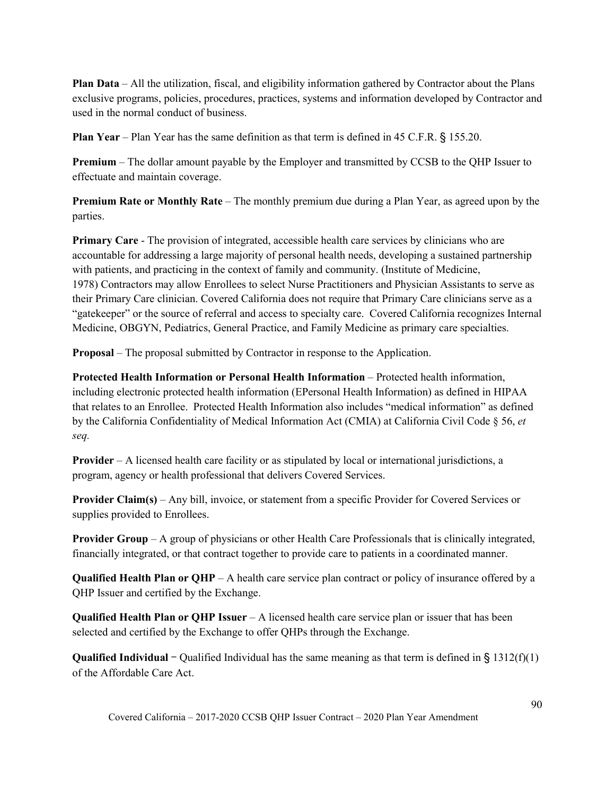**Plan Data** – All the utilization, fiscal, and eligibility information gathered by Contractor about the Plans exclusive programs, policies, procedures, practices, systems and information developed by Contractor and used in the normal conduct of business.

**Plan Year** – Plan Year has the same definition as that term is defined in 45 C.F.R. § 155.20.

**Premium** – The dollar amount payable by the Employer and transmitted by CCSB to the QHP Issuer to effectuate and maintain coverage.

**Premium Rate or Monthly Rate** – The monthly premium due during a Plan Year, as agreed upon by the parties.

**Primary Care** - The provision of integrated, accessible health care services by clinicians who are accountable for addressing a large majority of personal health needs, developing a sustained partnership with patients, and practicing in the context of family and community. (Institute of Medicine, 1978) Contractors may allow Enrollees to select Nurse Practitioners and Physician Assistants to serve as their Primary Care clinician. Covered California does not require that Primary Care clinicians serve as a "gatekeeper" or the source of referral and access to specialty care. Covered California recognizes Internal Medicine, OBGYN, Pediatrics, General Practice, and Family Medicine as primary care specialties.

**Proposal** – The proposal submitted by Contractor in response to the Application.

**Protected Health Information or Personal Health Information** – Protected health information, including electronic protected health information (EPersonal Health Information) as defined in HIPAA that relates to an Enrollee. Protected Health Information also includes "medical information" as defined by the California Confidentiality of Medical Information Act (CMIA) at California Civil Code § 56, *et seq.*

**Provider** – A licensed health care facility or as stipulated by local or international jurisdictions, a program, agency or health professional that delivers Covered Services.

**Provider Claim(s)** – Any bill, invoice, or statement from a specific Provider for Covered Services or supplies provided to Enrollees.

**Provider Group** – A group of physicians or other Health Care Professionals that is clinically integrated, financially integrated, or that contract together to provide care to patients in a coordinated manner.

**Qualified Health Plan or QHP** – A health care service plan contract or policy of insurance offered by a QHP Issuer and certified by the Exchange.

**Qualified Health Plan or QHP Issuer** – A licensed health care service plan or issuer that has been selected and certified by the Exchange to offer QHPs through the Exchange.

**Qualified Individual** – Qualified Individual has the same meaning as that term is defined in § 1312(f)(1) of the Affordable Care Act.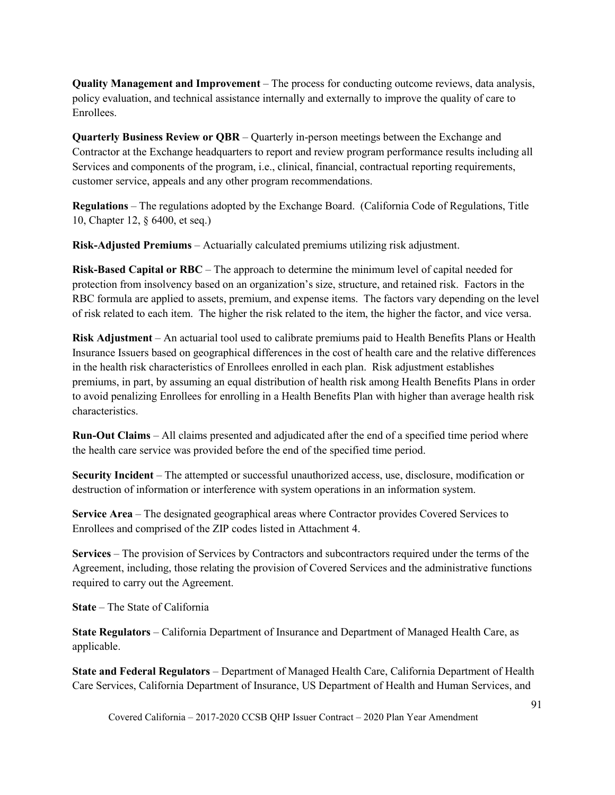**Quality Management and Improvement** – The process for conducting outcome reviews, data analysis, policy evaluation, and technical assistance internally and externally to improve the quality of care to Enrollees.

**Quarterly Business Review or QBR** – Quarterly in-person meetings between the Exchange and Contractor at the Exchange headquarters to report and review program performance results including all Services and components of the program, i.e., clinical, financial, contractual reporting requirements, customer service, appeals and any other program recommendations.

**Regulations** – The regulations adopted by the Exchange Board. (California Code of Regulations, Title 10, Chapter 12, § 6400, et seq.)

**Risk-Adjusted Premiums** – Actuarially calculated premiums utilizing risk adjustment.

**Risk-Based Capital or RBC** – The approach to determine the minimum level of capital needed for protection from insolvency based on an organization's size, structure, and retained risk. Factors in the RBC formula are applied to assets, premium, and expense items. The factors vary depending on the level of risk related to each item. The higher the risk related to the item, the higher the factor, and vice versa.

**Risk Adjustment** – An actuarial tool used to calibrate premiums paid to Health Benefits Plans or Health Insurance Issuers based on geographical differences in the cost of health care and the relative differences in the health risk characteristics of Enrollees enrolled in each plan. Risk adjustment establishes premiums, in part, by assuming an equal distribution of health risk among Health Benefits Plans in order to avoid penalizing Enrollees for enrolling in a Health Benefits Plan with higher than average health risk characteristics.

**Run-Out Claims** – All claims presented and adjudicated after the end of a specified time period where the health care service was provided before the end of the specified time period.

**Security Incident** – The attempted or successful unauthorized access, use, disclosure, modification or destruction of information or interference with system operations in an information system.

**Service Area** – The designated geographical areas where Contractor provides Covered Services to Enrollees and comprised of the ZIP codes listed in Attachment 4.

**Services** – The provision of Services by Contractors and subcontractors required under the terms of the Agreement, including, those relating the provision of Covered Services and the administrative functions required to carry out the Agreement.

**State** – The State of California

**State Regulators** – California Department of Insurance and Department of Managed Health Care, as applicable.

**State and Federal Regulators** – Department of Managed Health Care, California Department of Health Care Services, California Department of Insurance, US Department of Health and Human Services, and